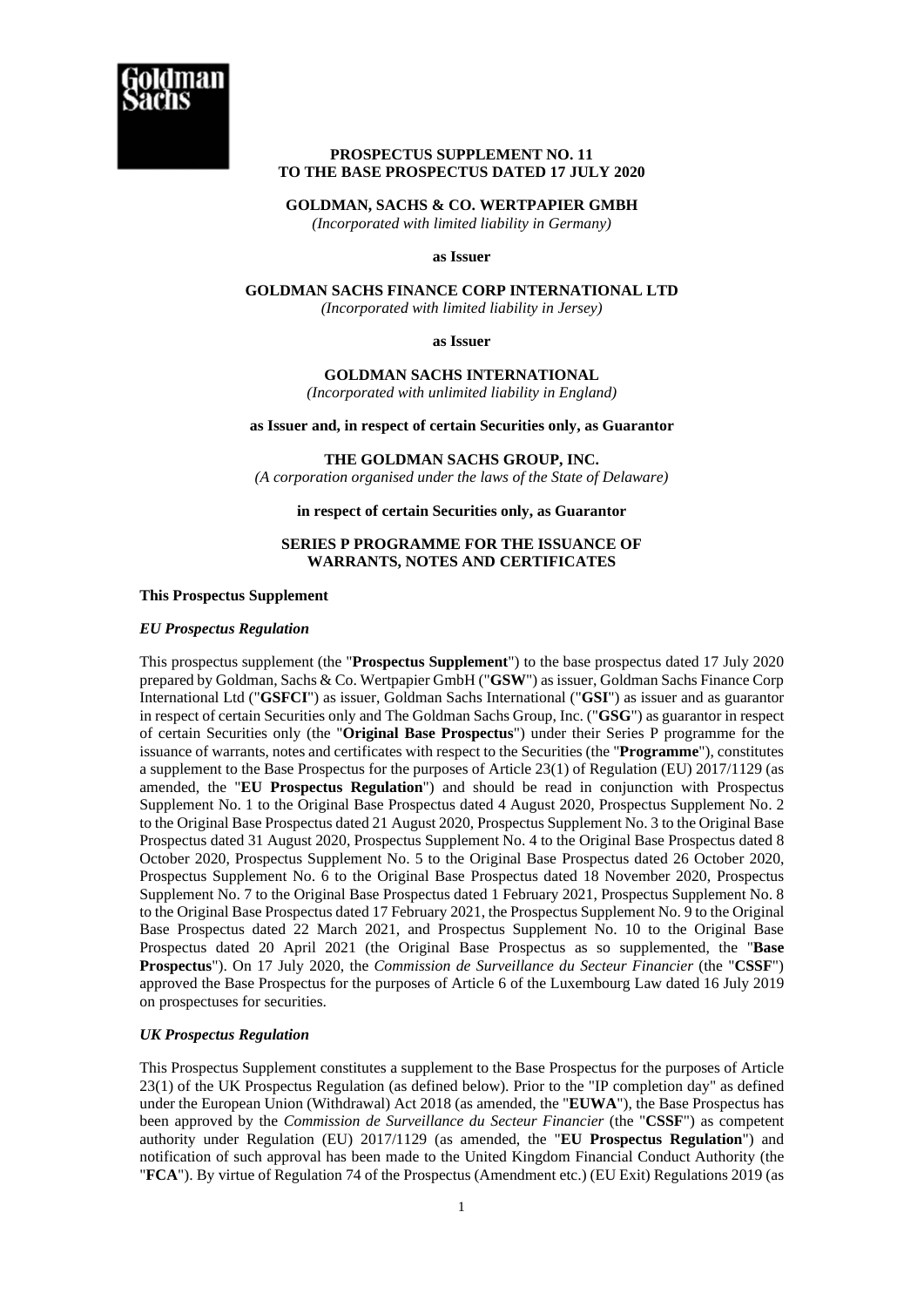

## **PROSPECTUS SUPPLEMENT NO. 11 TO THE BASE PROSPECTUS DATED 17 JULY 2020**

## **GOLDMAN, SACHS & CO. WERTPAPIER GMBH**

*(Incorporated with limited liability in Germany)* 

#### **as Issuer**

# **GOLDMAN SACHS FINANCE CORP INTERNATIONAL LTD**

*(Incorporated with limited liability in Jersey)*

### **as Issuer**

#### **GOLDMAN SACHS INTERNATIONAL**  *(Incorporated with unlimited liability in England)*

## **as Issuer and, in respect of certain Securities only, as Guarantor**

## **THE GOLDMAN SACHS GROUP, INC.**

*(A corporation organised under the laws of the State of Delaware)*

## **in respect of certain Securities only, as Guarantor**

### **SERIES P PROGRAMME FOR THE ISSUANCE OF WARRANTS, NOTES AND CERTIFICATES**

#### **This Prospectus Supplement**

## *EU Prospectus Regulation*

This prospectus supplement (the "**Prospectus Supplement**") to the base prospectus dated 17 July 2020 prepared by Goldman, Sachs & Co. Wertpapier GmbH ("**GSW**") as issuer, Goldman Sachs Finance Corp International Ltd ("**GSFCI**") as issuer, Goldman Sachs International ("**GSI**") as issuer and as guarantor in respect of certain Securities only and The Goldman Sachs Group, Inc. ("**GSG**") as guarantor in respect of certain Securities only (the "**Original Base Prospectus**") under their Series P programme for the issuance of warrants, notes and certificates with respect to the Securities (the "**Programme**"), constitutes a supplement to the Base Prospectus for the purposes of Article 23(1) of Regulation (EU) 2017/1129 (as amended, the "**EU Prospectus Regulation**") and should be read in conjunction with Prospectus Supplement No. 1 to the Original Base Prospectus dated 4 August 2020, Prospectus Supplement No. 2 to the Original Base Prospectus dated 21 August 2020, Prospectus Supplement No. 3 to the Original Base Prospectus dated 31 August 2020, Prospectus Supplement No. 4 to the Original Base Prospectus dated 8 October 2020, Prospectus Supplement No. 5 to the Original Base Prospectus dated 26 October 2020, Prospectus Supplement No. 6 to the Original Base Prospectus dated 18 November 2020, Prospectus Supplement No. 7 to the Original Base Prospectus dated 1 February 2021, Prospectus Supplement No. 8 to the Original Base Prospectus dated 17 February 2021, the Prospectus Supplement No. 9 to the Original Base Prospectus dated 22 March 2021, and Prospectus Supplement No. 10 to the Original Base Prospectus dated 20 April 2021 (the Original Base Prospectus as so supplemented, the "**Base Prospectus**"). On 17 July 2020, the *Commission de Surveillance du Secteur Financier* (the "**CSSF**") approved the Base Prospectus for the purposes of Article 6 of the Luxembourg Law dated 16 July 2019 on prospectuses for securities.

## *UK Prospectus Regulation*

This Prospectus Supplement constitutes a supplement to the Base Prospectus for the purposes of Article 23(1) of the UK Prospectus Regulation (as defined below). Prior to the "IP completion day" as defined under the European Union (Withdrawal) Act 2018 (as amended, the "**EUWA**"), the Base Prospectus has been approved by the *Commission de Surveillance du Secteur Financier* (the "**CSSF**") as competent authority under Regulation (EU) 2017/1129 (as amended, the "**EU Prospectus Regulation**") and notification of such approval has been made to the United Kingdom Financial Conduct Authority (the "**FCA**"). By virtue of Regulation 74 of the Prospectus (Amendment etc.) (EU Exit) Regulations 2019 (as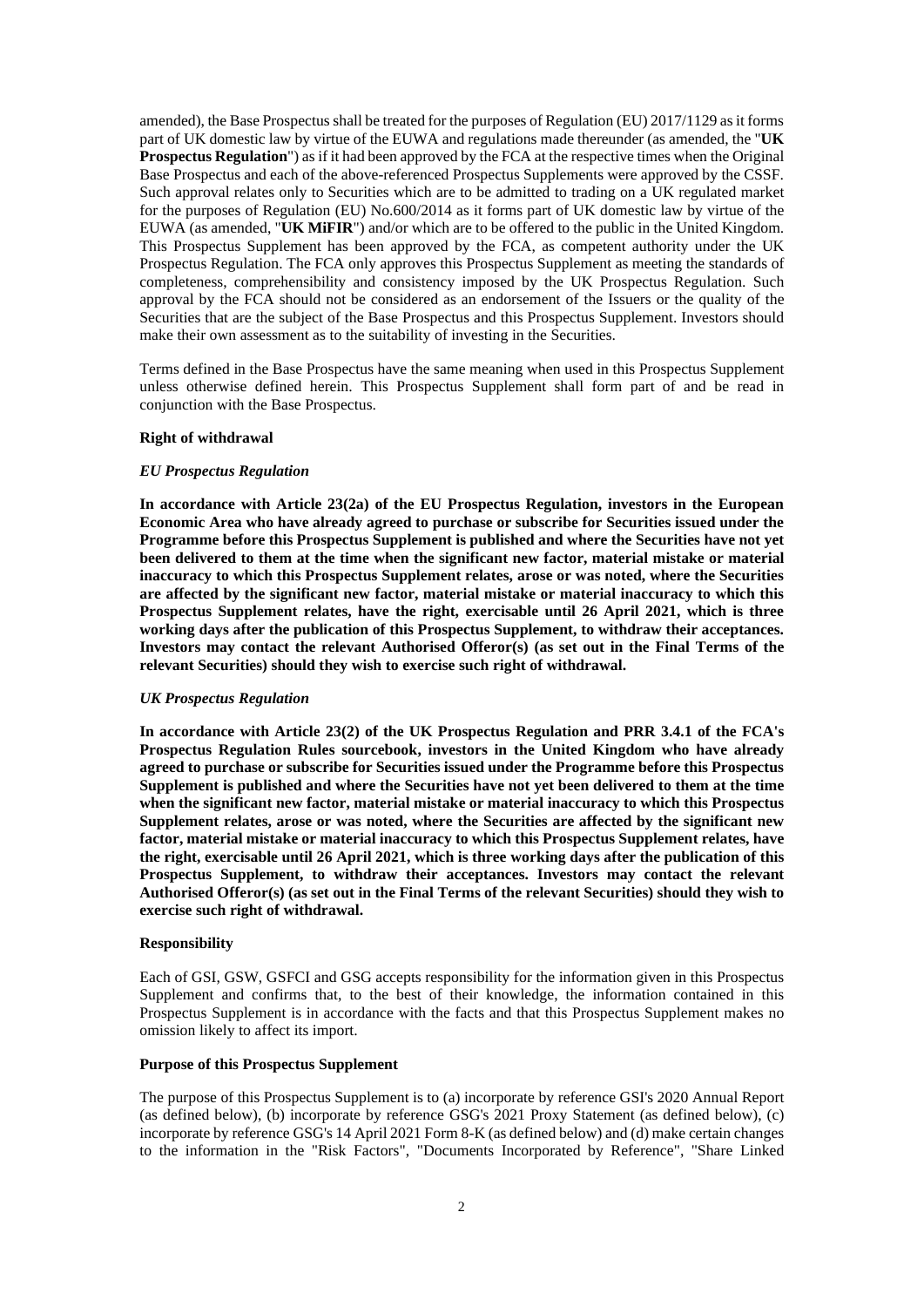amended), the Base Prospectus shall be treated for the purposes of Regulation (EU) 2017/1129 as it forms part of UK domestic law by virtue of the EUWA and regulations made thereunder (as amended, the "**UK Prospectus Regulation**") as if it had been approved by the FCA at the respective times when the Original Base Prospectus and each of the above-referenced Prospectus Supplements were approved by the CSSF. Such approval relates only to Securities which are to be admitted to trading on a UK regulated market for the purposes of Regulation (EU) No.600/2014 as it forms part of UK domestic law by virtue of the EUWA (as amended, "**UK MiFIR**") and/or which are to be offered to the public in the United Kingdom. This Prospectus Supplement has been approved by the FCA, as competent authority under the UK Prospectus Regulation. The FCA only approves this Prospectus Supplement as meeting the standards of completeness, comprehensibility and consistency imposed by the UK Prospectus Regulation. Such approval by the FCA should not be considered as an endorsement of the Issuers or the quality of the Securities that are the subject of the Base Prospectus and this Prospectus Supplement. Investors should make their own assessment as to the suitability of investing in the Securities.

Terms defined in the Base Prospectus have the same meaning when used in this Prospectus Supplement unless otherwise defined herein. This Prospectus Supplement shall form part of and be read in conjunction with the Base Prospectus.

#### **Right of withdrawal**

## *EU Prospectus Regulation*

**In accordance with Article 23(2a) of the EU Prospectus Regulation, investors in the European Economic Area who have already agreed to purchase or subscribe for Securities issued under the Programme before this Prospectus Supplement is published and where the Securities have not yet been delivered to them at the time when the significant new factor, material mistake or material inaccuracy to which this Prospectus Supplement relates, arose or was noted, where the Securities are affected by the significant new factor, material mistake or material inaccuracy to which this Prospectus Supplement relates, have the right, exercisable until 26 April 2021, which is three working days after the publication of this Prospectus Supplement, to withdraw their acceptances. Investors may contact the relevant Authorised Offeror(s) (as set out in the Final Terms of the relevant Securities) should they wish to exercise such right of withdrawal.** 

#### *UK Prospectus Regulation*

**In accordance with Article 23(2) of the UK Prospectus Regulation and PRR 3.4.1 of the FCA's Prospectus Regulation Rules sourcebook, investors in the United Kingdom who have already agreed to purchase or subscribe for Securities issued under the Programme before this Prospectus Supplement is published and where the Securities have not yet been delivered to them at the time when the significant new factor, material mistake or material inaccuracy to which this Prospectus Supplement relates, arose or was noted, where the Securities are affected by the significant new factor, material mistake or material inaccuracy to which this Prospectus Supplement relates, have the right, exercisable until 26 April 2021, which is three working days after the publication of this Prospectus Supplement, to withdraw their acceptances. Investors may contact the relevant Authorised Offeror(s) (as set out in the Final Terms of the relevant Securities) should they wish to exercise such right of withdrawal.** 

#### **Responsibility**

Each of GSI, GSW, GSFCI and GSG accepts responsibility for the information given in this Prospectus Supplement and confirms that, to the best of their knowledge, the information contained in this Prospectus Supplement is in accordance with the facts and that this Prospectus Supplement makes no omission likely to affect its import.

#### **Purpose of this Prospectus Supplement**

The purpose of this Prospectus Supplement is to (a) incorporate by reference GSI's 2020 Annual Report (as defined below), (b) incorporate by reference GSG's 2021 Proxy Statement (as defined below), (c) incorporate by reference GSG's 14 April 2021 Form 8-K (as defined below) and (d) make certain changes to the information in the "Risk Factors", "Documents Incorporated by Reference", "Share Linked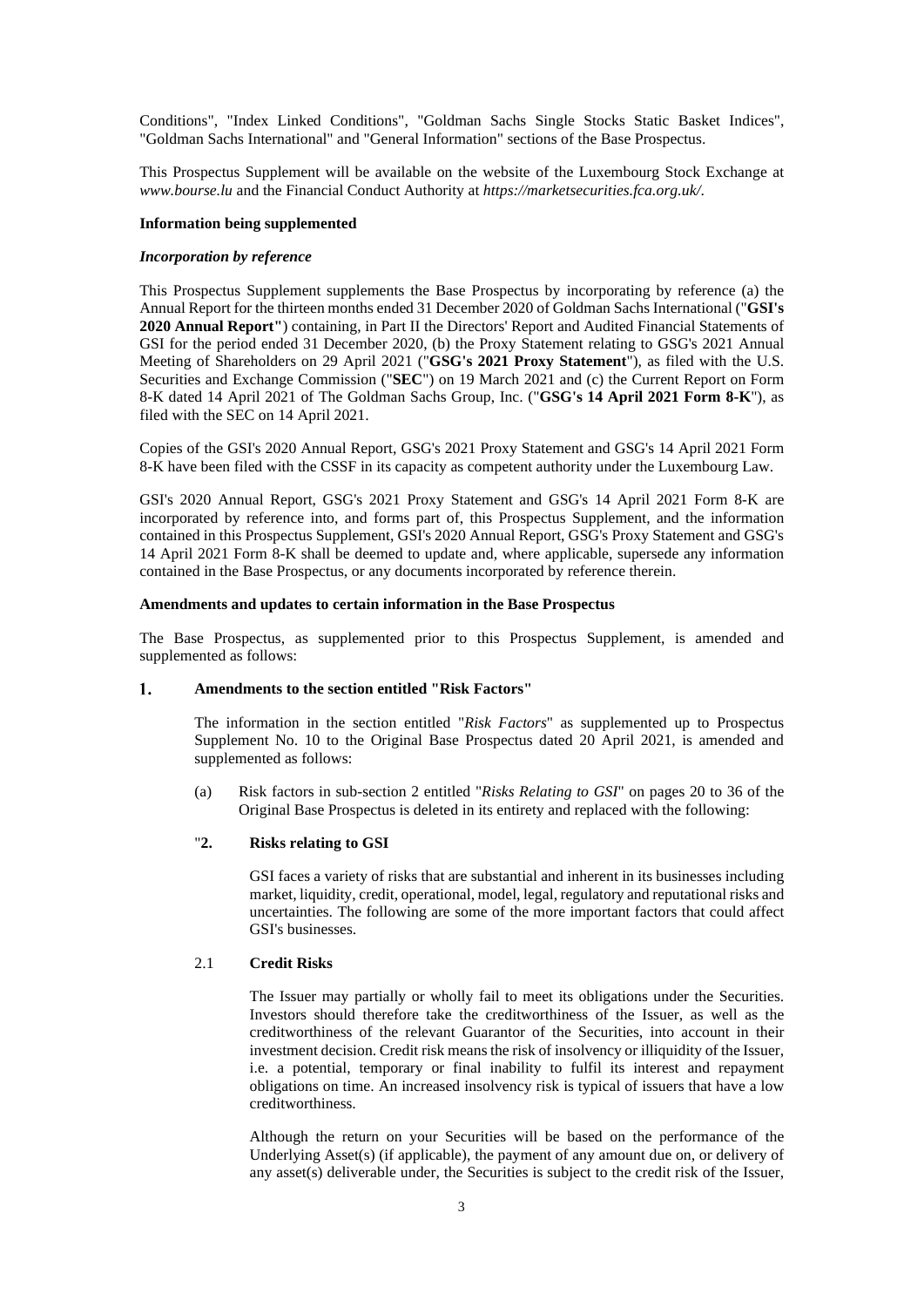Conditions", "Index Linked Conditions", "Goldman Sachs Single Stocks Static Basket Indices", "Goldman Sachs International" and "General Information" sections of the Base Prospectus.

This Prospectus Supplement will be available on the website of the Luxembourg Stock Exchange at *www.bourse.lu* and the Financial Conduct Authority at *https://marketsecurities.fca.org.uk/*.

### **Information being supplemented**

#### *Incorporation by reference*

This Prospectus Supplement supplements the Base Prospectus by incorporating by reference (a) the Annual Report for the thirteen months ended 31 December 2020 of Goldman Sachs International ("**GSI's 2020 Annual Report"**) containing, in Part II the Directors' Report and Audited Financial Statements of GSI for the period ended 31 December 2020, (b) the Proxy Statement relating to GSG's 2021 Annual Meeting of Shareholders on 29 April 2021 ("**GSG's 2021 Proxy Statement**"), as filed with the U.S. Securities and Exchange Commission ("**SEC**") on 19 March 2021 and (c) the Current Report on Form 8-K dated 14 April 2021 of The Goldman Sachs Group, Inc. ("**GSG's 14 April 2021 Form 8-K**"), as filed with the SEC on 14 April 2021.

Copies of the GSI's 2020 Annual Report, GSG's 2021 Proxy Statement and GSG's 14 April 2021 Form 8-K have been filed with the CSSF in its capacity as competent authority under the Luxembourg Law.

GSI's 2020 Annual Report, GSG's 2021 Proxy Statement and GSG's 14 April 2021 Form 8-K are incorporated by reference into, and forms part of, this Prospectus Supplement, and the information contained in this Prospectus Supplement, GSI's 2020 Annual Report, GSG's Proxy Statement and GSG's 14 April 2021 Form 8-K shall be deemed to update and, where applicable, supersede any information contained in the Base Prospectus, or any documents incorporated by reference therein.

## **Amendments and updates to certain information in the Base Prospectus**

The Base Prospectus, as supplemented prior to this Prospectus Supplement, is amended and supplemented as follows:

#### $1<sub>1</sub>$ **Amendments to the section entitled "Risk Factors"**

The information in the section entitled "*Risk Factors*" as supplemented up to Prospectus Supplement No. 10 to the Original Base Prospectus dated 20 April 2021, is amended and supplemented as follows:

(a) Risk factors in sub-section 2 entitled "*Risks Relating to GSI*" on pages 20 to 36 of the Original Base Prospectus is deleted in its entirety and replaced with the following:

## "**2. Risks relating to GSI**

GSI faces a variety of risks that are substantial and inherent in its businesses including market, liquidity, credit, operational, model, legal, regulatory and reputational risks and uncertainties. The following are some of the more important factors that could affect GSI's businesses.

## 2.1 **Credit Risks**

The Issuer may partially or wholly fail to meet its obligations under the Securities. Investors should therefore take the creditworthiness of the Issuer, as well as the creditworthiness of the relevant Guarantor of the Securities, into account in their investment decision. Credit risk means the risk of insolvency or illiquidity of the Issuer, i.e. a potential, temporary or final inability to fulfil its interest and repayment obligations on time. An increased insolvency risk is typical of issuers that have a low creditworthiness.

Although the return on your Securities will be based on the performance of the Underlying Asset(s) (if applicable), the payment of any amount due on, or delivery of any asset(s) deliverable under, the Securities is subject to the credit risk of the Issuer,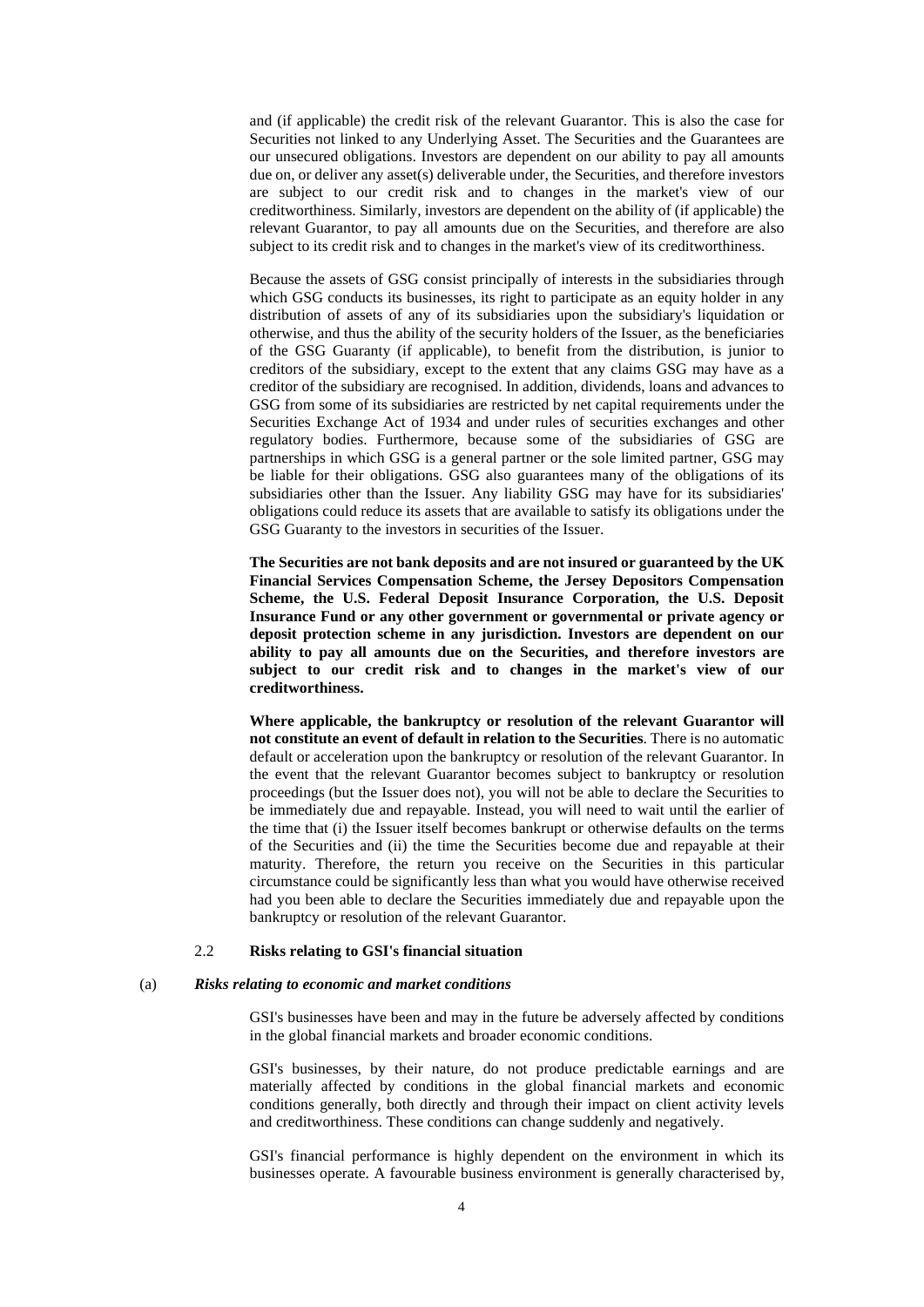and (if applicable) the credit risk of the relevant Guarantor. This is also the case for Securities not linked to any Underlying Asset. The Securities and the Guarantees are our unsecured obligations. Investors are dependent on our ability to pay all amounts due on, or deliver any asset(s) deliverable under, the Securities, and therefore investors are subject to our credit risk and to changes in the market's view of our creditworthiness. Similarly, investors are dependent on the ability of (if applicable) the relevant Guarantor, to pay all amounts due on the Securities, and therefore are also subject to its credit risk and to changes in the market's view of its creditworthiness.

Because the assets of GSG consist principally of interests in the subsidiaries through which GSG conducts its businesses, its right to participate as an equity holder in any distribution of assets of any of its subsidiaries upon the subsidiary's liquidation or otherwise, and thus the ability of the security holders of the Issuer, as the beneficiaries of the GSG Guaranty (if applicable), to benefit from the distribution, is junior to creditors of the subsidiary, except to the extent that any claims GSG may have as a creditor of the subsidiary are recognised. In addition, dividends, loans and advances to GSG from some of its subsidiaries are restricted by net capital requirements under the Securities Exchange Act of 1934 and under rules of securities exchanges and other regulatory bodies. Furthermore, because some of the subsidiaries of GSG are partnerships in which GSG is a general partner or the sole limited partner, GSG may be liable for their obligations. GSG also guarantees many of the obligations of its subsidiaries other than the Issuer. Any liability GSG may have for its subsidiaries' obligations could reduce its assets that are available to satisfy its obligations under the GSG Guaranty to the investors in securities of the Issuer.

**The Securities are not bank deposits and are not insured or guaranteed by the UK Financial Services Compensation Scheme, the Jersey Depositors Compensation Scheme, the U.S. Federal Deposit Insurance Corporation, the U.S. Deposit Insurance Fund or any other government or governmental or private agency or deposit protection scheme in any jurisdiction. Investors are dependent on our ability to pay all amounts due on the Securities, and therefore investors are subject to our credit risk and to changes in the market's view of our creditworthiness.** 

**Where applicable, the bankruptcy or resolution of the relevant Guarantor will not constitute an event of default in relation to the Securities**. There is no automatic default or acceleration upon the bankruptcy or resolution of the relevant Guarantor. In the event that the relevant Guarantor becomes subject to bankruptcy or resolution proceedings (but the Issuer does not), you will not be able to declare the Securities to be immediately due and repayable. Instead, you will need to wait until the earlier of the time that (i) the Issuer itself becomes bankrupt or otherwise defaults on the terms of the Securities and (ii) the time the Securities become due and repayable at their maturity. Therefore, the return you receive on the Securities in this particular circumstance could be significantly less than what you would have otherwise received had you been able to declare the Securities immediately due and repayable upon the bankruptcy or resolution of the relevant Guarantor.

## 2.2 **Risks relating to GSI's financial situation**

#### (a) *Risks relating to economic and market conditions*

GSI's businesses have been and may in the future be adversely affected by conditions in the global financial markets and broader economic conditions.

GSI's businesses, by their nature, do not produce predictable earnings and are materially affected by conditions in the global financial markets and economic conditions generally, both directly and through their impact on client activity levels and creditworthiness. These conditions can change suddenly and negatively.

GSI's financial performance is highly dependent on the environment in which its businesses operate. A favourable business environment is generally characterised by,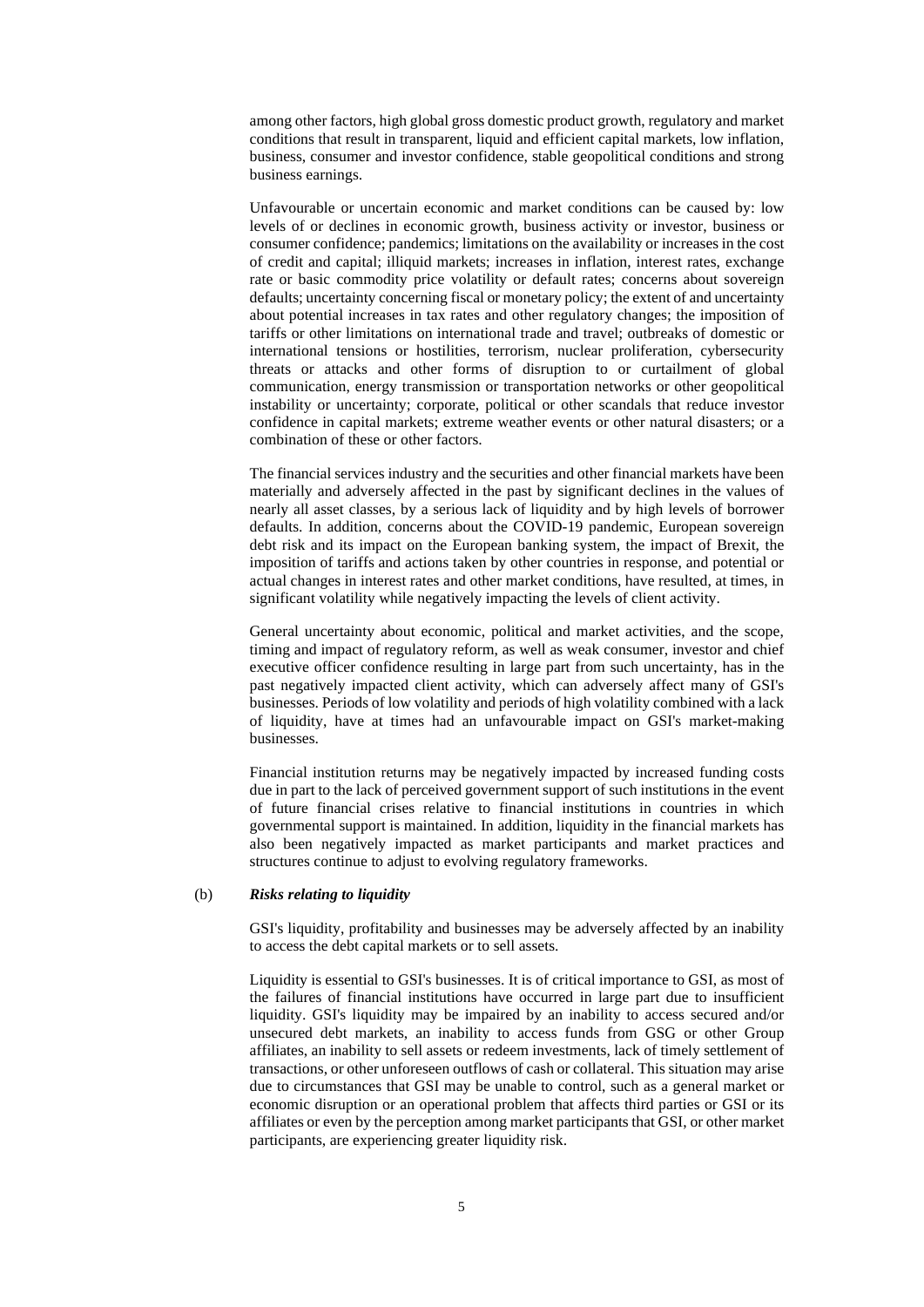among other factors, high global gross domestic product growth, regulatory and market conditions that result in transparent, liquid and efficient capital markets, low inflation, business, consumer and investor confidence, stable geopolitical conditions and strong business earnings.

Unfavourable or uncertain economic and market conditions can be caused by: low levels of or declines in economic growth, business activity or investor, business or consumer confidence; pandemics; limitations on the availability or increases in the cost of credit and capital; illiquid markets; increases in inflation, interest rates, exchange rate or basic commodity price volatility or default rates; concerns about sovereign defaults; uncertainty concerning fiscal or monetary policy; the extent of and uncertainty about potential increases in tax rates and other regulatory changes; the imposition of tariffs or other limitations on international trade and travel; outbreaks of domestic or international tensions or hostilities, terrorism, nuclear proliferation, cybersecurity threats or attacks and other forms of disruption to or curtailment of global communication, energy transmission or transportation networks or other geopolitical instability or uncertainty; corporate, political or other scandals that reduce investor confidence in capital markets; extreme weather events or other natural disasters; or a combination of these or other factors.

The financial services industry and the securities and other financial markets have been materially and adversely affected in the past by significant declines in the values of nearly all asset classes, by a serious lack of liquidity and by high levels of borrower defaults. In addition, concerns about the COVID-19 pandemic, European sovereign debt risk and its impact on the European banking system, the impact of Brexit, the imposition of tariffs and actions taken by other countries in response, and potential or actual changes in interest rates and other market conditions, have resulted, at times, in significant volatility while negatively impacting the levels of client activity.

General uncertainty about economic, political and market activities, and the scope, timing and impact of regulatory reform, as well as weak consumer, investor and chief executive officer confidence resulting in large part from such uncertainty, has in the past negatively impacted client activity, which can adversely affect many of GSI's businesses. Periods of low volatility and periods of high volatility combined with a lack of liquidity, have at times had an unfavourable impact on GSI's market-making businesses.

Financial institution returns may be negatively impacted by increased funding costs due in part to the lack of perceived government support of such institutions in the event of future financial crises relative to financial institutions in countries in which governmental support is maintained. In addition, liquidity in the financial markets has also been negatively impacted as market participants and market practices and structures continue to adjust to evolving regulatory frameworks.

## (b) *Risks relating to liquidity*

GSI's liquidity, profitability and businesses may be adversely affected by an inability to access the debt capital markets or to sell assets.

Liquidity is essential to GSI's businesses. It is of critical importance to GSI, as most of the failures of financial institutions have occurred in large part due to insufficient liquidity. GSI's liquidity may be impaired by an inability to access secured and/or unsecured debt markets, an inability to access funds from GSG or other Group affiliates, an inability to sell assets or redeem investments, lack of timely settlement of transactions, or other unforeseen outflows of cash or collateral. This situation may arise due to circumstances that GSI may be unable to control, such as a general market or economic disruption or an operational problem that affects third parties or GSI or its affiliates or even by the perception among market participants that GSI, or other market participants, are experiencing greater liquidity risk.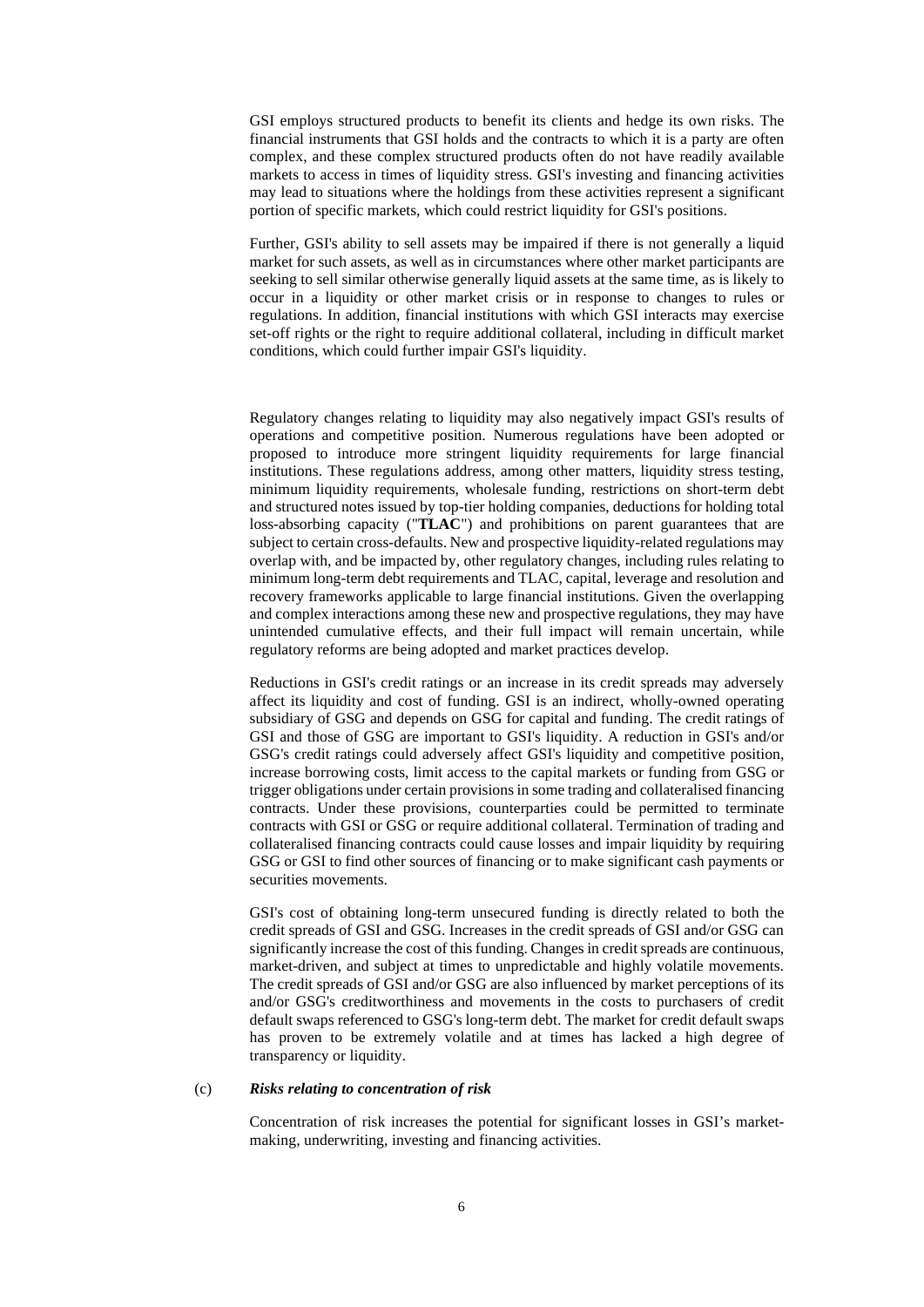GSI employs structured products to benefit its clients and hedge its own risks. The financial instruments that GSI holds and the contracts to which it is a party are often complex, and these complex structured products often do not have readily available markets to access in times of liquidity stress. GSI's investing and financing activities may lead to situations where the holdings from these activities represent a significant portion of specific markets, which could restrict liquidity for GSI's positions.

Further, GSI's ability to sell assets may be impaired if there is not generally a liquid market for such assets, as well as in circumstances where other market participants are seeking to sell similar otherwise generally liquid assets at the same time, as is likely to occur in a liquidity or other market crisis or in response to changes to rules or regulations. In addition, financial institutions with which GSI interacts may exercise set-off rights or the right to require additional collateral, including in difficult market conditions, which could further impair GSI's liquidity.

Regulatory changes relating to liquidity may also negatively impact GSI's results of operations and competitive position. Numerous regulations have been adopted or proposed to introduce more stringent liquidity requirements for large financial institutions. These regulations address, among other matters, liquidity stress testing, minimum liquidity requirements, wholesale funding, restrictions on short-term debt and structured notes issued by top-tier holding companies, deductions for holding total loss-absorbing capacity ("**TLAC**") and prohibitions on parent guarantees that are subject to certain cross-defaults. New and prospective liquidity-related regulations may overlap with, and be impacted by, other regulatory changes, including rules relating to minimum long-term debt requirements and TLAC, capital, leverage and resolution and recovery frameworks applicable to large financial institutions. Given the overlapping and complex interactions among these new and prospective regulations, they may have unintended cumulative effects, and their full impact will remain uncertain, while regulatory reforms are being adopted and market practices develop.

Reductions in GSI's credit ratings or an increase in its credit spreads may adversely affect its liquidity and cost of funding. GSI is an indirect, wholly-owned operating subsidiary of GSG and depends on GSG for capital and funding. The credit ratings of GSI and those of GSG are important to GSI's liquidity. A reduction in GSI's and/or GSG's credit ratings could adversely affect GSI's liquidity and competitive position, increase borrowing costs, limit access to the capital markets or funding from GSG or trigger obligations under certain provisions in some trading and collateralised financing contracts. Under these provisions, counterparties could be permitted to terminate contracts with GSI or GSG or require additional collateral. Termination of trading and collateralised financing contracts could cause losses and impair liquidity by requiring GSG or GSI to find other sources of financing or to make significant cash payments or securities movements.

GSI's cost of obtaining long-term unsecured funding is directly related to both the credit spreads of GSI and GSG. Increases in the credit spreads of GSI and/or GSG can significantly increase the cost of this funding. Changes in credit spreads are continuous, market-driven, and subject at times to unpredictable and highly volatile movements. The credit spreads of GSI and/or GSG are also influenced by market perceptions of its and/or GSG's creditworthiness and movements in the costs to purchasers of credit default swaps referenced to GSG's long-term debt. The market for credit default swaps has proven to be extremely volatile and at times has lacked a high degree of transparency or liquidity.

### (c) *Risks relating to concentration of risk*

Concentration of risk increases the potential for significant losses in GSI's marketmaking, underwriting, investing and financing activities.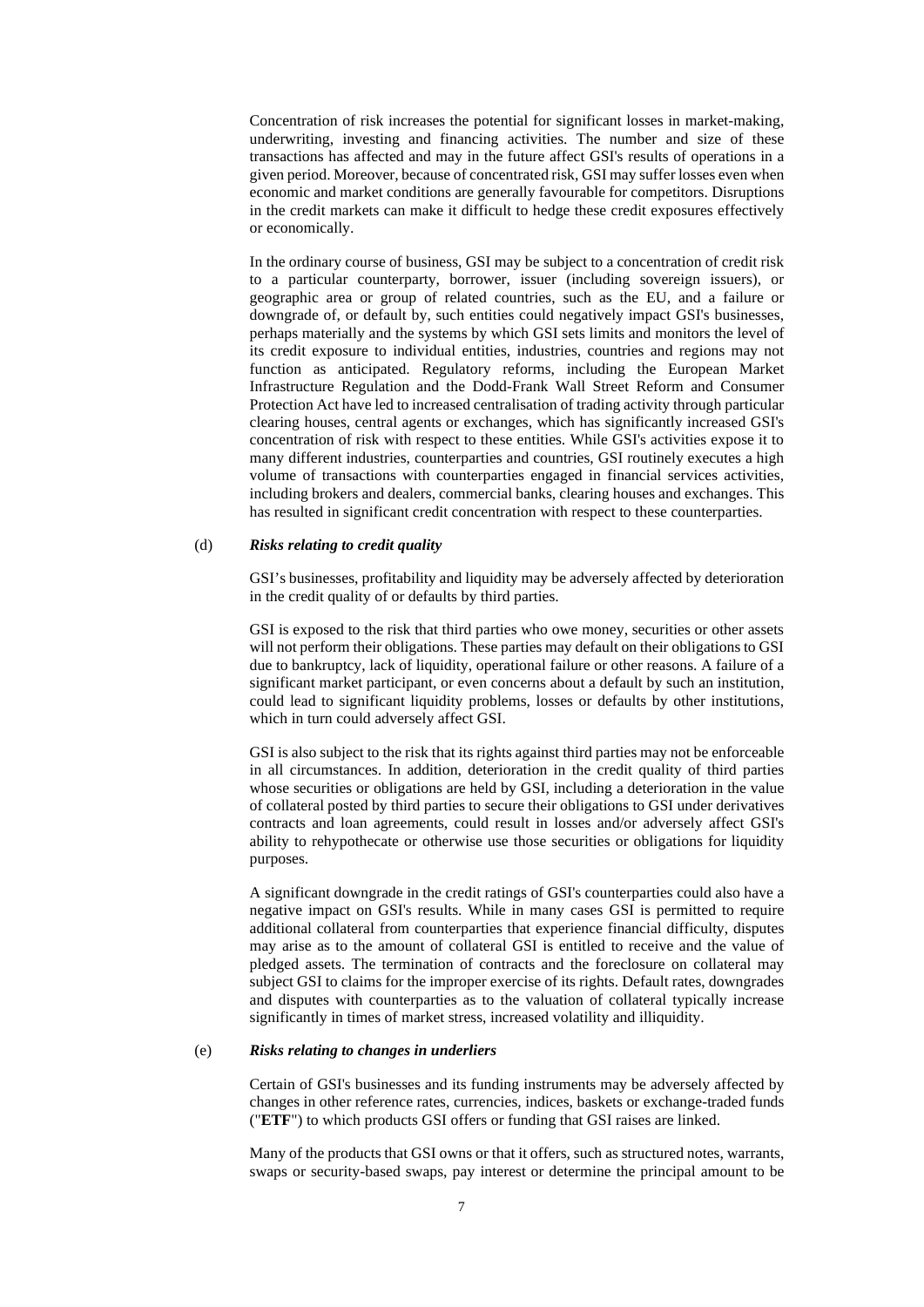Concentration of risk increases the potential for significant losses in market-making, underwriting, investing and financing activities. The number and size of these transactions has affected and may in the future affect GSI's results of operations in a given period. Moreover, because of concentrated risk, GSI may suffer losses even when economic and market conditions are generally favourable for competitors. Disruptions in the credit markets can make it difficult to hedge these credit exposures effectively or economically.

In the ordinary course of business, GSI may be subject to a concentration of credit risk to a particular counterparty, borrower, issuer (including sovereign issuers), or geographic area or group of related countries, such as the EU, and a failure or downgrade of, or default by, such entities could negatively impact GSI's businesses, perhaps materially and the systems by which GSI sets limits and monitors the level of its credit exposure to individual entities, industries, countries and regions may not function as anticipated. Regulatory reforms, including the European Market Infrastructure Regulation and the Dodd-Frank Wall Street Reform and Consumer Protection Act have led to increased centralisation of trading activity through particular clearing houses, central agents or exchanges, which has significantly increased GSI's concentration of risk with respect to these entities. While GSI's activities expose it to many different industries, counterparties and countries, GSI routinely executes a high volume of transactions with counterparties engaged in financial services activities, including brokers and dealers, commercial banks, clearing houses and exchanges. This has resulted in significant credit concentration with respect to these counterparties.

### (d) *Risks relating to credit quality*

GSI's businesses, profitability and liquidity may be adversely affected by deterioration in the credit quality of or defaults by third parties.

GSI is exposed to the risk that third parties who owe money, securities or other assets will not perform their obligations. These parties may default on their obligations to GSI due to bankruptcy, lack of liquidity, operational failure or other reasons. A failure of a significant market participant, or even concerns about a default by such an institution, could lead to significant liquidity problems, losses or defaults by other institutions, which in turn could adversely affect GSI.

GSI is also subject to the risk that its rights against third parties may not be enforceable in all circumstances. In addition, deterioration in the credit quality of third parties whose securities or obligations are held by GSI, including a deterioration in the value of collateral posted by third parties to secure their obligations to GSI under derivatives contracts and loan agreements, could result in losses and/or adversely affect GSI's ability to rehypothecate or otherwise use those securities or obligations for liquidity purposes.

A significant downgrade in the credit ratings of GSI's counterparties could also have a negative impact on GSI's results. While in many cases GSI is permitted to require additional collateral from counterparties that experience financial difficulty, disputes may arise as to the amount of collateral GSI is entitled to receive and the value of pledged assets. The termination of contracts and the foreclosure on collateral may subject GSI to claims for the improper exercise of its rights. Default rates, downgrades and disputes with counterparties as to the valuation of collateral typically increase significantly in times of market stress, increased volatility and illiquidity.

## (e) *Risks relating to changes in underliers*

Certain of GSI's businesses and its funding instruments may be adversely affected by changes in other reference rates, currencies, indices, baskets or exchange-traded funds ("**ETF**") to which products GSI offers or funding that GSI raises are linked.

Many of the products that GSI owns or that it offers, such as structured notes, warrants, swaps or security-based swaps, pay interest or determine the principal amount to be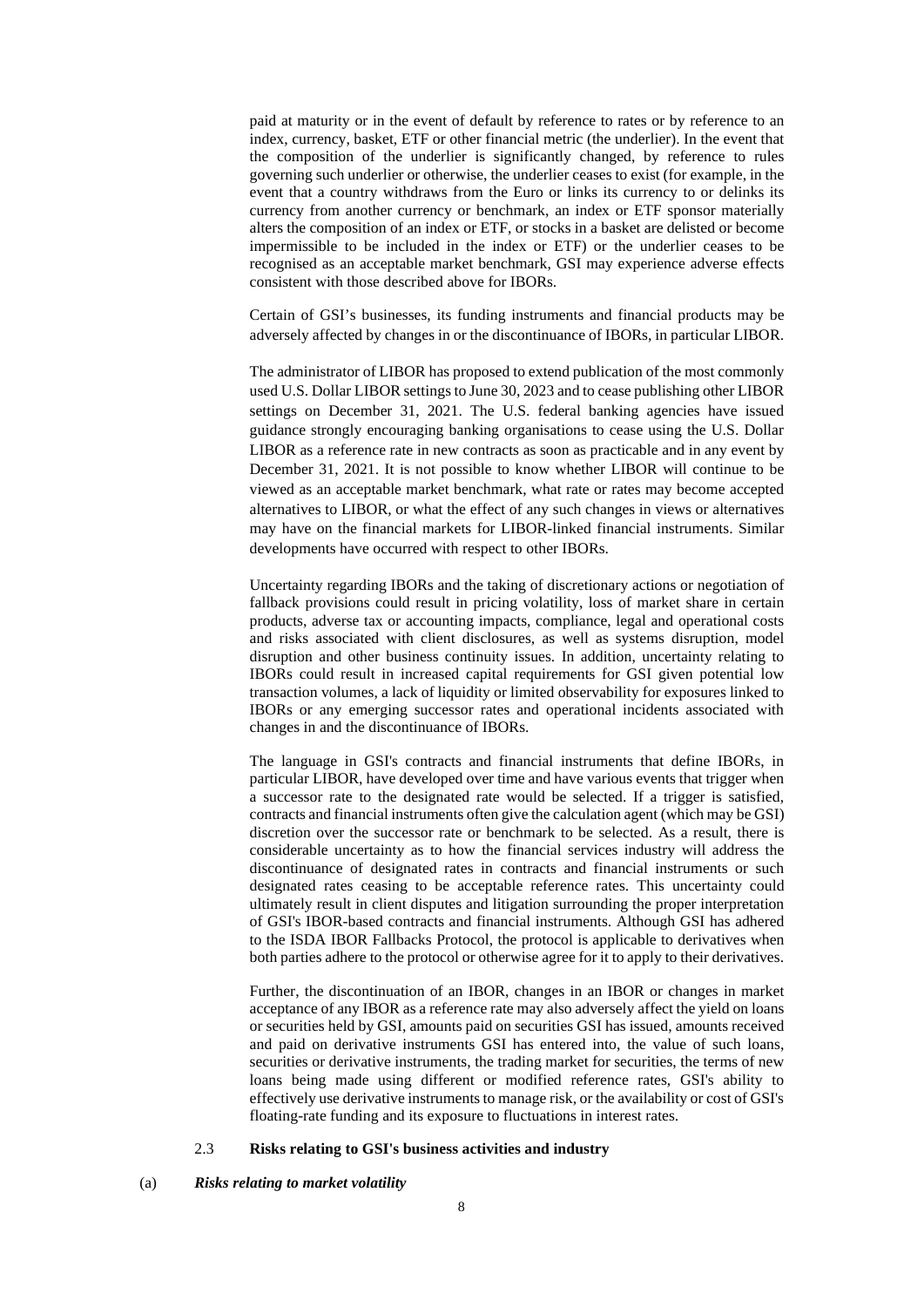paid at maturity or in the event of default by reference to rates or by reference to an index, currency, basket, ETF or other financial metric (the underlier). In the event that the composition of the underlier is significantly changed, by reference to rules governing such underlier or otherwise, the underlier ceases to exist (for example, in the event that a country withdraws from the Euro or links its currency to or delinks its currency from another currency or benchmark, an index or ETF sponsor materially alters the composition of an index or ETF, or stocks in a basket are delisted or become impermissible to be included in the index or ETF) or the underlier ceases to be recognised as an acceptable market benchmark, GSI may experience adverse effects consistent with those described above for IBORs.

Certain of GSI's businesses, its funding instruments and financial products may be adversely affected by changes in or the discontinuance of IBORs, in particular LIBOR.

The administrator of LIBOR has proposed to extend publication of the most commonly used U.S. Dollar LIBOR settings to June 30, 2023 and to cease publishing other LIBOR settings on December 31, 2021. The U.S. federal banking agencies have issued guidance strongly encouraging banking organisations to cease using the U.S. Dollar LIBOR as a reference rate in new contracts as soon as practicable and in any event by December 31, 2021. It is not possible to know whether LIBOR will continue to be viewed as an acceptable market benchmark, what rate or rates may become accepted alternatives to LIBOR, or what the effect of any such changes in views or alternatives may have on the financial markets for LIBOR-linked financial instruments. Similar developments have occurred with respect to other IBORs.

Uncertainty regarding IBORs and the taking of discretionary actions or negotiation of fallback provisions could result in pricing volatility, loss of market share in certain products, adverse tax or accounting impacts, compliance, legal and operational costs and risks associated with client disclosures, as well as systems disruption, model disruption and other business continuity issues. In addition, uncertainty relating to IBORs could result in increased capital requirements for GSI given potential low transaction volumes, a lack of liquidity or limited observability for exposures linked to IBORs or any emerging successor rates and operational incidents associated with changes in and the discontinuance of IBORs.

The language in GSI's contracts and financial instruments that define IBORs, in particular LIBOR, have developed over time and have various events that trigger when a successor rate to the designated rate would be selected. If a trigger is satisfied, contracts and financial instruments often give the calculation agent (which may be GSI) discretion over the successor rate or benchmark to be selected. As a result, there is considerable uncertainty as to how the financial services industry will address the discontinuance of designated rates in contracts and financial instruments or such designated rates ceasing to be acceptable reference rates. This uncertainty could ultimately result in client disputes and litigation surrounding the proper interpretation of GSI's IBOR-based contracts and financial instruments. Although GSI has adhered to the ISDA IBOR Fallbacks Protocol, the protocol is applicable to derivatives when both parties adhere to the protocol or otherwise agree for it to apply to their derivatives.

Further, the discontinuation of an IBOR, changes in an IBOR or changes in market acceptance of any IBOR as a reference rate may also adversely affect the yield on loans or securities held by GSI, amounts paid on securities GSI has issued, amounts received and paid on derivative instruments GSI has entered into, the value of such loans, securities or derivative instruments, the trading market for securities, the terms of new loans being made using different or modified reference rates, GSI's ability to effectively use derivative instruments to manage risk, or the availability or cost of GSI's floating-rate funding and its exposure to fluctuations in interest rates.

## 2.3 **Risks relating to GSI's business activities and industry**

## (a) *Risks relating to market volatility*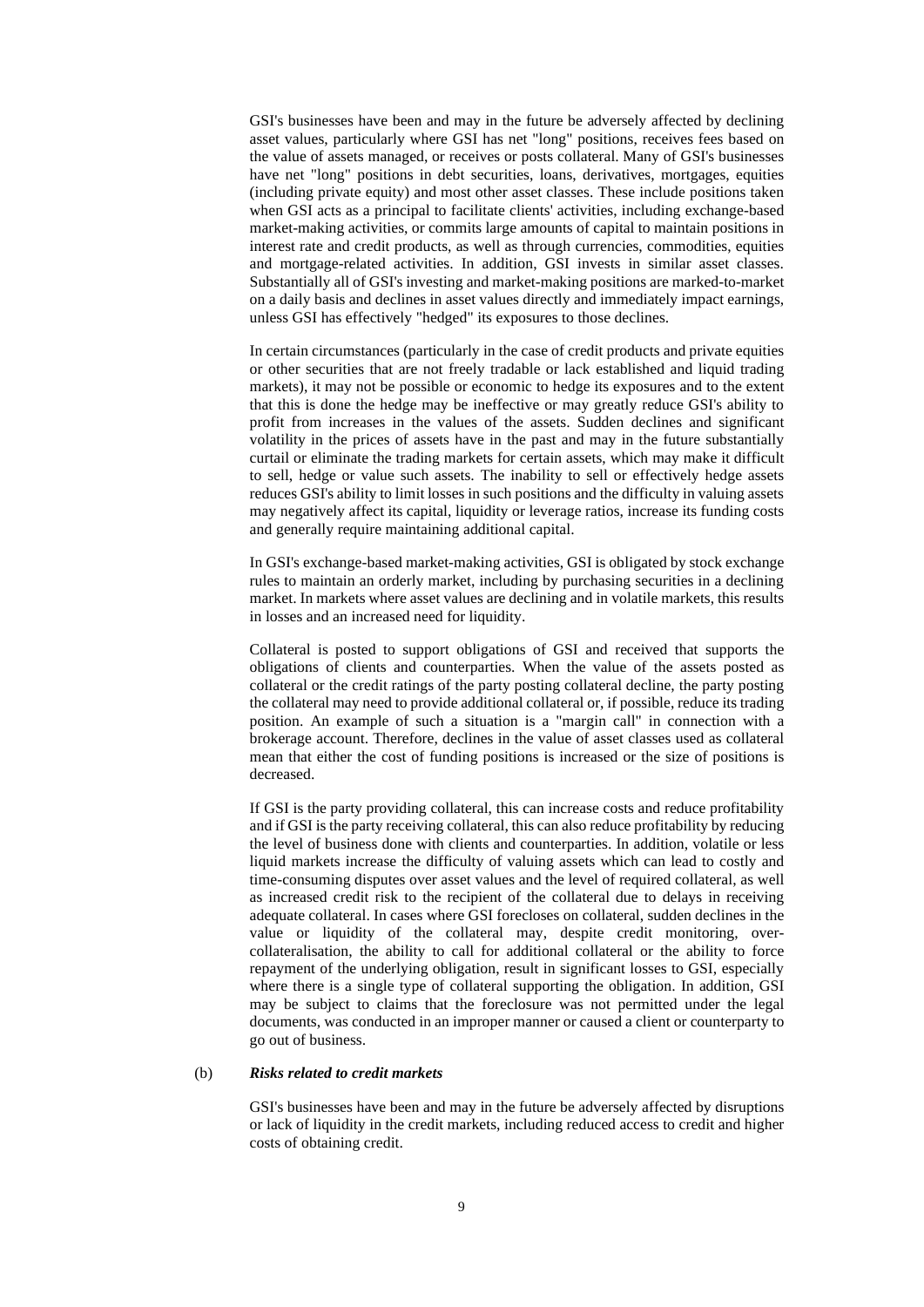GSI's businesses have been and may in the future be adversely affected by declining asset values, particularly where GSI has net "long" positions, receives fees based on the value of assets managed, or receives or posts collateral. Many of GSI's businesses have net "long" positions in debt securities, loans, derivatives, mortgages, equities (including private equity) and most other asset classes. These include positions taken when GSI acts as a principal to facilitate clients' activities, including exchange-based market-making activities, or commits large amounts of capital to maintain positions in interest rate and credit products, as well as through currencies, commodities, equities and mortgage-related activities. In addition, GSI invests in similar asset classes. Substantially all of GSI's investing and market-making positions are marked-to-market on a daily basis and declines in asset values directly and immediately impact earnings, unless GSI has effectively "hedged" its exposures to those declines.

In certain circumstances (particularly in the case of credit products and private equities or other securities that are not freely tradable or lack established and liquid trading markets), it may not be possible or economic to hedge its exposures and to the extent that this is done the hedge may be ineffective or may greatly reduce GSI's ability to profit from increases in the values of the assets. Sudden declines and significant volatility in the prices of assets have in the past and may in the future substantially curtail or eliminate the trading markets for certain assets, which may make it difficult to sell, hedge or value such assets. The inability to sell or effectively hedge assets reduces GSI's ability to limit losses in such positions and the difficulty in valuing assets may negatively affect its capital, liquidity or leverage ratios, increase its funding costs and generally require maintaining additional capital.

In GSI's exchange-based market-making activities, GSI is obligated by stock exchange rules to maintain an orderly market, including by purchasing securities in a declining market. In markets where asset values are declining and in volatile markets, this results in losses and an increased need for liquidity.

Collateral is posted to support obligations of GSI and received that supports the obligations of clients and counterparties. When the value of the assets posted as collateral or the credit ratings of the party posting collateral decline, the party posting the collateral may need to provide additional collateral or, if possible, reduce its trading position. An example of such a situation is a "margin call" in connection with a brokerage account. Therefore, declines in the value of asset classes used as collateral mean that either the cost of funding positions is increased or the size of positions is decreased.

If GSI is the party providing collateral, this can increase costs and reduce profitability and if GSI is the party receiving collateral, this can also reduce profitability by reducing the level of business done with clients and counterparties. In addition, volatile or less liquid markets increase the difficulty of valuing assets which can lead to costly and time-consuming disputes over asset values and the level of required collateral, as well as increased credit risk to the recipient of the collateral due to delays in receiving adequate collateral. In cases where GSI forecloses on collateral, sudden declines in the value or liquidity of the collateral may, despite credit monitoring, overcollateralisation, the ability to call for additional collateral or the ability to force repayment of the underlying obligation, result in significant losses to GSI, especially where there is a single type of collateral supporting the obligation. In addition, GSI may be subject to claims that the foreclosure was not permitted under the legal documents, was conducted in an improper manner or caused a client or counterparty to go out of business.

#### (b) *Risks related to credit markets*

GSI's businesses have been and may in the future be adversely affected by disruptions or lack of liquidity in the credit markets, including reduced access to credit and higher costs of obtaining credit.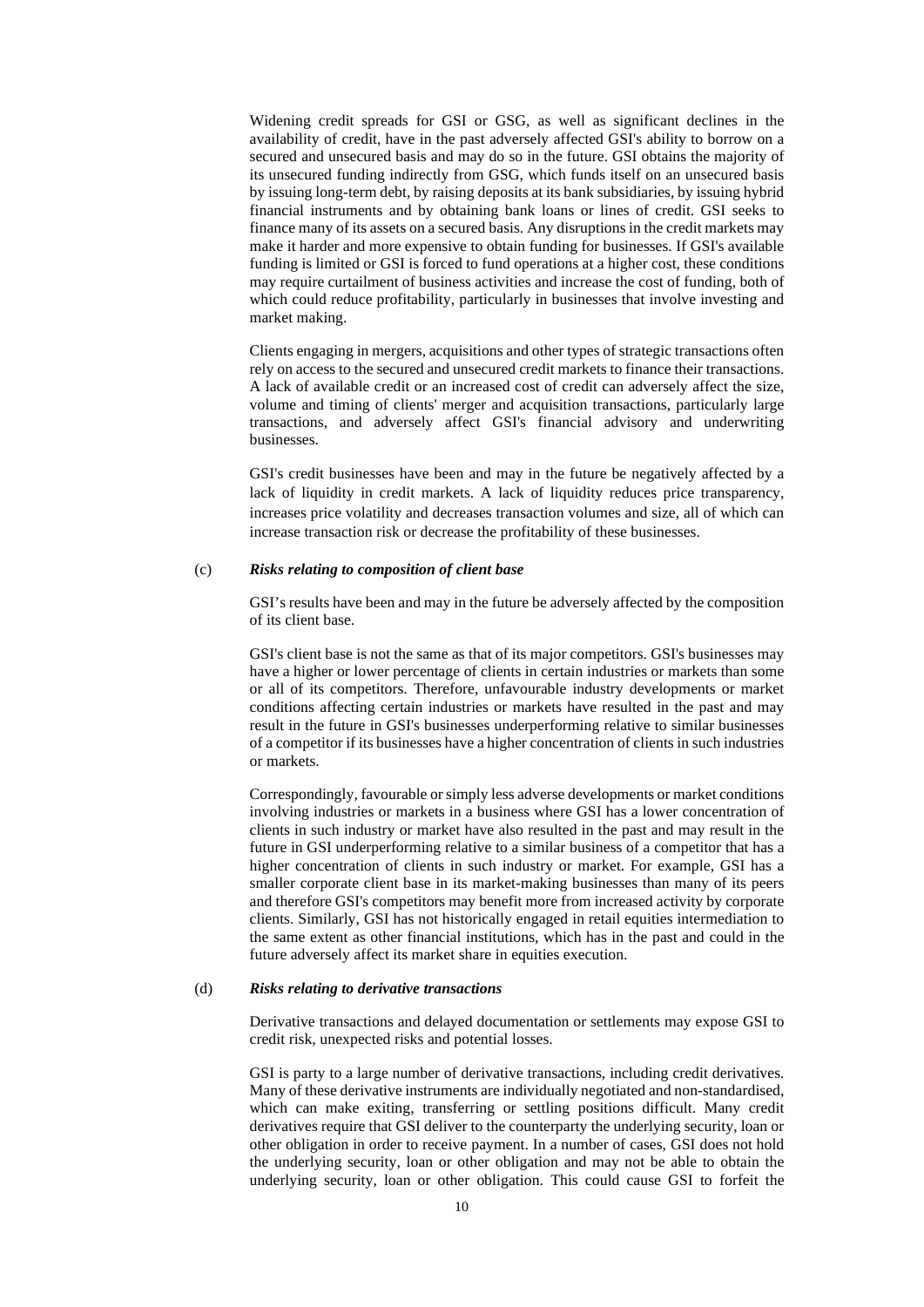Widening credit spreads for GSI or GSG, as well as significant declines in the availability of credit, have in the past adversely affected GSI's ability to borrow on a secured and unsecured basis and may do so in the future. GSI obtains the majority of its unsecured funding indirectly from GSG, which funds itself on an unsecured basis by issuing long-term debt, by raising deposits at its bank subsidiaries, by issuing hybrid financial instruments and by obtaining bank loans or lines of credit. GSI seeks to finance many of its assets on a secured basis. Any disruptions in the credit markets may make it harder and more expensive to obtain funding for businesses. If GSI's available funding is limited or GSI is forced to fund operations at a higher cost, these conditions may require curtailment of business activities and increase the cost of funding, both of which could reduce profitability, particularly in businesses that involve investing and market making.

Clients engaging in mergers, acquisitions and other types of strategic transactions often rely on access to the secured and unsecured credit markets to finance their transactions. A lack of available credit or an increased cost of credit can adversely affect the size, volume and timing of clients' merger and acquisition transactions, particularly large transactions, and adversely affect GSI's financial advisory and underwriting businesses.

GSI's credit businesses have been and may in the future be negatively affected by a lack of liquidity in credit markets. A lack of liquidity reduces price transparency, increases price volatility and decreases transaction volumes and size, all of which can increase transaction risk or decrease the profitability of these businesses.

## (c) *Risks relating to composition of client base*

GSI's results have been and may in the future be adversely affected by the composition of its client base.

GSI's client base is not the same as that of its major competitors. GSI's businesses may have a higher or lower percentage of clients in certain industries or markets than some or all of its competitors. Therefore, unfavourable industry developments or market conditions affecting certain industries or markets have resulted in the past and may result in the future in GSI's businesses underperforming relative to similar businesses of a competitor if its businesses have a higher concentration of clients in such industries or markets.

Correspondingly, favourable or simply less adverse developments or market conditions involving industries or markets in a business where GSI has a lower concentration of clients in such industry or market have also resulted in the past and may result in the future in GSI underperforming relative to a similar business of a competitor that has a higher concentration of clients in such industry or market. For example, GSI has a smaller corporate client base in its market-making businesses than many of its peers and therefore GSI's competitors may benefit more from increased activity by corporate clients. Similarly, GSI has not historically engaged in retail equities intermediation to the same extent as other financial institutions, which has in the past and could in the future adversely affect its market share in equities execution.

#### (d) *Risks relating to derivative transactions*

Derivative transactions and delayed documentation or settlements may expose GSI to credit risk, unexpected risks and potential losses.

GSI is party to a large number of derivative transactions, including credit derivatives. Many of these derivative instruments are individually negotiated and non-standardised, which can make exiting, transferring or settling positions difficult. Many credit derivatives require that GSI deliver to the counterparty the underlying security, loan or other obligation in order to receive payment. In a number of cases, GSI does not hold the underlying security, loan or other obligation and may not be able to obtain the underlying security, loan or other obligation. This could cause GSI to forfeit the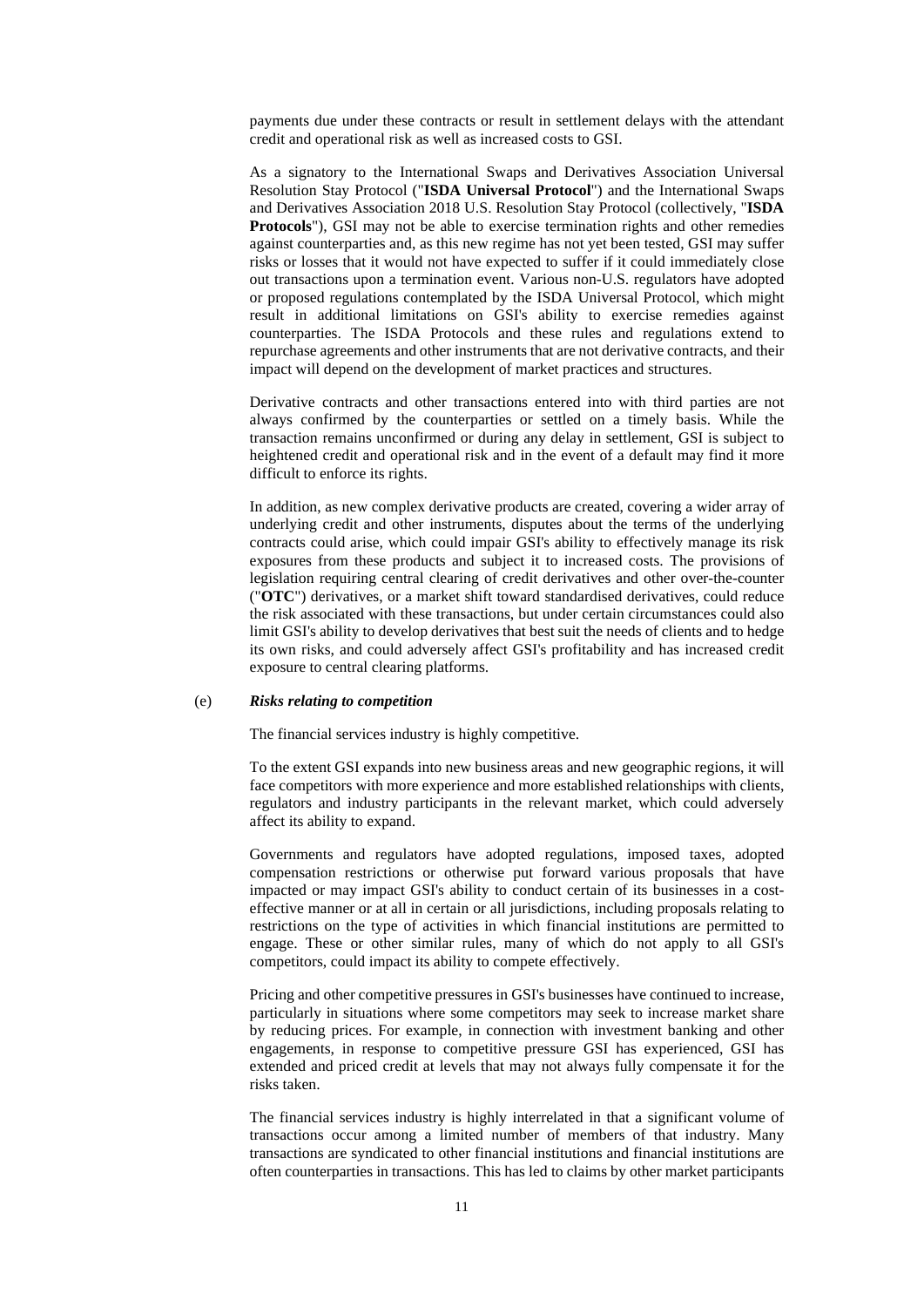payments due under these contracts or result in settlement delays with the attendant credit and operational risk as well as increased costs to GSI.

As a signatory to the International Swaps and Derivatives Association Universal Resolution Stay Protocol ("**ISDA Universal Protocol**") and the International Swaps and Derivatives Association 2018 U.S. Resolution Stay Protocol (collectively, "**ISDA Protocols**"), GSI may not be able to exercise termination rights and other remedies against counterparties and, as this new regime has not yet been tested, GSI may suffer risks or losses that it would not have expected to suffer if it could immediately close out transactions upon a termination event. Various non-U.S. regulators have adopted or proposed regulations contemplated by the ISDA Universal Protocol, which might result in additional limitations on GSI's ability to exercise remedies against counterparties. The ISDA Protocols and these rules and regulations extend to repurchase agreements and other instruments that are not derivative contracts, and their impact will depend on the development of market practices and structures.

Derivative contracts and other transactions entered into with third parties are not always confirmed by the counterparties or settled on a timely basis. While the transaction remains unconfirmed or during any delay in settlement, GSI is subject to heightened credit and operational risk and in the event of a default may find it more difficult to enforce its rights.

In addition, as new complex derivative products are created, covering a wider array of underlying credit and other instruments, disputes about the terms of the underlying contracts could arise, which could impair GSI's ability to effectively manage its risk exposures from these products and subject it to increased costs. The provisions of legislation requiring central clearing of credit derivatives and other over-the-counter ("**OTC**") derivatives, or a market shift toward standardised derivatives, could reduce the risk associated with these transactions, but under certain circumstances could also limit GSI's ability to develop derivatives that best suit the needs of clients and to hedge its own risks, and could adversely affect GSI's profitability and has increased credit exposure to central clearing platforms.

#### (e) *Risks relating to competition*

The financial services industry is highly competitive.

To the extent GSI expands into new business areas and new geographic regions, it will face competitors with more experience and more established relationships with clients, regulators and industry participants in the relevant market, which could adversely affect its ability to expand.

Governments and regulators have adopted regulations, imposed taxes, adopted compensation restrictions or otherwise put forward various proposals that have impacted or may impact GSI's ability to conduct certain of its businesses in a costeffective manner or at all in certain or all jurisdictions, including proposals relating to restrictions on the type of activities in which financial institutions are permitted to engage. These or other similar rules, many of which do not apply to all GSI's competitors, could impact its ability to compete effectively.

Pricing and other competitive pressures in GSI's businesses have continued to increase, particularly in situations where some competitors may seek to increase market share by reducing prices. For example, in connection with investment banking and other engagements, in response to competitive pressure GSI has experienced, GSI has extended and priced credit at levels that may not always fully compensate it for the risks taken.

The financial services industry is highly interrelated in that a significant volume of transactions occur among a limited number of members of that industry. Many transactions are syndicated to other financial institutions and financial institutions are often counterparties in transactions. This has led to claims by other market participants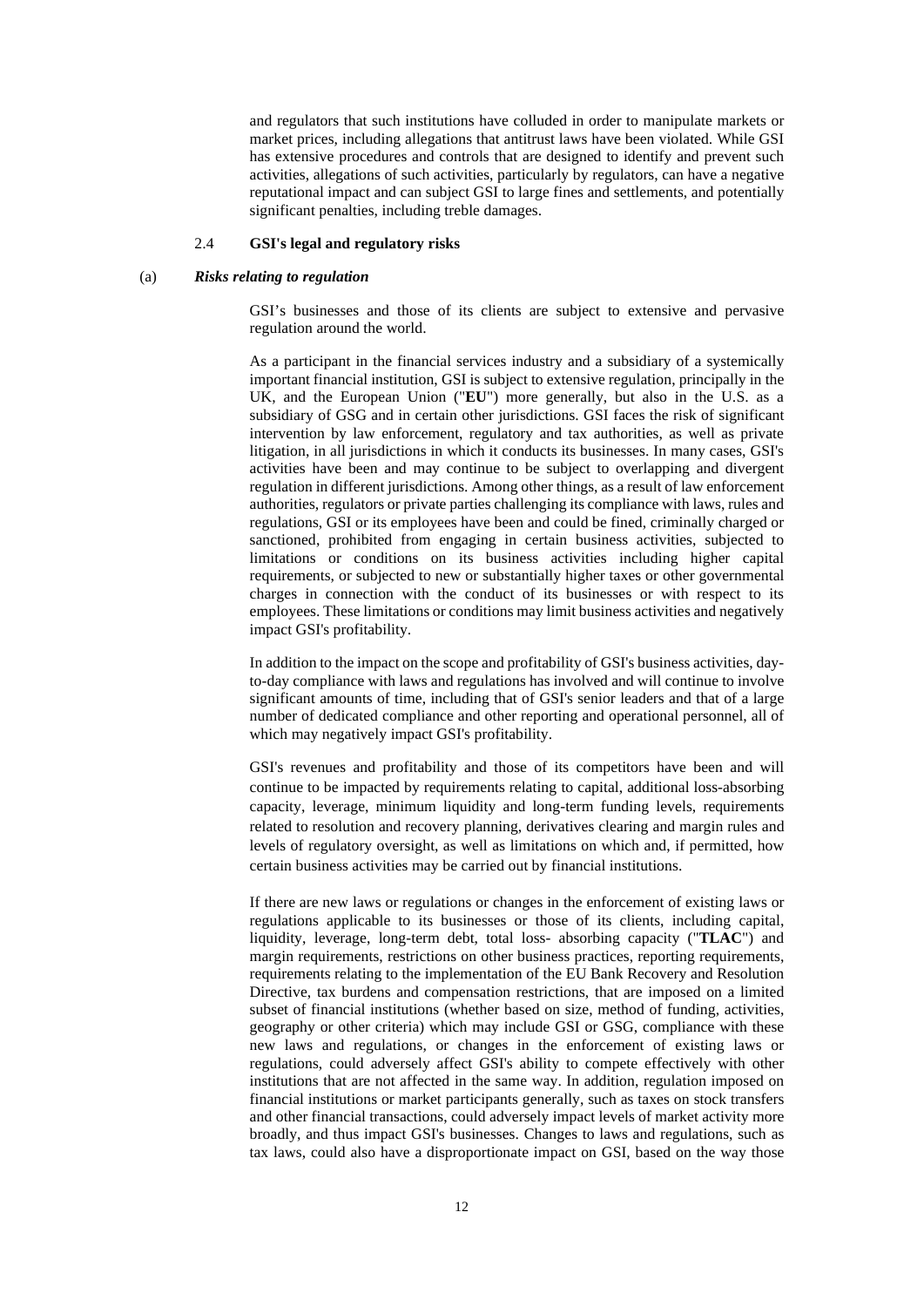and regulators that such institutions have colluded in order to manipulate markets or market prices, including allegations that antitrust laws have been violated. While GSI has extensive procedures and controls that are designed to identify and prevent such activities, allegations of such activities, particularly by regulators, can have a negative reputational impact and can subject GSI to large fines and settlements, and potentially significant penalties, including treble damages.

## 2.4 **GSI's legal and regulatory risks**

#### (a) *Risks relating to regulation*

GSI's businesses and those of its clients are subject to extensive and pervasive regulation around the world.

As a participant in the financial services industry and a subsidiary of a systemically important financial institution, GSI is subject to extensive regulation, principally in the UK, and the European Union ("**EU**") more generally, but also in the U.S. as a subsidiary of GSG and in certain other jurisdictions. GSI faces the risk of significant intervention by law enforcement, regulatory and tax authorities, as well as private litigation, in all jurisdictions in which it conducts its businesses. In many cases, GSI's activities have been and may continue to be subject to overlapping and divergent regulation in different jurisdictions. Among other things, as a result of law enforcement authorities, regulators or private parties challenging its compliance with laws, rules and regulations, GSI or its employees have been and could be fined, criminally charged or sanctioned, prohibited from engaging in certain business activities, subjected to limitations or conditions on its business activities including higher capital requirements, or subjected to new or substantially higher taxes or other governmental charges in connection with the conduct of its businesses or with respect to its employees. These limitations or conditions may limit business activities and negatively impact GSI's profitability.

In addition to the impact on the scope and profitability of GSI's business activities, dayto-day compliance with laws and regulations has involved and will continue to involve significant amounts of time, including that of GSI's senior leaders and that of a large number of dedicated compliance and other reporting and operational personnel, all of which may negatively impact GSI's profitability.

GSI's revenues and profitability and those of its competitors have been and will continue to be impacted by requirements relating to capital, additional loss-absorbing capacity, leverage, minimum liquidity and long-term funding levels, requirements related to resolution and recovery planning, derivatives clearing and margin rules and levels of regulatory oversight, as well as limitations on which and, if permitted, how certain business activities may be carried out by financial institutions.

If there are new laws or regulations or changes in the enforcement of existing laws or regulations applicable to its businesses or those of its clients, including capital, liquidity, leverage, long-term debt, total loss- absorbing capacity ("**TLAC**") and margin requirements, restrictions on other business practices, reporting requirements, requirements relating to the implementation of the EU Bank Recovery and Resolution Directive, tax burdens and compensation restrictions, that are imposed on a limited subset of financial institutions (whether based on size, method of funding, activities, geography or other criteria) which may include GSI or GSG, compliance with these new laws and regulations, or changes in the enforcement of existing laws or regulations, could adversely affect GSI's ability to compete effectively with other institutions that are not affected in the same way. In addition, regulation imposed on financial institutions or market participants generally, such as taxes on stock transfers and other financial transactions, could adversely impact levels of market activity more broadly, and thus impact GSI's businesses. Changes to laws and regulations, such as tax laws, could also have a disproportionate impact on GSI, based on the way those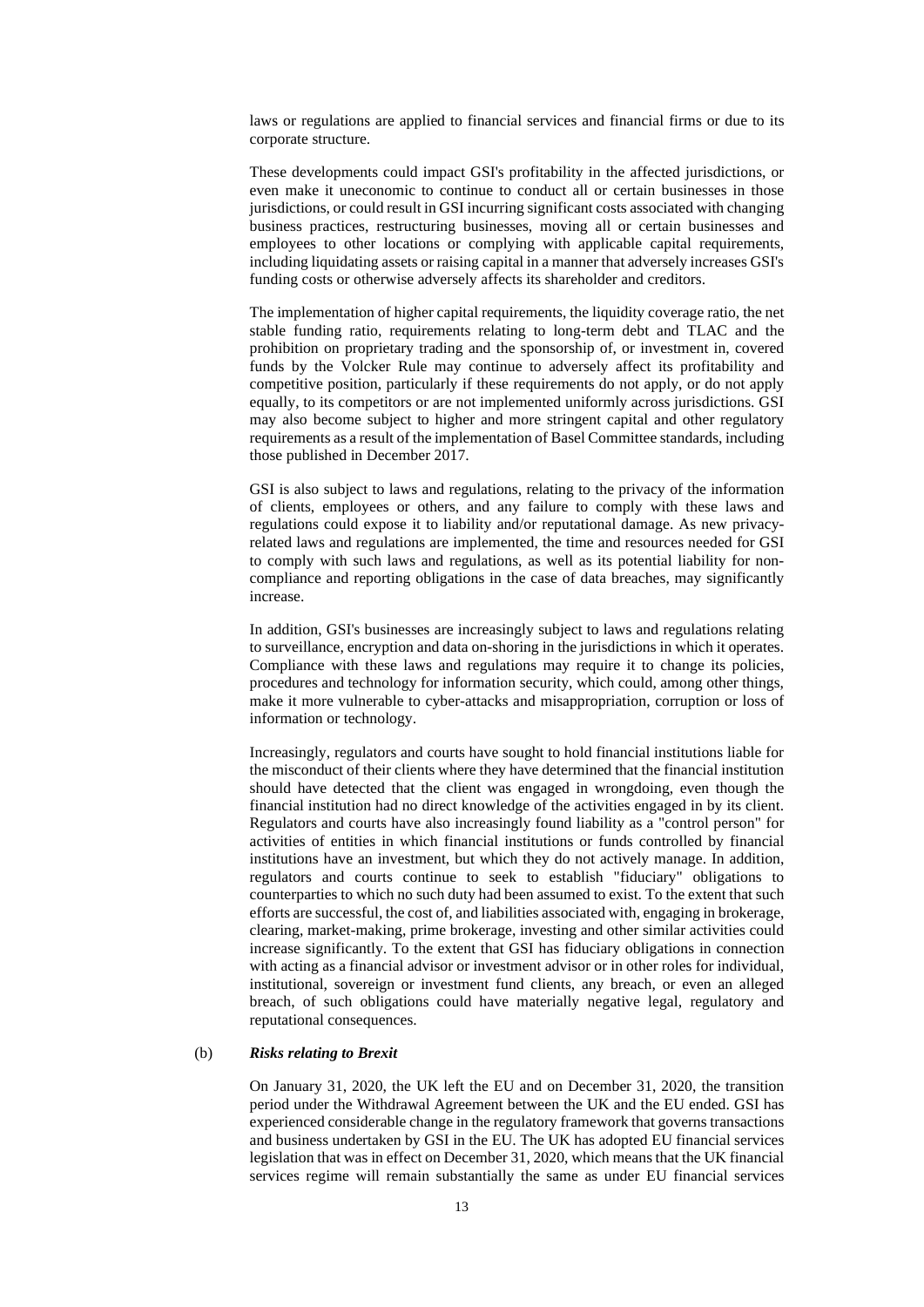laws or regulations are applied to financial services and financial firms or due to its corporate structure.

These developments could impact GSI's profitability in the affected jurisdictions, or even make it uneconomic to continue to conduct all or certain businesses in those jurisdictions, or could result in GSI incurring significant costs associated with changing business practices, restructuring businesses, moving all or certain businesses and employees to other locations or complying with applicable capital requirements, including liquidating assets or raising capital in a manner that adversely increases GSI's funding costs or otherwise adversely affects its shareholder and creditors.

The implementation of higher capital requirements, the liquidity coverage ratio, the net stable funding ratio, requirements relating to long-term debt and TLAC and the prohibition on proprietary trading and the sponsorship of, or investment in, covered funds by the Volcker Rule may continue to adversely affect its profitability and competitive position, particularly if these requirements do not apply, or do not apply equally, to its competitors or are not implemented uniformly across jurisdictions. GSI may also become subject to higher and more stringent capital and other regulatory requirements as a result of the implementation of Basel Committee standards, including those published in December 2017.

GSI is also subject to laws and regulations, relating to the privacy of the information of clients, employees or others, and any failure to comply with these laws and regulations could expose it to liability and/or reputational damage. As new privacyrelated laws and regulations are implemented, the time and resources needed for GSI to comply with such laws and regulations, as well as its potential liability for noncompliance and reporting obligations in the case of data breaches, may significantly increase.

In addition, GSI's businesses are increasingly subject to laws and regulations relating to surveillance, encryption and data on-shoring in the jurisdictions in which it operates. Compliance with these laws and regulations may require it to change its policies, procedures and technology for information security, which could, among other things, make it more vulnerable to cyber-attacks and misappropriation, corruption or loss of information or technology.

Increasingly, regulators and courts have sought to hold financial institutions liable for the misconduct of their clients where they have determined that the financial institution should have detected that the client was engaged in wrongdoing, even though the financial institution had no direct knowledge of the activities engaged in by its client. Regulators and courts have also increasingly found liability as a "control person" for activities of entities in which financial institutions or funds controlled by financial institutions have an investment, but which they do not actively manage. In addition, regulators and courts continue to seek to establish "fiduciary" obligations to counterparties to which no such duty had been assumed to exist. To the extent that such efforts are successful, the cost of, and liabilities associated with, engaging in brokerage, clearing, market-making, prime brokerage, investing and other similar activities could increase significantly. To the extent that GSI has fiduciary obligations in connection with acting as a financial advisor or investment advisor or in other roles for individual, institutional, sovereign or investment fund clients, any breach, or even an alleged breach, of such obligations could have materially negative legal, regulatory and reputational consequences.

#### (b) *Risks relating to Brexit*

On January 31, 2020, the UK left the EU and on December 31, 2020, the transition period under the Withdrawal Agreement between the UK and the EU ended. GSI has experienced considerable change in the regulatory framework that governs transactions and business undertaken by GSI in the EU. The UK has adopted EU financial services legislation that was in effect on December 31, 2020, which means that the UK financial services regime will remain substantially the same as under EU financial services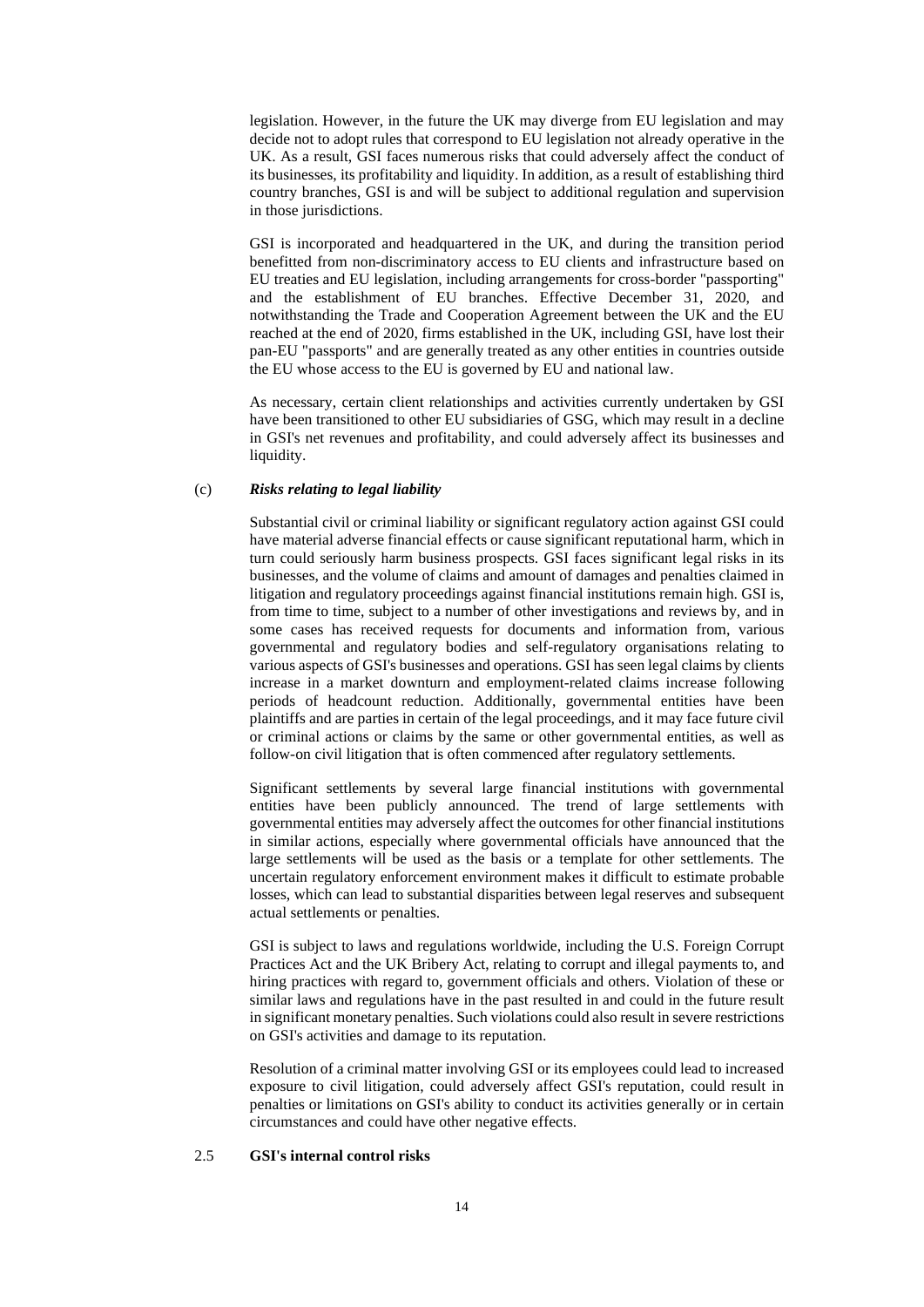legislation. However, in the future the UK may diverge from EU legislation and may decide not to adopt rules that correspond to EU legislation not already operative in the UK. As a result, GSI faces numerous risks that could adversely affect the conduct of its businesses, its profitability and liquidity. In addition, as a result of establishing third country branches, GSI is and will be subject to additional regulation and supervision in those jurisdictions.

GSI is incorporated and headquartered in the UK, and during the transition period benefitted from non-discriminatory access to EU clients and infrastructure based on EU treaties and EU legislation, including arrangements for cross-border "passporting" and the establishment of EU branches. Effective December 31, 2020, and notwithstanding the Trade and Cooperation Agreement between the UK and the EU reached at the end of 2020, firms established in the UK, including GSI, have lost their pan-EU "passports" and are generally treated as any other entities in countries outside the EU whose access to the EU is governed by EU and national law.

As necessary, certain client relationships and activities currently undertaken by GSI have been transitioned to other EU subsidiaries of GSG, which may result in a decline in GSI's net revenues and profitability, and could adversely affect its businesses and liquidity.

#### (c) *Risks relating to legal liability*

Substantial civil or criminal liability or significant regulatory action against GSI could have material adverse financial effects or cause significant reputational harm, which in turn could seriously harm business prospects. GSI faces significant legal risks in its businesses, and the volume of claims and amount of damages and penalties claimed in litigation and regulatory proceedings against financial institutions remain high. GSI is, from time to time, subject to a number of other investigations and reviews by, and in some cases has received requests for documents and information from, various governmental and regulatory bodies and self-regulatory organisations relating to various aspects of GSI's businesses and operations. GSI has seen legal claims by clients increase in a market downturn and employment-related claims increase following periods of headcount reduction. Additionally, governmental entities have been plaintiffs and are parties in certain of the legal proceedings, and it may face future civil or criminal actions or claims by the same or other governmental entities, as well as follow-on civil litigation that is often commenced after regulatory settlements.

Significant settlements by several large financial institutions with governmental entities have been publicly announced. The trend of large settlements with governmental entities may adversely affect the outcomes for other financial institutions in similar actions, especially where governmental officials have announced that the large settlements will be used as the basis or a template for other settlements. The uncertain regulatory enforcement environment makes it difficult to estimate probable losses, which can lead to substantial disparities between legal reserves and subsequent actual settlements or penalties.

GSI is subject to laws and regulations worldwide, including the U.S. Foreign Corrupt Practices Act and the UK Bribery Act, relating to corrupt and illegal payments to, and hiring practices with regard to, government officials and others. Violation of these or similar laws and regulations have in the past resulted in and could in the future result in significant monetary penalties. Such violations could also result in severe restrictions on GSI's activities and damage to its reputation.

Resolution of a criminal matter involving GSI or its employees could lead to increased exposure to civil litigation, could adversely affect GSI's reputation, could result in penalties or limitations on GSI's ability to conduct its activities generally or in certain circumstances and could have other negative effects.

### 2.5 **GSI's internal control risks**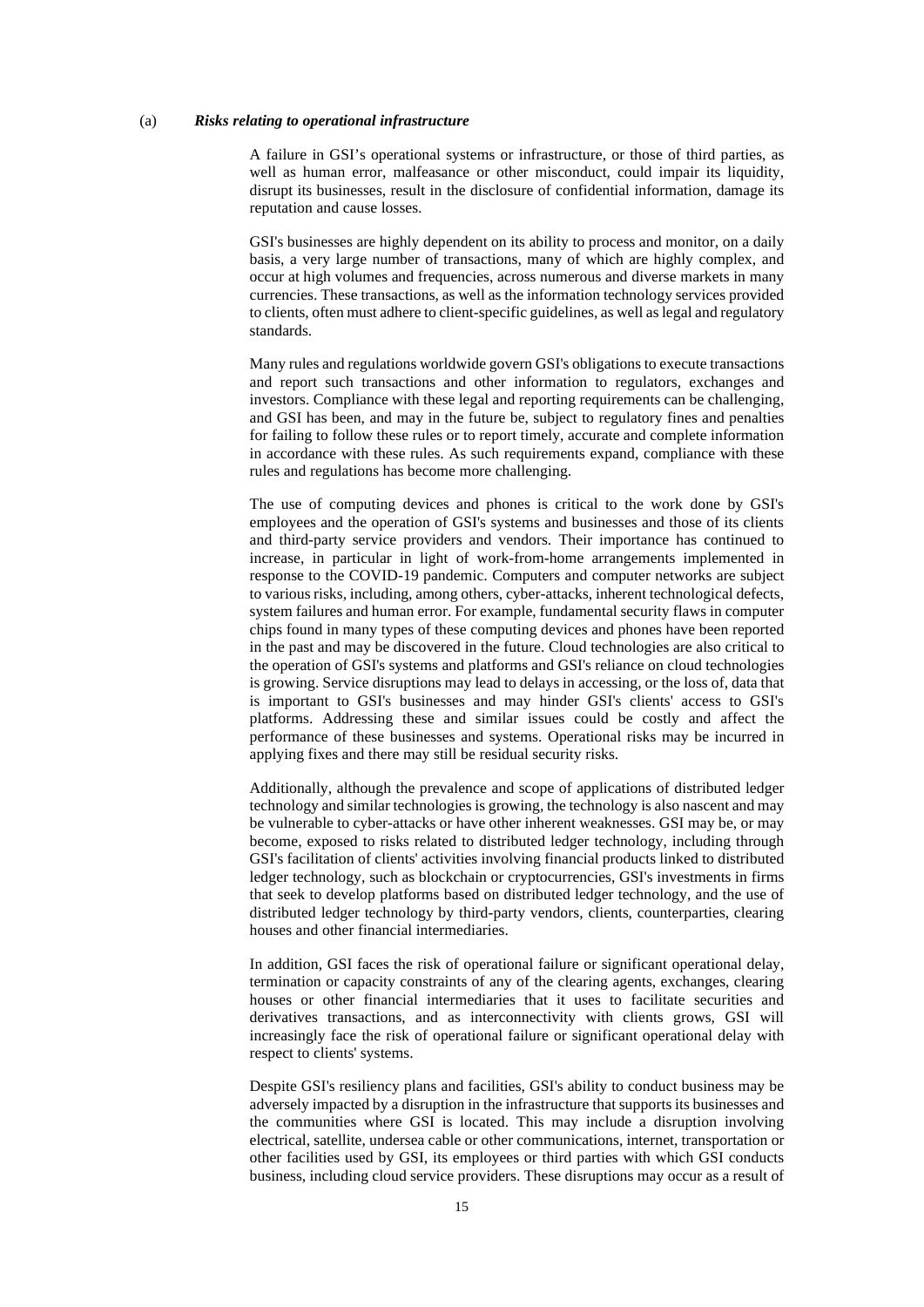#### (a) *Risks relating to operational infrastructure*

A failure in GSI's operational systems or infrastructure, or those of third parties, as well as human error, malfeasance or other misconduct, could impair its liquidity, disrupt its businesses, result in the disclosure of confidential information, damage its reputation and cause losses.

GSI's businesses are highly dependent on its ability to process and monitor, on a daily basis, a very large number of transactions, many of which are highly complex, and occur at high volumes and frequencies, across numerous and diverse markets in many currencies. These transactions, as well as the information technology services provided to clients, often must adhere to client-specific guidelines, as well as legal and regulatory standards.

Many rules and regulations worldwide govern GSI's obligations to execute transactions and report such transactions and other information to regulators, exchanges and investors. Compliance with these legal and reporting requirements can be challenging, and GSI has been, and may in the future be, subject to regulatory fines and penalties for failing to follow these rules or to report timely, accurate and complete information in accordance with these rules. As such requirements expand, compliance with these rules and regulations has become more challenging.

The use of computing devices and phones is critical to the work done by GSI's employees and the operation of GSI's systems and businesses and those of its clients and third-party service providers and vendors. Their importance has continued to increase, in particular in light of work-from-home arrangements implemented in response to the COVID-19 pandemic. Computers and computer networks are subject to various risks, including, among others, cyber-attacks, inherent technological defects, system failures and human error. For example, fundamental security flaws in computer chips found in many types of these computing devices and phones have been reported in the past and may be discovered in the future. Cloud technologies are also critical to the operation of GSI's systems and platforms and GSI's reliance on cloud technologies is growing. Service disruptions may lead to delays in accessing, or the loss of, data that is important to GSI's businesses and may hinder GSI's clients' access to GSI's platforms. Addressing these and similar issues could be costly and affect the performance of these businesses and systems. Operational risks may be incurred in applying fixes and there may still be residual security risks.

Additionally, although the prevalence and scope of applications of distributed ledger technology and similar technologies is growing, the technology is also nascent and may be vulnerable to cyber-attacks or have other inherent weaknesses. GSI may be, or may become, exposed to risks related to distributed ledger technology, including through GSI's facilitation of clients' activities involving financial products linked to distributed ledger technology, such as blockchain or cryptocurrencies, GSI's investments in firms that seek to develop platforms based on distributed ledger technology, and the use of distributed ledger technology by third-party vendors, clients, counterparties, clearing houses and other financial intermediaries.

In addition, GSI faces the risk of operational failure or significant operational delay, termination or capacity constraints of any of the clearing agents, exchanges, clearing houses or other financial intermediaries that it uses to facilitate securities and derivatives transactions, and as interconnectivity with clients grows, GSI will increasingly face the risk of operational failure or significant operational delay with respect to clients' systems.

Despite GSI's resiliency plans and facilities, GSI's ability to conduct business may be adversely impacted by a disruption in the infrastructure that supports its businesses and the communities where GSI is located. This may include a disruption involving electrical, satellite, undersea cable or other communications, internet, transportation or other facilities used by GSI, its employees or third parties with which GSI conducts business, including cloud service providers. These disruptions may occur as a result of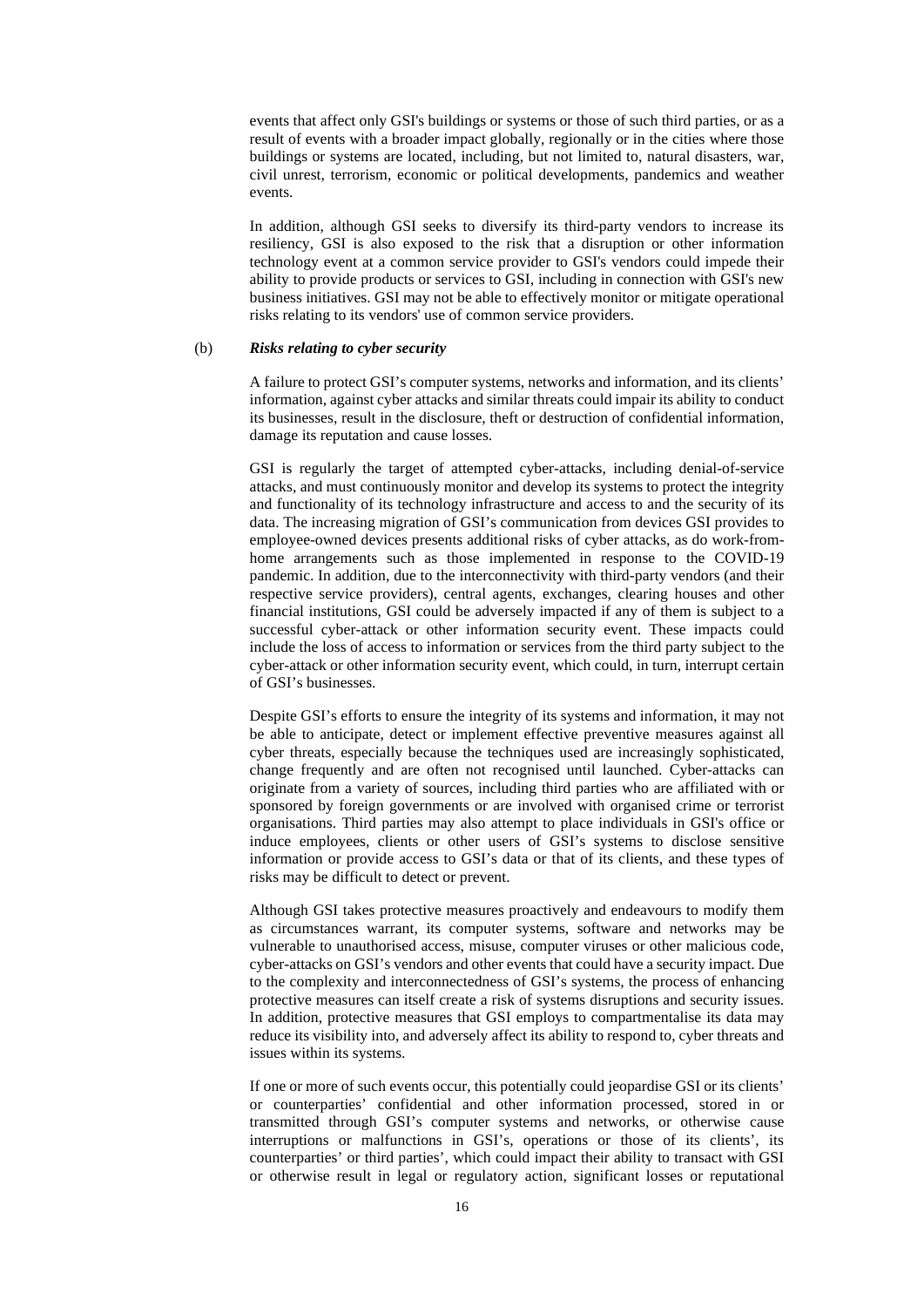events that affect only GSI's buildings or systems or those of such third parties, or as a result of events with a broader impact globally, regionally or in the cities where those buildings or systems are located, including, but not limited to, natural disasters, war, civil unrest, terrorism, economic or political developments, pandemics and weather events.

In addition, although GSI seeks to diversify its third-party vendors to increase its resiliency, GSI is also exposed to the risk that a disruption or other information technology event at a common service provider to GSI's vendors could impede their ability to provide products or services to GSI, including in connection with GSI's new business initiatives. GSI may not be able to effectively monitor or mitigate operational risks relating to its vendors' use of common service providers.

## (b) *Risks relating to cyber security*

A failure to protect GSI's computer systems, networks and information, and its clients' information, against cyber attacks and similar threats could impair its ability to conduct its businesses, result in the disclosure, theft or destruction of confidential information, damage its reputation and cause losses.

GSI is regularly the target of attempted cyber-attacks, including denial-of-service attacks, and must continuously monitor and develop its systems to protect the integrity and functionality of its technology infrastructure and access to and the security of its data. The increasing migration of GSI's communication from devices GSI provides to employee-owned devices presents additional risks of cyber attacks, as do work-fromhome arrangements such as those implemented in response to the COVID-19 pandemic. In addition, due to the interconnectivity with third-party vendors (and their respective service providers), central agents, exchanges, clearing houses and other financial institutions, GSI could be adversely impacted if any of them is subject to a successful cyber-attack or other information security event. These impacts could include the loss of access to information or services from the third party subject to the cyber-attack or other information security event, which could, in turn, interrupt certain of GSI's businesses.

Despite GSI's efforts to ensure the integrity of its systems and information, it may not be able to anticipate, detect or implement effective preventive measures against all cyber threats, especially because the techniques used are increasingly sophisticated, change frequently and are often not recognised until launched. Cyber-attacks can originate from a variety of sources, including third parties who are affiliated with or sponsored by foreign governments or are involved with organised crime or terrorist organisations. Third parties may also attempt to place individuals in GSI's office or induce employees, clients or other users of GSI's systems to disclose sensitive information or provide access to GSI's data or that of its clients, and these types of risks may be difficult to detect or prevent.

Although GSI takes protective measures proactively and endeavours to modify them as circumstances warrant, its computer systems, software and networks may be vulnerable to unauthorised access, misuse, computer viruses or other malicious code, cyber-attacks on GSI's vendors and other events that could have a security impact. Due to the complexity and interconnectedness of GSI's systems, the process of enhancing protective measures can itself create a risk of systems disruptions and security issues. In addition, protective measures that GSI employs to compartmentalise its data may reduce its visibility into, and adversely affect its ability to respond to, cyber threats and issues within its systems.

If one or more of such events occur, this potentially could jeopardise GSI or its clients' or counterparties' confidential and other information processed, stored in or transmitted through GSI's computer systems and networks, or otherwise cause interruptions or malfunctions in GSI's, operations or those of its clients', its counterparties' or third parties', which could impact their ability to transact with GSI or otherwise result in legal or regulatory action, significant losses or reputational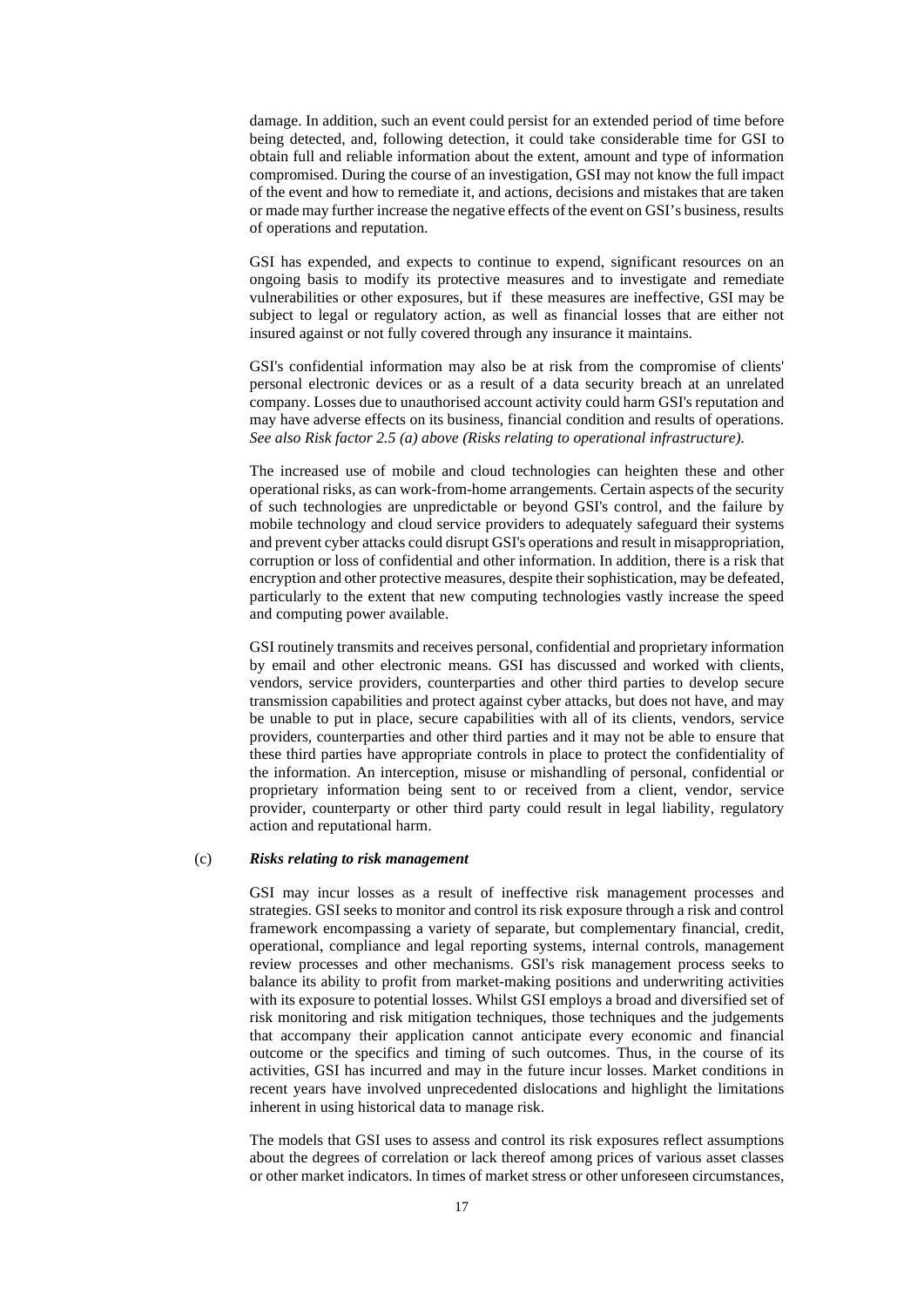damage. In addition, such an event could persist for an extended period of time before being detected, and, following detection, it could take considerable time for GSI to obtain full and reliable information about the extent, amount and type of information compromised. During the course of an investigation, GSI may not know the full impact of the event and how to remediate it, and actions, decisions and mistakes that are taken or made may further increase the negative effects of the event on GSI's business, results of operations and reputation.

GSI has expended, and expects to continue to expend, significant resources on an ongoing basis to modify its protective measures and to investigate and remediate vulnerabilities or other exposures, but if these measures are ineffective, GSI may be subject to legal or regulatory action, as well as financial losses that are either not insured against or not fully covered through any insurance it maintains.

GSI's confidential information may also be at risk from the compromise of clients' personal electronic devices or as a result of a data security breach at an unrelated company. Losses due to unauthorised account activity could harm GSI's reputation and may have adverse effects on its business, financial condition and results of operations. *See also Risk factor 2.5 (a) above (Risks relating to operational infrastructure).* 

The increased use of mobile and cloud technologies can heighten these and other operational risks, as can work-from-home arrangements. Certain aspects of the security of such technologies are unpredictable or beyond GSI's control, and the failure by mobile technology and cloud service providers to adequately safeguard their systems and prevent cyber attacks could disrupt GSI's operations and result in misappropriation, corruption or loss of confidential and other information. In addition, there is a risk that encryption and other protective measures, despite their sophistication, may be defeated, particularly to the extent that new computing technologies vastly increase the speed and computing power available.

GSI routinely transmits and receives personal, confidential and proprietary information by email and other electronic means. GSI has discussed and worked with clients, vendors, service providers, counterparties and other third parties to develop secure transmission capabilities and protect against cyber attacks, but does not have, and may be unable to put in place, secure capabilities with all of its clients, vendors, service providers, counterparties and other third parties and it may not be able to ensure that these third parties have appropriate controls in place to protect the confidentiality of the information. An interception, misuse or mishandling of personal, confidential or proprietary information being sent to or received from a client, vendor, service provider, counterparty or other third party could result in legal liability, regulatory action and reputational harm.

## (c) *Risks relating to risk management*

GSI may incur losses as a result of ineffective risk management processes and strategies. GSI seeks to monitor and control its risk exposure through a risk and control framework encompassing a variety of separate, but complementary financial, credit, operational, compliance and legal reporting systems, internal controls, management review processes and other mechanisms. GSI's risk management process seeks to balance its ability to profit from market-making positions and underwriting activities with its exposure to potential losses. Whilst GSI employs a broad and diversified set of risk monitoring and risk mitigation techniques, those techniques and the judgements that accompany their application cannot anticipate every economic and financial outcome or the specifics and timing of such outcomes. Thus, in the course of its activities, GSI has incurred and may in the future incur losses. Market conditions in recent years have involved unprecedented dislocations and highlight the limitations inherent in using historical data to manage risk.

The models that GSI uses to assess and control its risk exposures reflect assumptions about the degrees of correlation or lack thereof among prices of various asset classes or other market indicators. In times of market stress or other unforeseen circumstances,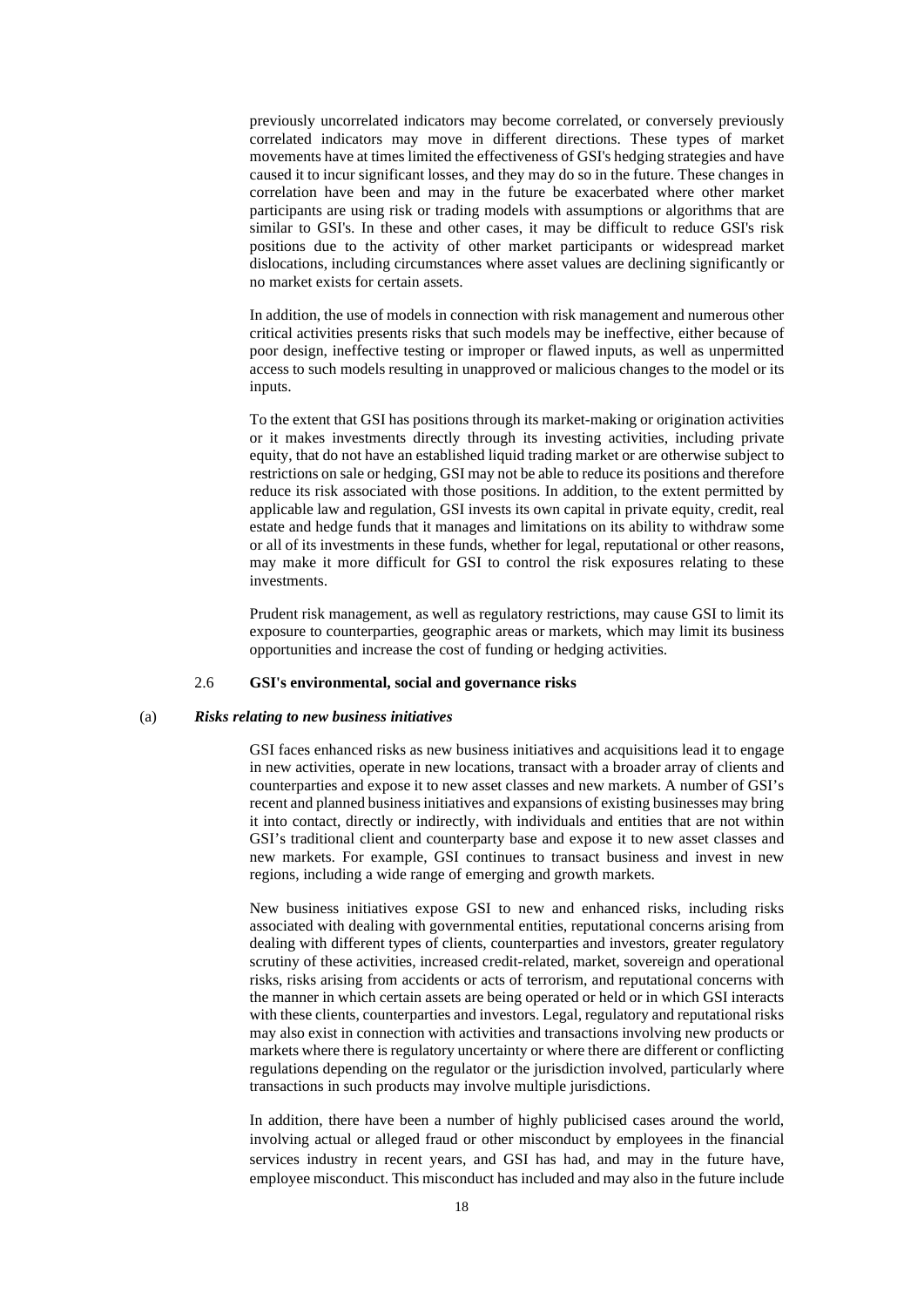previously uncorrelated indicators may become correlated, or conversely previously correlated indicators may move in different directions. These types of market movements have at times limited the effectiveness of GSI's hedging strategies and have caused it to incur significant losses, and they may do so in the future. These changes in correlation have been and may in the future be exacerbated where other market participants are using risk or trading models with assumptions or algorithms that are similar to GSI's. In these and other cases, it may be difficult to reduce GSI's risk positions due to the activity of other market participants or widespread market dislocations, including circumstances where asset values are declining significantly or no market exists for certain assets.

In addition, the use of models in connection with risk management and numerous other critical activities presents risks that such models may be ineffective, either because of poor design, ineffective testing or improper or flawed inputs, as well as unpermitted access to such models resulting in unapproved or malicious changes to the model or its inputs.

To the extent that GSI has positions through its market-making or origination activities or it makes investments directly through its investing activities, including private equity, that do not have an established liquid trading market or are otherwise subject to restrictions on sale or hedging, GSI may not be able to reduce its positions and therefore reduce its risk associated with those positions. In addition, to the extent permitted by applicable law and regulation, GSI invests its own capital in private equity, credit, real estate and hedge funds that it manages and limitations on its ability to withdraw some or all of its investments in these funds, whether for legal, reputational or other reasons, may make it more difficult for GSI to control the risk exposures relating to these investments.

Prudent risk management, as well as regulatory restrictions, may cause GSI to limit its exposure to counterparties, geographic areas or markets, which may limit its business opportunities and increase the cost of funding or hedging activities.

#### 2.6 **GSI's environmental, social and governance risks**

#### (a) *Risks relating to new business initiatives*

GSI faces enhanced risks as new business initiatives and acquisitions lead it to engage in new activities, operate in new locations, transact with a broader array of clients and counterparties and expose it to new asset classes and new markets. A number of GSI's recent and planned business initiatives and expansions of existing businesses may bring it into contact, directly or indirectly, with individuals and entities that are not within GSI's traditional client and counterparty base and expose it to new asset classes and new markets. For example, GSI continues to transact business and invest in new regions, including a wide range of emerging and growth markets.

New business initiatives expose GSI to new and enhanced risks, including risks associated with dealing with governmental entities, reputational concerns arising from dealing with different types of clients, counterparties and investors, greater regulatory scrutiny of these activities, increased credit-related, market, sovereign and operational risks, risks arising from accidents or acts of terrorism, and reputational concerns with the manner in which certain assets are being operated or held or in which GSI interacts with these clients, counterparties and investors. Legal, regulatory and reputational risks may also exist in connection with activities and transactions involving new products or markets where there is regulatory uncertainty or where there are different or conflicting regulations depending on the regulator or the jurisdiction involved, particularly where transactions in such products may involve multiple jurisdictions.

In addition, there have been a number of highly publicised cases around the world, involving actual or alleged fraud or other misconduct by employees in the financial services industry in recent years, and GSI has had, and may in the future have, employee misconduct. This misconduct has included and may also in the future include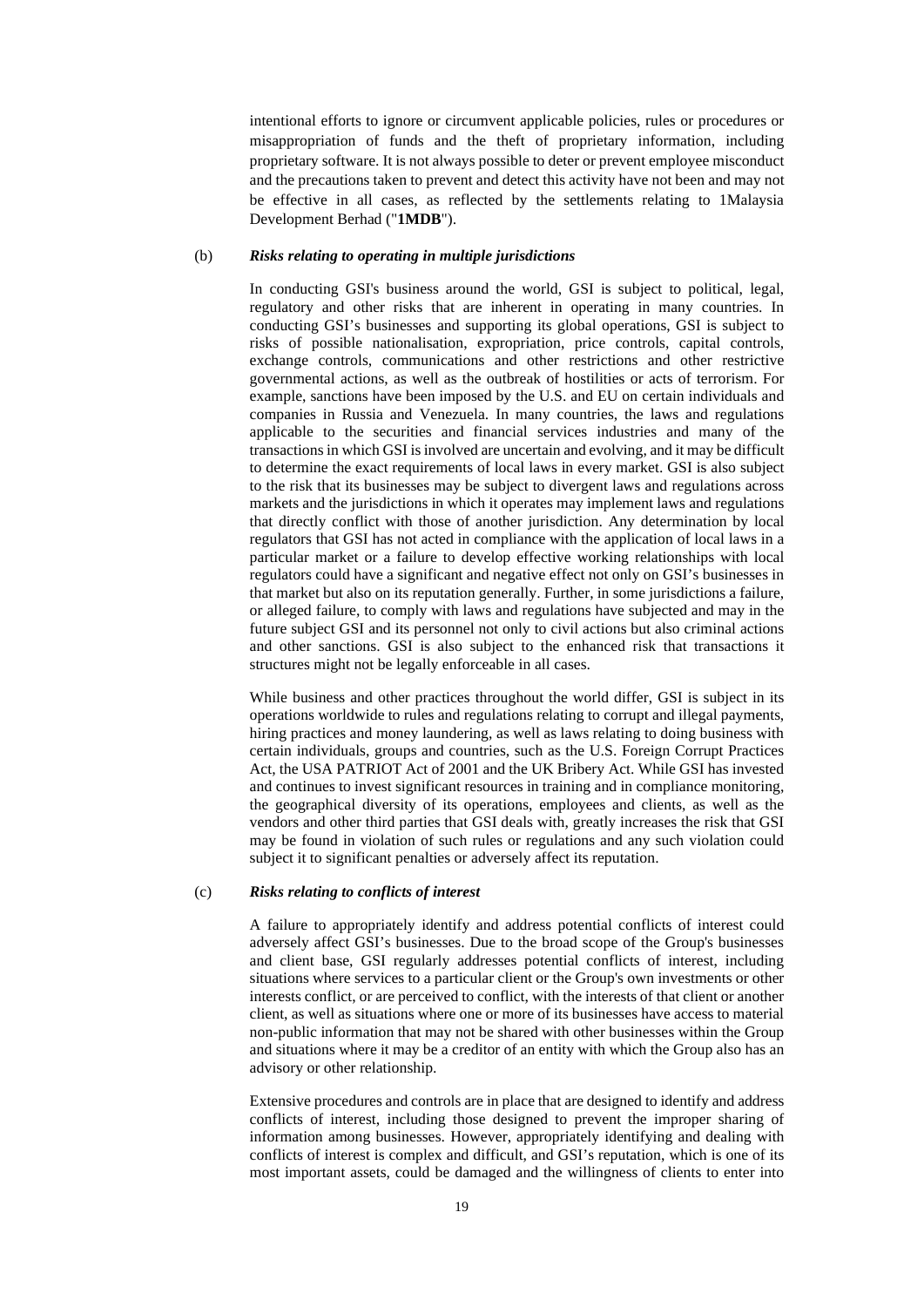intentional efforts to ignore or circumvent applicable policies, rules or procedures or misappropriation of funds and the theft of proprietary information, including proprietary software. It is not always possible to deter or prevent employee misconduct and the precautions taken to prevent and detect this activity have not been and may not be effective in all cases, as reflected by the settlements relating to 1Malaysia Development Berhad ("**1MDB**").

#### (b) *Risks relating to operating in multiple jurisdictions*

In conducting GSI's business around the world, GSI is subject to political, legal, regulatory and other risks that are inherent in operating in many countries. In conducting GSI's businesses and supporting its global operations, GSI is subject to risks of possible nationalisation, expropriation, price controls, capital controls, exchange controls, communications and other restrictions and other restrictive governmental actions, as well as the outbreak of hostilities or acts of terrorism. For example, sanctions have been imposed by the U.S. and EU on certain individuals and companies in Russia and Venezuela. In many countries, the laws and regulations applicable to the securities and financial services industries and many of the transactions in which GSI is involved are uncertain and evolving, and it may be difficult to determine the exact requirements of local laws in every market. GSI is also subject to the risk that its businesses may be subject to divergent laws and regulations across markets and the jurisdictions in which it operates may implement laws and regulations that directly conflict with those of another jurisdiction. Any determination by local regulators that GSI has not acted in compliance with the application of local laws in a particular market or a failure to develop effective working relationships with local regulators could have a significant and negative effect not only on GSI's businesses in that market but also on its reputation generally. Further, in some jurisdictions a failure, or alleged failure, to comply with laws and regulations have subjected and may in the future subject GSI and its personnel not only to civil actions but also criminal actions and other sanctions. GSI is also subject to the enhanced risk that transactions it structures might not be legally enforceable in all cases.

While business and other practices throughout the world differ, GSI is subject in its operations worldwide to rules and regulations relating to corrupt and illegal payments, hiring practices and money laundering, as well as laws relating to doing business with certain individuals, groups and countries, such as the U.S. Foreign Corrupt Practices Act, the USA PATRIOT Act of 2001 and the UK Bribery Act. While GSI has invested and continues to invest significant resources in training and in compliance monitoring, the geographical diversity of its operations, employees and clients, as well as the vendors and other third parties that GSI deals with, greatly increases the risk that GSI may be found in violation of such rules or regulations and any such violation could subject it to significant penalties or adversely affect its reputation.

## (c) *Risks relating to conflicts of interest*

A failure to appropriately identify and address potential conflicts of interest could adversely affect GSI's businesses. Due to the broad scope of the Group's businesses and client base, GSI regularly addresses potential conflicts of interest, including situations where services to a particular client or the Group's own investments or other interests conflict, or are perceived to conflict, with the interests of that client or another client, as well as situations where one or more of its businesses have access to material non-public information that may not be shared with other businesses within the Group and situations where it may be a creditor of an entity with which the Group also has an advisory or other relationship.

Extensive procedures and controls are in place that are designed to identify and address conflicts of interest, including those designed to prevent the improper sharing of information among businesses. However, appropriately identifying and dealing with conflicts of interest is complex and difficult, and GSI's reputation, which is one of its most important assets, could be damaged and the willingness of clients to enter into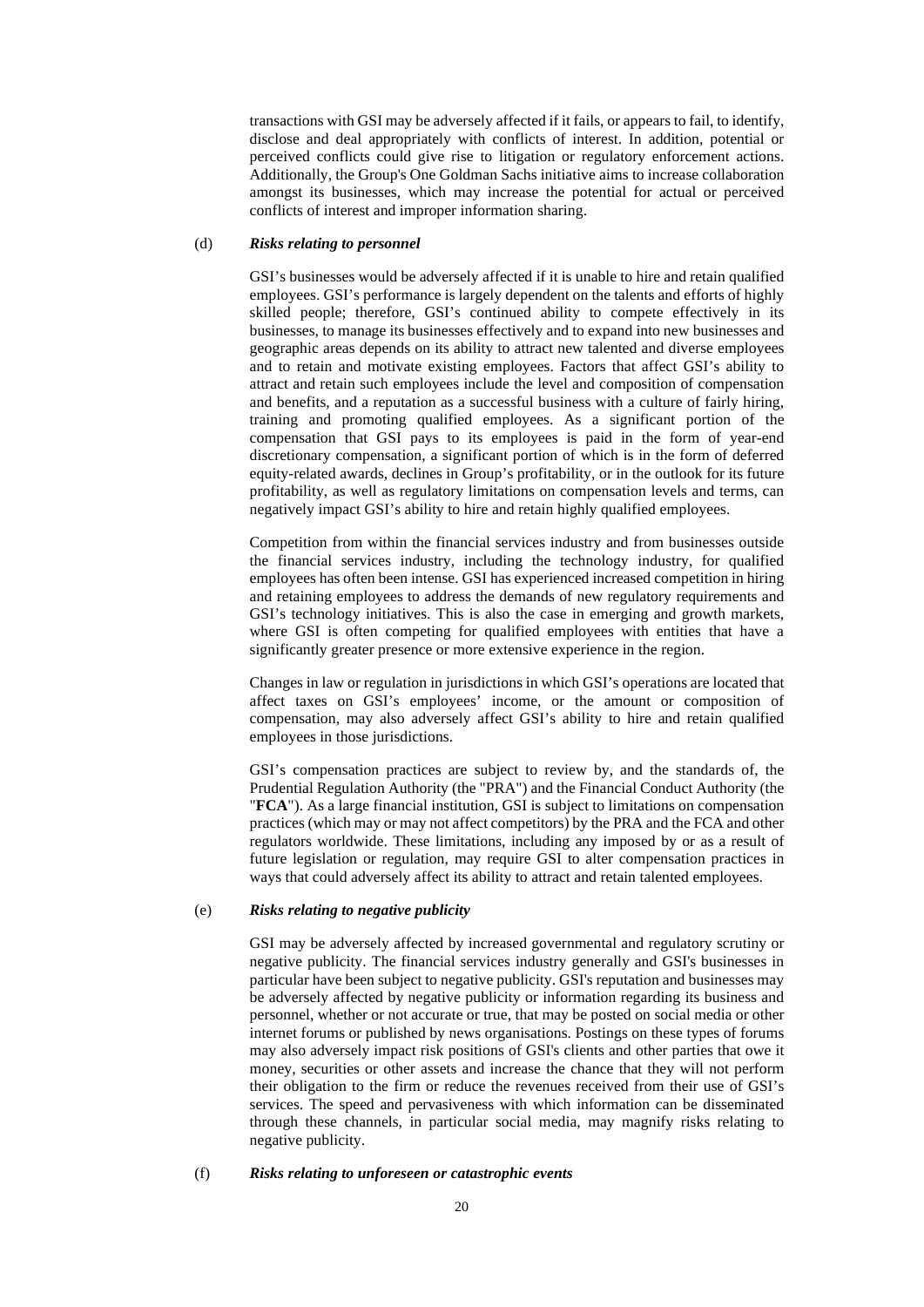transactions with GSI may be adversely affected if it fails, or appears to fail, to identify, disclose and deal appropriately with conflicts of interest. In addition, potential or perceived conflicts could give rise to litigation or regulatory enforcement actions. Additionally, the Group's One Goldman Sachs initiative aims to increase collaboration amongst its businesses, which may increase the potential for actual or perceived conflicts of interest and improper information sharing.

### (d) *Risks relating to personnel*

GSI's businesses would be adversely affected if it is unable to hire and retain qualified employees. GSI's performance is largely dependent on the talents and efforts of highly skilled people; therefore, GSI's continued ability to compete effectively in its businesses, to manage its businesses effectively and to expand into new businesses and geographic areas depends on its ability to attract new talented and diverse employees and to retain and motivate existing employees. Factors that affect GSI's ability to attract and retain such employees include the level and composition of compensation and benefits, and a reputation as a successful business with a culture of fairly hiring, training and promoting qualified employees. As a significant portion of the compensation that GSI pays to its employees is paid in the form of year-end discretionary compensation, a significant portion of which is in the form of deferred equity-related awards, declines in Group's profitability, or in the outlook for its future profitability, as well as regulatory limitations on compensation levels and terms, can negatively impact GSI's ability to hire and retain highly qualified employees.

Competition from within the financial services industry and from businesses outside the financial services industry, including the technology industry, for qualified employees has often been intense. GSI has experienced increased competition in hiring and retaining employees to address the demands of new regulatory requirements and GSI's technology initiatives. This is also the case in emerging and growth markets, where GSI is often competing for qualified employees with entities that have a significantly greater presence or more extensive experience in the region.

Changes in law or regulation in jurisdictions in which GSI's operations are located that affect taxes on GSI's employees' income, or the amount or composition of compensation, may also adversely affect GSI's ability to hire and retain qualified employees in those jurisdictions.

GSI's compensation practices are subject to review by, and the standards of, the Prudential Regulation Authority (the "PRA") and the Financial Conduct Authority (the "**FCA**"). As a large financial institution, GSI is subject to limitations on compensation practices (which may or may not affect competitors) by the PRA and the FCA and other regulators worldwide. These limitations, including any imposed by or as a result of future legislation or regulation, may require GSI to alter compensation practices in ways that could adversely affect its ability to attract and retain talented employees.

## (e) *Risks relating to negative publicity*

GSI may be adversely affected by increased governmental and regulatory scrutiny or negative publicity. The financial services industry generally and GSI's businesses in particular have been subject to negative publicity. GSI's reputation and businesses may be adversely affected by negative publicity or information regarding its business and personnel, whether or not accurate or true, that may be posted on social media or other internet forums or published by news organisations. Postings on these types of forums may also adversely impact risk positions of GSI's clients and other parties that owe it money, securities or other assets and increase the chance that they will not perform their obligation to the firm or reduce the revenues received from their use of GSI's services. The speed and pervasiveness with which information can be disseminated through these channels, in particular social media, may magnify risks relating to negative publicity.

### (f) *Risks relating to unforeseen or catastrophic events*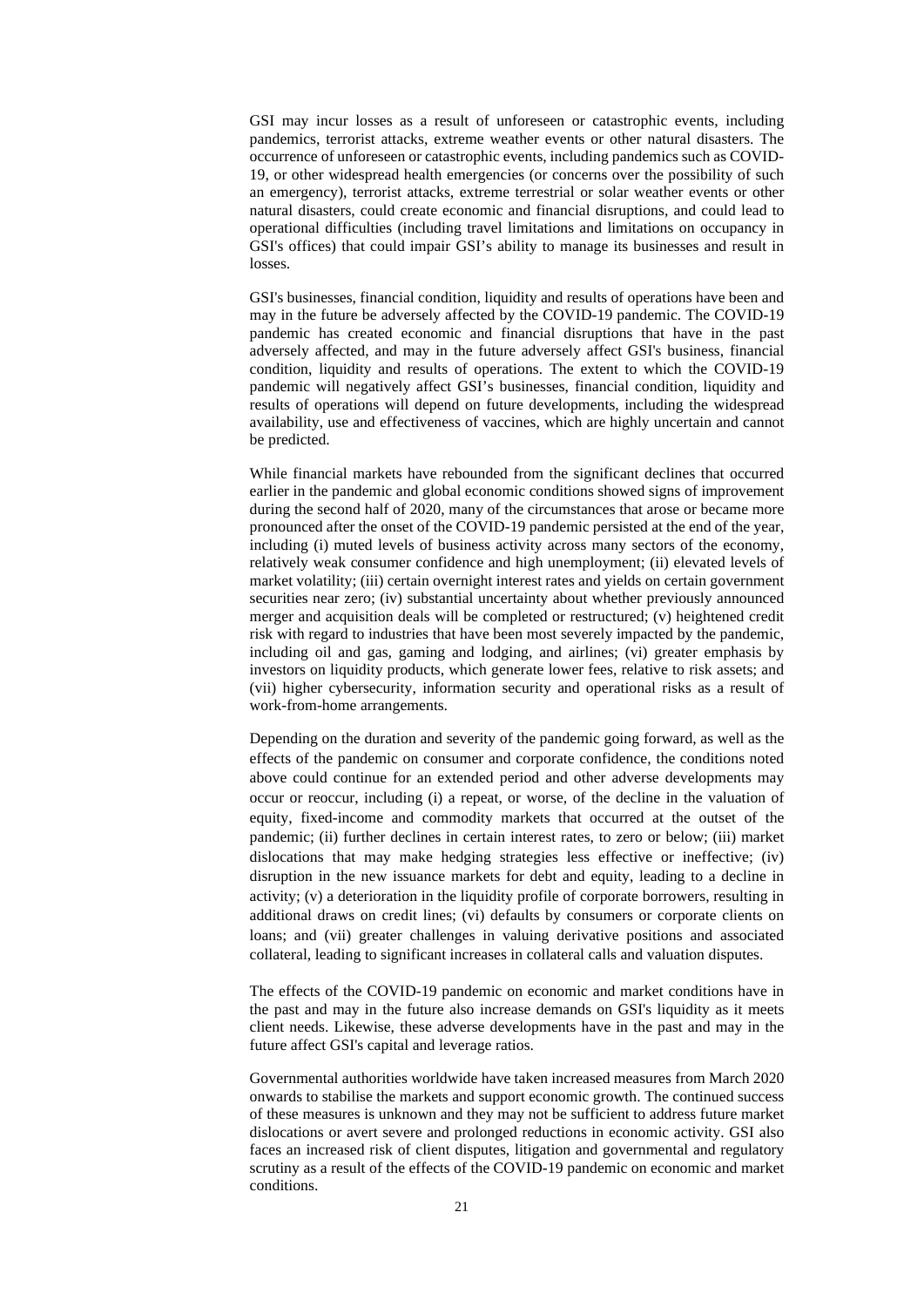GSI may incur losses as a result of unforeseen or catastrophic events, including pandemics, terrorist attacks, extreme weather events or other natural disasters. The occurrence of unforeseen or catastrophic events, including pandemics such as COVID-19, or other widespread health emergencies (or concerns over the possibility of such an emergency), terrorist attacks, extreme terrestrial or solar weather events or other natural disasters, could create economic and financial disruptions, and could lead to operational difficulties (including travel limitations and limitations on occupancy in GSI's offices) that could impair GSI's ability to manage its businesses and result in losses.

GSI's businesses, financial condition, liquidity and results of operations have been and may in the future be adversely affected by the COVID-19 pandemic. The COVID-19 pandemic has created economic and financial disruptions that have in the past adversely affected, and may in the future adversely affect GSI's business, financial condition, liquidity and results of operations. The extent to which the COVID-19 pandemic will negatively affect GSI's businesses, financial condition, liquidity and results of operations will depend on future developments, including the widespread availability, use and effectiveness of vaccines, which are highly uncertain and cannot be predicted.

While financial markets have rebounded from the significant declines that occurred earlier in the pandemic and global economic conditions showed signs of improvement during the second half of 2020, many of the circumstances that arose or became more pronounced after the onset of the COVID-19 pandemic persisted at the end of the year, including (i) muted levels of business activity across many sectors of the economy, relatively weak consumer confidence and high unemployment; (ii) elevated levels of market volatility; (iii) certain overnight interest rates and yields on certain government securities near zero; (iv) substantial uncertainty about whether previously announced merger and acquisition deals will be completed or restructured; (v) heightened credit risk with regard to industries that have been most severely impacted by the pandemic, including oil and gas, gaming and lodging, and airlines; (vi) greater emphasis by investors on liquidity products, which generate lower fees, relative to risk assets; and (vii) higher cybersecurity, information security and operational risks as a result of work-from-home arrangements.

Depending on the duration and severity of the pandemic going forward, as well as the effects of the pandemic on consumer and corporate confidence, the conditions noted above could continue for an extended period and other adverse developments may occur or reoccur, including (i) a repeat, or worse, of the decline in the valuation of equity, fixed-income and commodity markets that occurred at the outset of the pandemic; (ii) further declines in certain interest rates, to zero or below; (iii) market dislocations that may make hedging strategies less effective or ineffective; (iv) disruption in the new issuance markets for debt and equity, leading to a decline in activity; (v) a deterioration in the liquidity profile of corporate borrowers, resulting in additional draws on credit lines; (vi) defaults by consumers or corporate clients on loans; and (vii) greater challenges in valuing derivative positions and associated collateral, leading to significant increases in collateral calls and valuation disputes.

The effects of the COVID-19 pandemic on economic and market conditions have in the past and may in the future also increase demands on GSI's liquidity as it meets client needs. Likewise, these adverse developments have in the past and may in the future affect GSI's capital and leverage ratios.

Governmental authorities worldwide have taken increased measures from March 2020 onwards to stabilise the markets and support economic growth. The continued success of these measures is unknown and they may not be sufficient to address future market dislocations or avert severe and prolonged reductions in economic activity. GSI also faces an increased risk of client disputes, litigation and governmental and regulatory scrutiny as a result of the effects of the COVID-19 pandemic on economic and market conditions.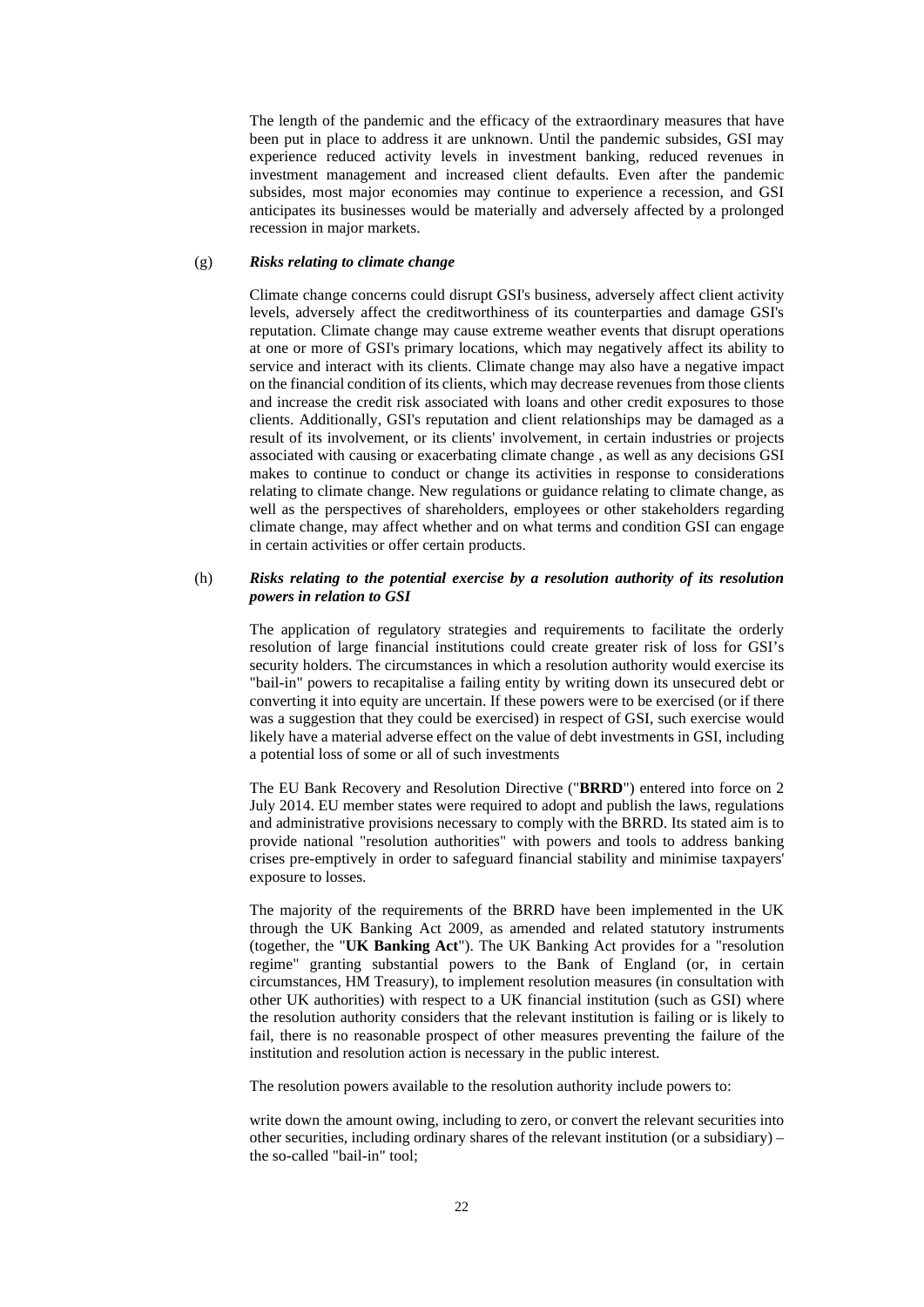The length of the pandemic and the efficacy of the extraordinary measures that have been put in place to address it are unknown. Until the pandemic subsides, GSI may experience reduced activity levels in investment banking, reduced revenues in investment management and increased client defaults. Even after the pandemic subsides, most major economies may continue to experience a recession, and GSI anticipates its businesses would be materially and adversely affected by a prolonged recession in major markets.

## (g) *Risks relating to climate change*

Climate change concerns could disrupt GSI's business, adversely affect client activity levels, adversely affect the creditworthiness of its counterparties and damage GSI's reputation. Climate change may cause extreme weather events that disrupt operations at one or more of GSI's primary locations, which may negatively affect its ability to service and interact with its clients. Climate change may also have a negative impact on the financial condition of its clients, which may decrease revenues from those clients and increase the credit risk associated with loans and other credit exposures to those clients. Additionally, GSI's reputation and client relationships may be damaged as a result of its involvement, or its clients' involvement, in certain industries or projects associated with causing or exacerbating climate change , as well as any decisions GSI makes to continue to conduct or change its activities in response to considerations relating to climate change. New regulations or guidance relating to climate change, as well as the perspectives of shareholders, employees or other stakeholders regarding climate change, may affect whether and on what terms and condition GSI can engage in certain activities or offer certain products.

## (h) *Risks relating to the potential exercise by a resolution authority of its resolution powers in relation to GSI*

The application of regulatory strategies and requirements to facilitate the orderly resolution of large financial institutions could create greater risk of loss for GSI's security holders. The circumstances in which a resolution authority would exercise its "bail-in" powers to recapitalise a failing entity by writing down its unsecured debt or converting it into equity are uncertain. If these powers were to be exercised (or if there was a suggestion that they could be exercised) in respect of GSI, such exercise would likely have a material adverse effect on the value of debt investments in GSI, including a potential loss of some or all of such investments

The EU Bank Recovery and Resolution Directive ("**BRRD**") entered into force on 2 July 2014. EU member states were required to adopt and publish the laws, regulations and administrative provisions necessary to comply with the BRRD. Its stated aim is to provide national "resolution authorities" with powers and tools to address banking crises pre-emptively in order to safeguard financial stability and minimise taxpayers' exposure to losses.

The majority of the requirements of the BRRD have been implemented in the UK through the UK Banking Act 2009, as amended and related statutory instruments (together, the "**UK Banking Act**"). The UK Banking Act provides for a "resolution regime" granting substantial powers to the Bank of England (or, in certain circumstances, HM Treasury), to implement resolution measures (in consultation with other UK authorities) with respect to a UK financial institution (such as GSI) where the resolution authority considers that the relevant institution is failing or is likely to fail, there is no reasonable prospect of other measures preventing the failure of the institution and resolution action is necessary in the public interest.

The resolution powers available to the resolution authority include powers to:

write down the amount owing, including to zero, or convert the relevant securities into other securities, including ordinary shares of the relevant institution (or a subsidiary) – the so-called "bail-in" tool;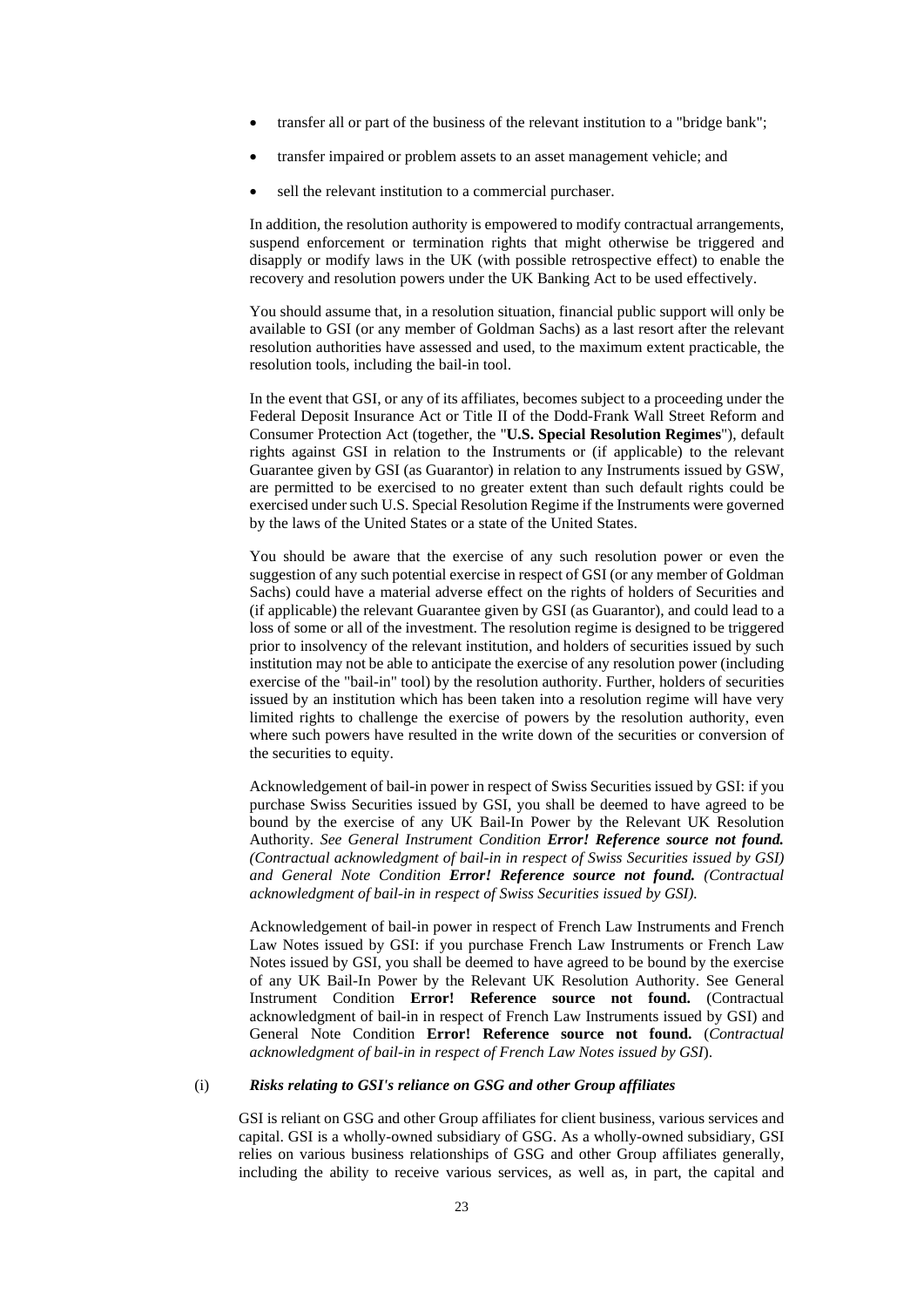- transfer all or part of the business of the relevant institution to a "bridge bank";
- transfer impaired or problem assets to an asset management vehicle; and
- sell the relevant institution to a commercial purchaser.

In addition, the resolution authority is empowered to modify contractual arrangements, suspend enforcement or termination rights that might otherwise be triggered and disapply or modify laws in the UK (with possible retrospective effect) to enable the recovery and resolution powers under the UK Banking Act to be used effectively.

You should assume that, in a resolution situation, financial public support will only be available to GSI (or any member of Goldman Sachs) as a last resort after the relevant resolution authorities have assessed and used, to the maximum extent practicable, the resolution tools, including the bail-in tool.

In the event that GSI, or any of its affiliates, becomes subject to a proceeding under the Federal Deposit Insurance Act or Title II of the Dodd-Frank Wall Street Reform and Consumer Protection Act (together, the "**U.S. Special Resolution Regimes**"), default rights against GSI in relation to the Instruments or (if applicable) to the relevant Guarantee given by GSI (as Guarantor) in relation to any Instruments issued by GSW, are permitted to be exercised to no greater extent than such default rights could be exercised under such U.S. Special Resolution Regime if the Instruments were governed by the laws of the United States or a state of the United States.

You should be aware that the exercise of any such resolution power or even the suggestion of any such potential exercise in respect of GSI (or any member of Goldman Sachs) could have a material adverse effect on the rights of holders of Securities and (if applicable) the relevant Guarantee given by GSI (as Guarantor), and could lead to a loss of some or all of the investment. The resolution regime is designed to be triggered prior to insolvency of the relevant institution, and holders of securities issued by such institution may not be able to anticipate the exercise of any resolution power (including exercise of the "bail-in" tool) by the resolution authority. Further, holders of securities issued by an institution which has been taken into a resolution regime will have very limited rights to challenge the exercise of powers by the resolution authority, even where such powers have resulted in the write down of the securities or conversion of the securities to equity.

Acknowledgement of bail-in power in respect of Swiss Securities issued by GSI: if you purchase Swiss Securities issued by GSI, you shall be deemed to have agreed to be bound by the exercise of any UK Bail-In Power by the Relevant UK Resolution Authority*. See General Instrument Condition Error! Reference source not found. (Contractual acknowledgment of bail-in in respect of Swiss Securities issued by GSI) and General Note Condition Error! Reference source not found. (Contractual acknowledgment of bail-in in respect of Swiss Securities issued by GSI).* 

Acknowledgement of bail-in power in respect of French Law Instruments and French Law Notes issued by GSI: if you purchase French Law Instruments or French Law Notes issued by GSI, you shall be deemed to have agreed to be bound by the exercise of any UK Bail-In Power by the Relevant UK Resolution Authority. See General Instrument Condition **Error! Reference source not found.** (Contractual acknowledgment of bail-in in respect of French Law Instruments issued by GSI) and General Note Condition **Error! Reference source not found.** (*Contractual acknowledgment of bail-in in respect of French Law Notes issued by GSI*).

## (i) *Risks relating to GSI's reliance on GSG and other Group affiliates*

GSI is reliant on GSG and other Group affiliates for client business, various services and capital. GSI is a wholly-owned subsidiary of GSG. As a wholly-owned subsidiary, GSI relies on various business relationships of GSG and other Group affiliates generally, including the ability to receive various services, as well as, in part, the capital and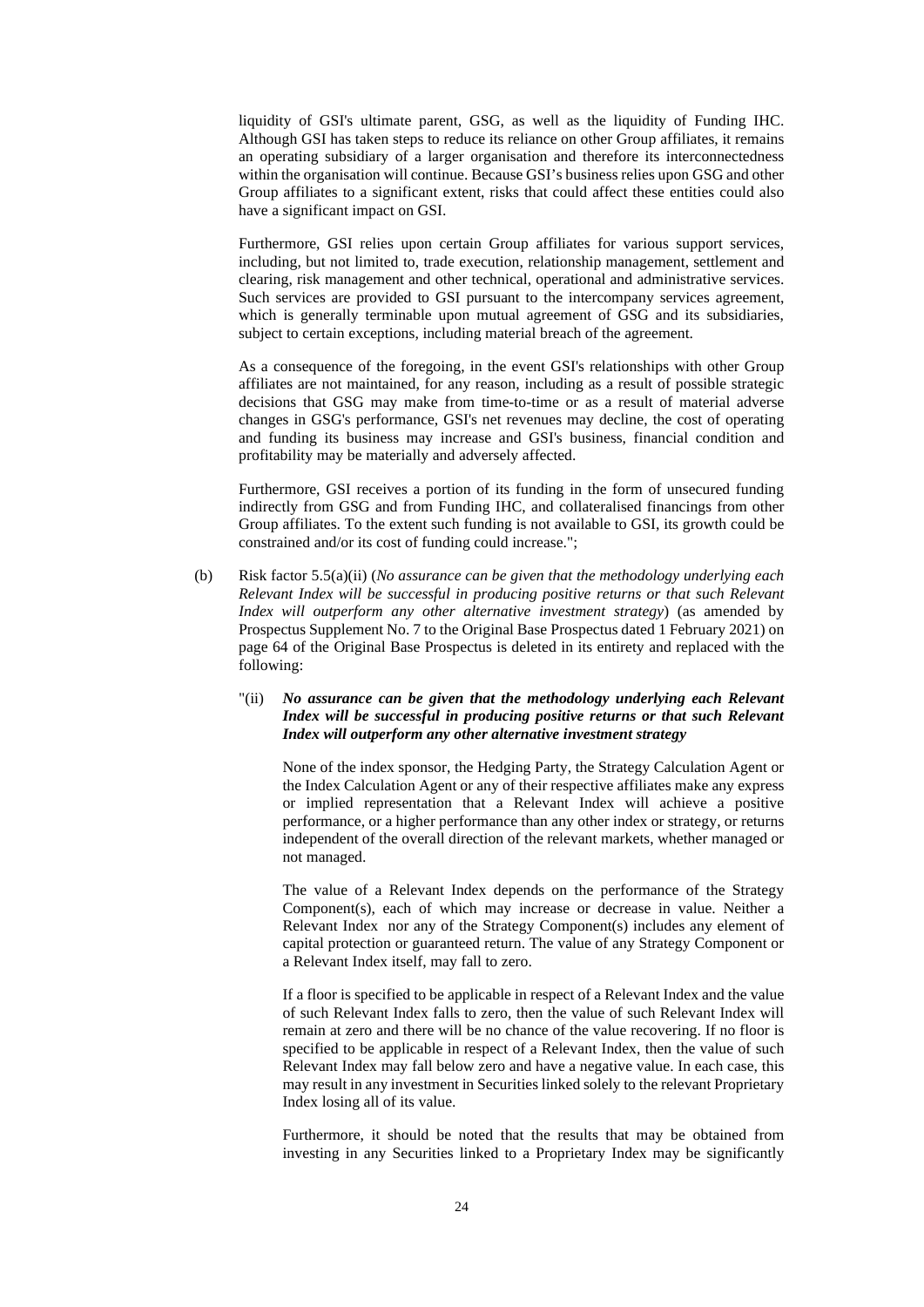liquidity of GSI's ultimate parent, GSG, as well as the liquidity of Funding IHC. Although GSI has taken steps to reduce its reliance on other Group affiliates, it remains an operating subsidiary of a larger organisation and therefore its interconnectedness within the organisation will continue. Because GSI's business relies upon GSG and other Group affiliates to a significant extent, risks that could affect these entities could also have a significant impact on GSI.

Furthermore, GSI relies upon certain Group affiliates for various support services, including, but not limited to, trade execution, relationship management, settlement and clearing, risk management and other technical, operational and administrative services. Such services are provided to GSI pursuant to the intercompany services agreement, which is generally terminable upon mutual agreement of GSG and its subsidiaries, subject to certain exceptions, including material breach of the agreement.

As a consequence of the foregoing, in the event GSI's relationships with other Group affiliates are not maintained, for any reason, including as a result of possible strategic decisions that GSG may make from time-to-time or as a result of material adverse changes in GSG's performance, GSI's net revenues may decline, the cost of operating and funding its business may increase and GSI's business, financial condition and profitability may be materially and adversely affected.

Furthermore, GSI receives a portion of its funding in the form of unsecured funding indirectly from GSG and from Funding IHC, and collateralised financings from other Group affiliates. To the extent such funding is not available to GSI, its growth could be constrained and/or its cost of funding could increase.";

(b) Risk factor 5.5(a)(ii) (*No assurance can be given that the methodology underlying each Relevant Index will be successful in producing positive returns or that such Relevant Index will outperform any other alternative investment strategy*) (as amended by Prospectus Supplement No. 7 to the Original Base Prospectus dated 1 February 2021) on page 64 of the Original Base Prospectus is deleted in its entirety and replaced with the following:

## "(ii) *No assurance can be given that the methodology underlying each Relevant Index will be successful in producing positive returns or that such Relevant Index will outperform any other alternative investment strategy*

None of the index sponsor, the Hedging Party, the Strategy Calculation Agent or the Index Calculation Agent or any of their respective affiliates make any express or implied representation that a Relevant Index will achieve a positive performance, or a higher performance than any other index or strategy, or returns independent of the overall direction of the relevant markets, whether managed or not managed.

The value of a Relevant Index depends on the performance of the Strategy Component(s), each of which may increase or decrease in value. Neither a Relevant Index nor any of the Strategy Component(s) includes any element of capital protection or guaranteed return. The value of any Strategy Component or a Relevant Index itself, may fall to zero.

If a floor is specified to be applicable in respect of a Relevant Index and the value of such Relevant Index falls to zero, then the value of such Relevant Index will remain at zero and there will be no chance of the value recovering. If no floor is specified to be applicable in respect of a Relevant Index, then the value of such Relevant Index may fall below zero and have a negative value. In each case, this may result in any investment in Securities linked solely to the relevant Proprietary Index losing all of its value.

Furthermore, it should be noted that the results that may be obtained from investing in any Securities linked to a Proprietary Index may be significantly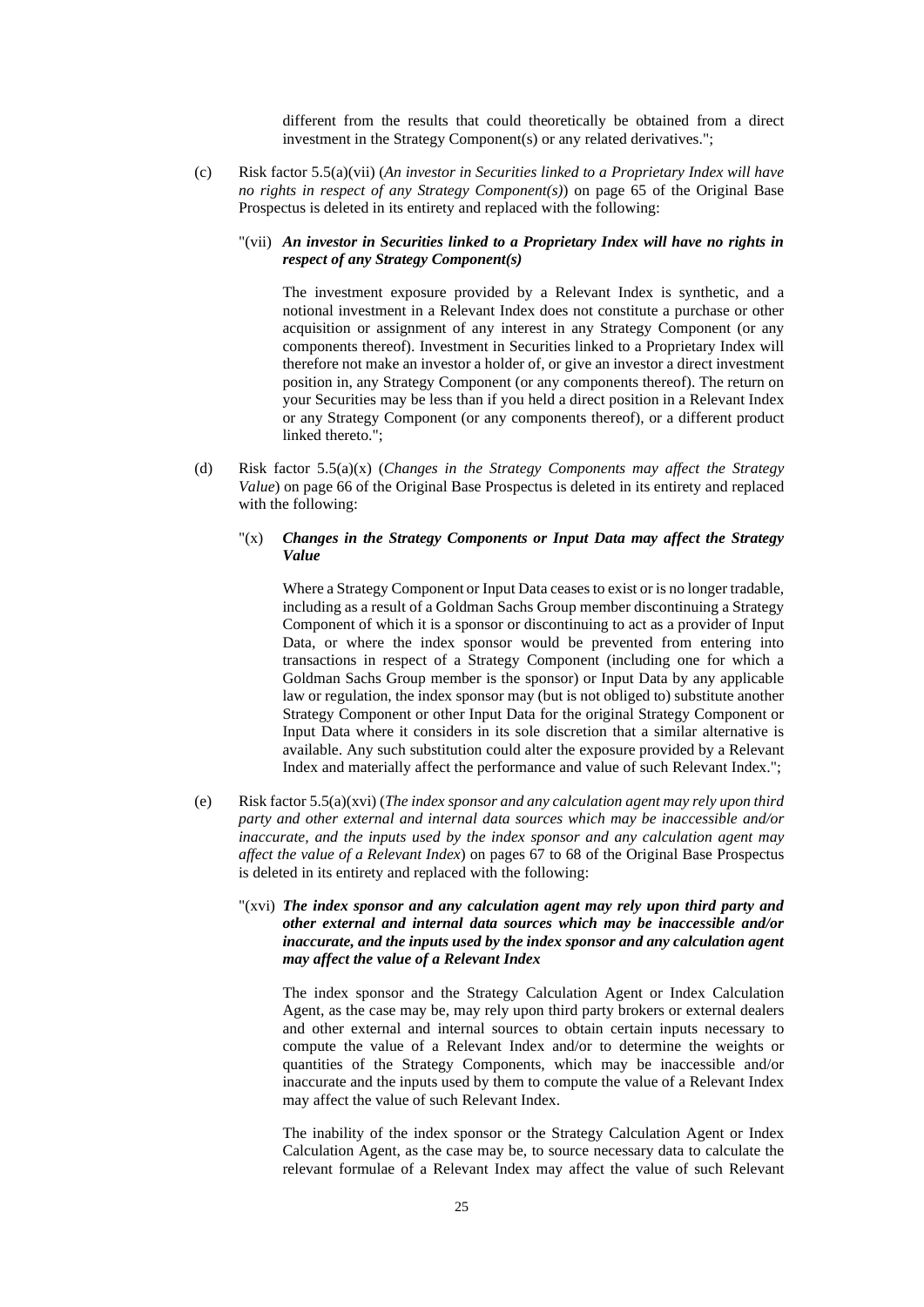different from the results that could theoretically be obtained from a direct investment in the Strategy Component(s) or any related derivatives.";

(c) Risk factor 5.5(a)(vii) (*An investor in Securities linked to a Proprietary Index will have no rights in respect of any Strategy Component(s)*) on page 65 of the Original Base Prospectus is deleted in its entirety and replaced with the following:

## "(vii) *An investor in Securities linked to a Proprietary Index will have no rights in respect of any Strategy Component(s)*

The investment exposure provided by a Relevant Index is synthetic, and a notional investment in a Relevant Index does not constitute a purchase or other acquisition or assignment of any interest in any Strategy Component (or any components thereof). Investment in Securities linked to a Proprietary Index will therefore not make an investor a holder of, or give an investor a direct investment position in, any Strategy Component (or any components thereof). The return on your Securities may be less than if you held a direct position in a Relevant Index or any Strategy Component (or any components thereof), or a different product linked thereto.";

(d) Risk factor 5.5(a)(x) (*Changes in the Strategy Components may affect the Strategy Value*) on page 66 of the Original Base Prospectus is deleted in its entirety and replaced with the following:

## "(x) *Changes in the Strategy Components or Input Data may affect the Strategy Value*

Where a Strategy Component or Input Data ceases to exist or is no longer tradable, including as a result of a Goldman Sachs Group member discontinuing a Strategy Component of which it is a sponsor or discontinuing to act as a provider of Input Data, or where the index sponsor would be prevented from entering into transactions in respect of a Strategy Component (including one for which a Goldman Sachs Group member is the sponsor) or Input Data by any applicable law or regulation, the index sponsor may (but is not obliged to) substitute another Strategy Component or other Input Data for the original Strategy Component or Input Data where it considers in its sole discretion that a similar alternative is available. Any such substitution could alter the exposure provided by a Relevant Index and materially affect the performance and value of such Relevant Index.";

(e) Risk factor 5.5(a)(xvi) (*The index sponsor and any calculation agent may rely upon third party and other external and internal data sources which may be inaccessible and/or inaccurate, and the inputs used by the index sponsor and any calculation agent may affect the value of a Relevant Index*) on pages 67 to 68 of the Original Base Prospectus is deleted in its entirety and replaced with the following:

## "(xvi) *The index sponsor and any calculation agent may rely upon third party and other external and internal data sources which may be inaccessible and/or inaccurate, and the inputs used by the index sponsor and any calculation agent may affect the value of a Relevant Index*

The index sponsor and the Strategy Calculation Agent or Index Calculation Agent, as the case may be, may rely upon third party brokers or external dealers and other external and internal sources to obtain certain inputs necessary to compute the value of a Relevant Index and/or to determine the weights or quantities of the Strategy Components, which may be inaccessible and/or inaccurate and the inputs used by them to compute the value of a Relevant Index may affect the value of such Relevant Index.

The inability of the index sponsor or the Strategy Calculation Agent or Index Calculation Agent, as the case may be, to source necessary data to calculate the relevant formulae of a Relevant Index may affect the value of such Relevant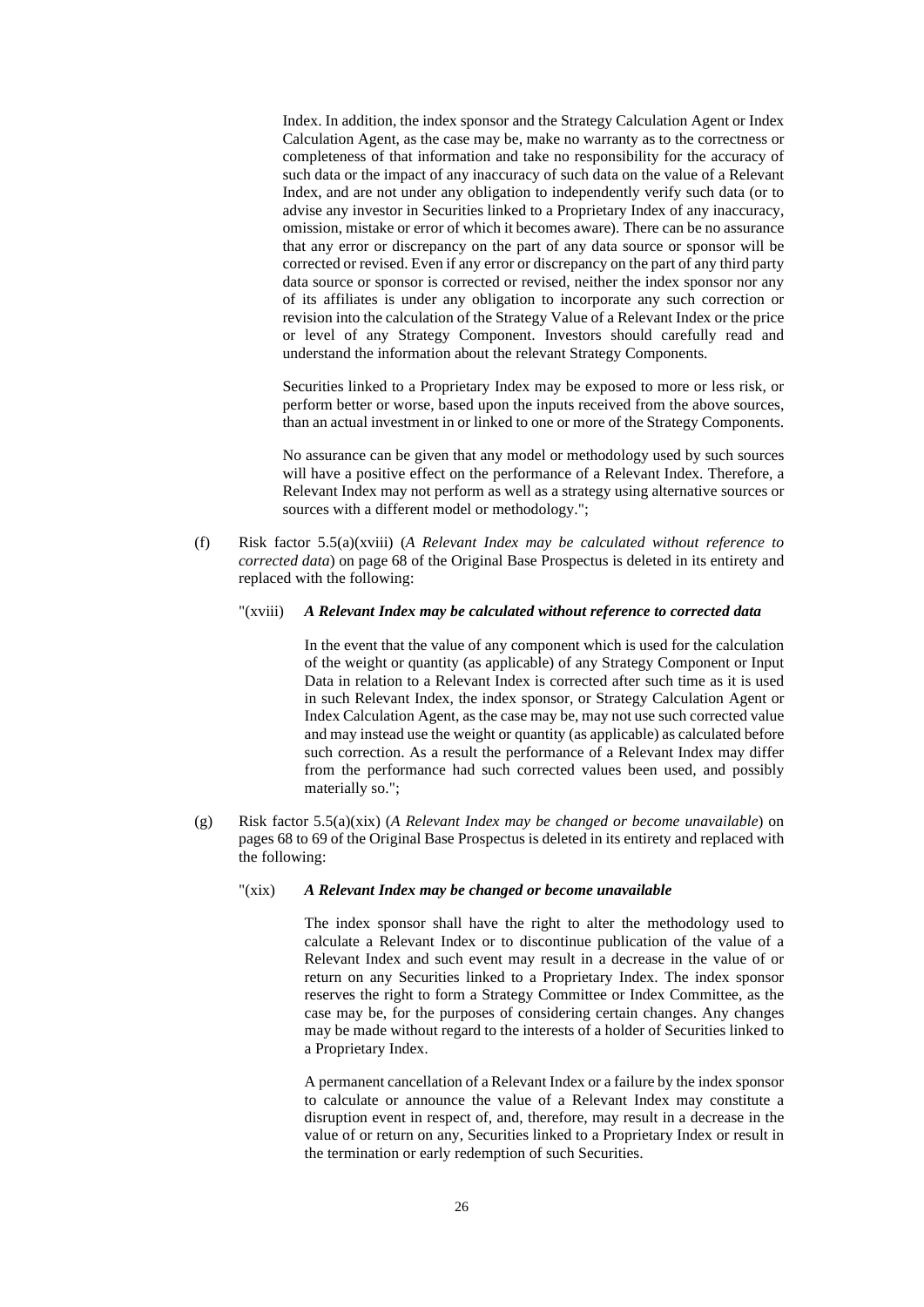Index. In addition, the index sponsor and the Strategy Calculation Agent or Index Calculation Agent, as the case may be, make no warranty as to the correctness or completeness of that information and take no responsibility for the accuracy of such data or the impact of any inaccuracy of such data on the value of a Relevant Index, and are not under any obligation to independently verify such data (or to advise any investor in Securities linked to a Proprietary Index of any inaccuracy, omission, mistake or error of which it becomes aware). There can be no assurance that any error or discrepancy on the part of any data source or sponsor will be corrected or revised. Even if any error or discrepancy on the part of any third party data source or sponsor is corrected or revised, neither the index sponsor nor any of its affiliates is under any obligation to incorporate any such correction or revision into the calculation of the Strategy Value of a Relevant Index or the price or level of any Strategy Component. Investors should carefully read and understand the information about the relevant Strategy Components.

Securities linked to a Proprietary Index may be exposed to more or less risk, or perform better or worse, based upon the inputs received from the above sources, than an actual investment in or linked to one or more of the Strategy Components.

No assurance can be given that any model or methodology used by such sources will have a positive effect on the performance of a Relevant Index. Therefore, a Relevant Index may not perform as well as a strategy using alternative sources or sources with a different model or methodology.";

(f) Risk factor 5.5(a)(xviii) (*A Relevant Index may be calculated without reference to corrected data*) on page 68 of the Original Base Prospectus is deleted in its entirety and replaced with the following:

#### "(xviii) *A Relevant Index may be calculated without reference to corrected data*

In the event that the value of any component which is used for the calculation of the weight or quantity (as applicable) of any Strategy Component or Input Data in relation to a Relevant Index is corrected after such time as it is used in such Relevant Index, the index sponsor, or Strategy Calculation Agent or Index Calculation Agent, as the case may be, may not use such corrected value and may instead use the weight or quantity (as applicable) as calculated before such correction. As a result the performance of a Relevant Index may differ from the performance had such corrected values been used, and possibly materially so.";

(g) Risk factor 5.5(a)(xix) (*A Relevant Index may be changed or become unavailable*) on pages 68 to 69 of the Original Base Prospectus is deleted in its entirety and replaced with the following:

## "(xix) *A Relevant Index may be changed or become unavailable*

The index sponsor shall have the right to alter the methodology used to calculate a Relevant Index or to discontinue publication of the value of a Relevant Index and such event may result in a decrease in the value of or return on any Securities linked to a Proprietary Index. The index sponsor reserves the right to form a Strategy Committee or Index Committee, as the case may be, for the purposes of considering certain changes. Any changes may be made without regard to the interests of a holder of Securities linked to a Proprietary Index.

A permanent cancellation of a Relevant Index or a failure by the index sponsor to calculate or announce the value of a Relevant Index may constitute a disruption event in respect of, and, therefore, may result in a decrease in the value of or return on any, Securities linked to a Proprietary Index or result in the termination or early redemption of such Securities.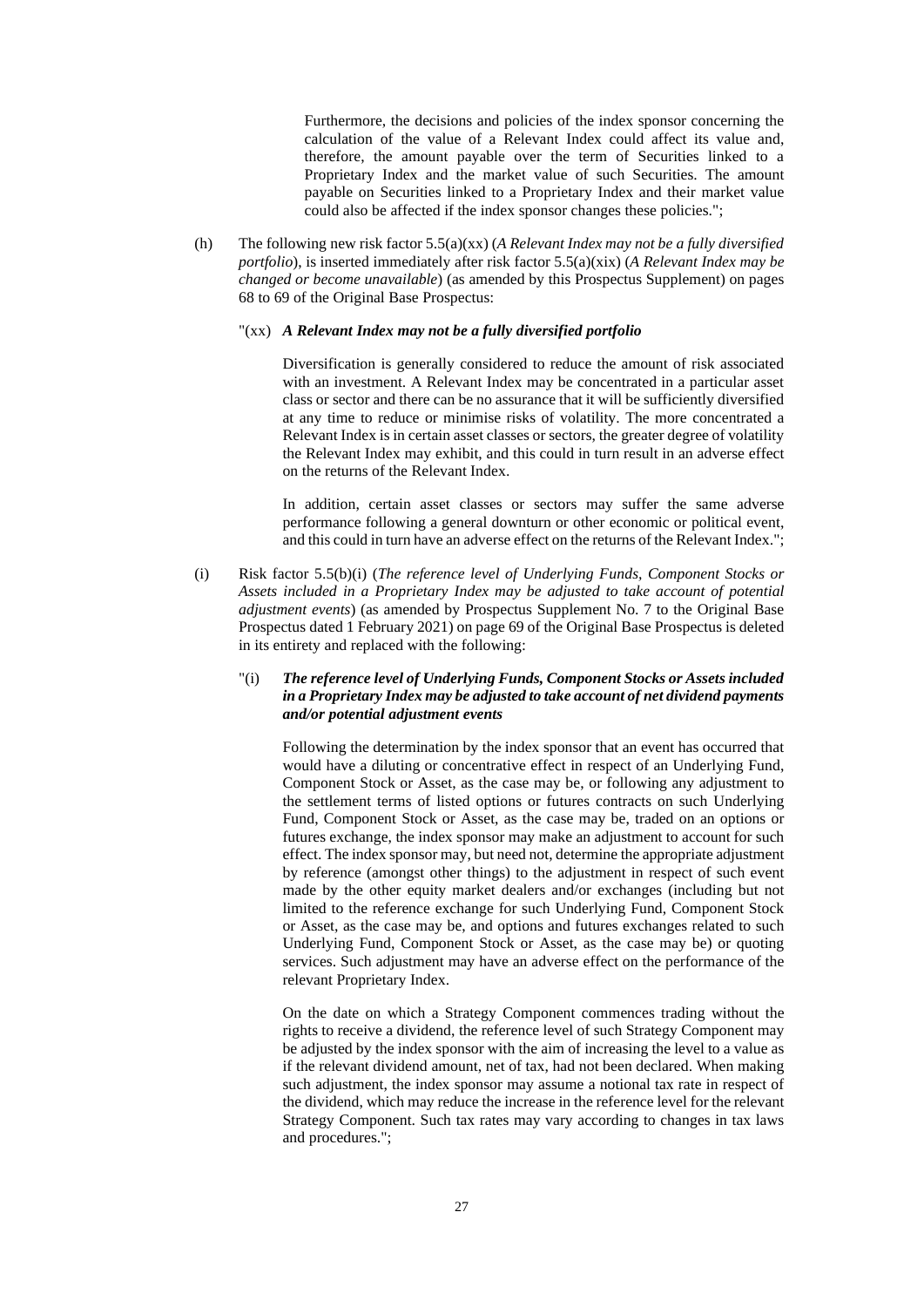Furthermore, the decisions and policies of the index sponsor concerning the calculation of the value of a Relevant Index could affect its value and, therefore, the amount payable over the term of Securities linked to a Proprietary Index and the market value of such Securities. The amount payable on Securities linked to a Proprietary Index and their market value could also be affected if the index sponsor changes these policies.";

(h) The following new risk factor 5.5(a)(xx) (*A Relevant Index may not be a fully diversified portfolio*), is inserted immediately after risk factor 5.5(a)(xix) (*A Relevant Index may be changed or become unavailable*) (as amended by this Prospectus Supplement) on pages 68 to 69 of the Original Base Prospectus:

## "(xx) *A Relevant Index may not be a fully diversified portfolio*

Diversification is generally considered to reduce the amount of risk associated with an investment. A Relevant Index may be concentrated in a particular asset class or sector and there can be no assurance that it will be sufficiently diversified at any time to reduce or minimise risks of volatility. The more concentrated a Relevant Index is in certain asset classes or sectors, the greater degree of volatility the Relevant Index may exhibit, and this could in turn result in an adverse effect on the returns of the Relevant Index.

In addition, certain asset classes or sectors may suffer the same adverse performance following a general downturn or other economic or political event, and this could in turn have an adverse effect on the returns of the Relevant Index.";

(i) Risk factor 5.5(b)(i) (*The reference level of Underlying Funds, Component Stocks or Assets included in a Proprietary Index may be adjusted to take account of potential adjustment events*) (as amended by Prospectus Supplement No. 7 to the Original Base Prospectus dated 1 February 2021) on page 69 of the Original Base Prospectus is deleted in its entirety and replaced with the following:

## "(i) *The reference level of Underlying Funds, Component Stocks or Assets included in a Proprietary Index may be adjusted to take account of net dividend payments and/or potential adjustment events*

Following the determination by the index sponsor that an event has occurred that would have a diluting or concentrative effect in respect of an Underlying Fund, Component Stock or Asset, as the case may be, or following any adjustment to the settlement terms of listed options or futures contracts on such Underlying Fund, Component Stock or Asset, as the case may be, traded on an options or futures exchange, the index sponsor may make an adjustment to account for such effect. The index sponsor may, but need not, determine the appropriate adjustment by reference (amongst other things) to the adjustment in respect of such event made by the other equity market dealers and/or exchanges (including but not limited to the reference exchange for such Underlying Fund, Component Stock or Asset, as the case may be, and options and futures exchanges related to such Underlying Fund, Component Stock or Asset, as the case may be) or quoting services. Such adjustment may have an adverse effect on the performance of the relevant Proprietary Index.

On the date on which a Strategy Component commences trading without the rights to receive a dividend, the reference level of such Strategy Component may be adjusted by the index sponsor with the aim of increasing the level to a value as if the relevant dividend amount, net of tax, had not been declared. When making such adjustment, the index sponsor may assume a notional tax rate in respect of the dividend, which may reduce the increase in the reference level for the relevant Strategy Component. Such tax rates may vary according to changes in tax laws and procedures.";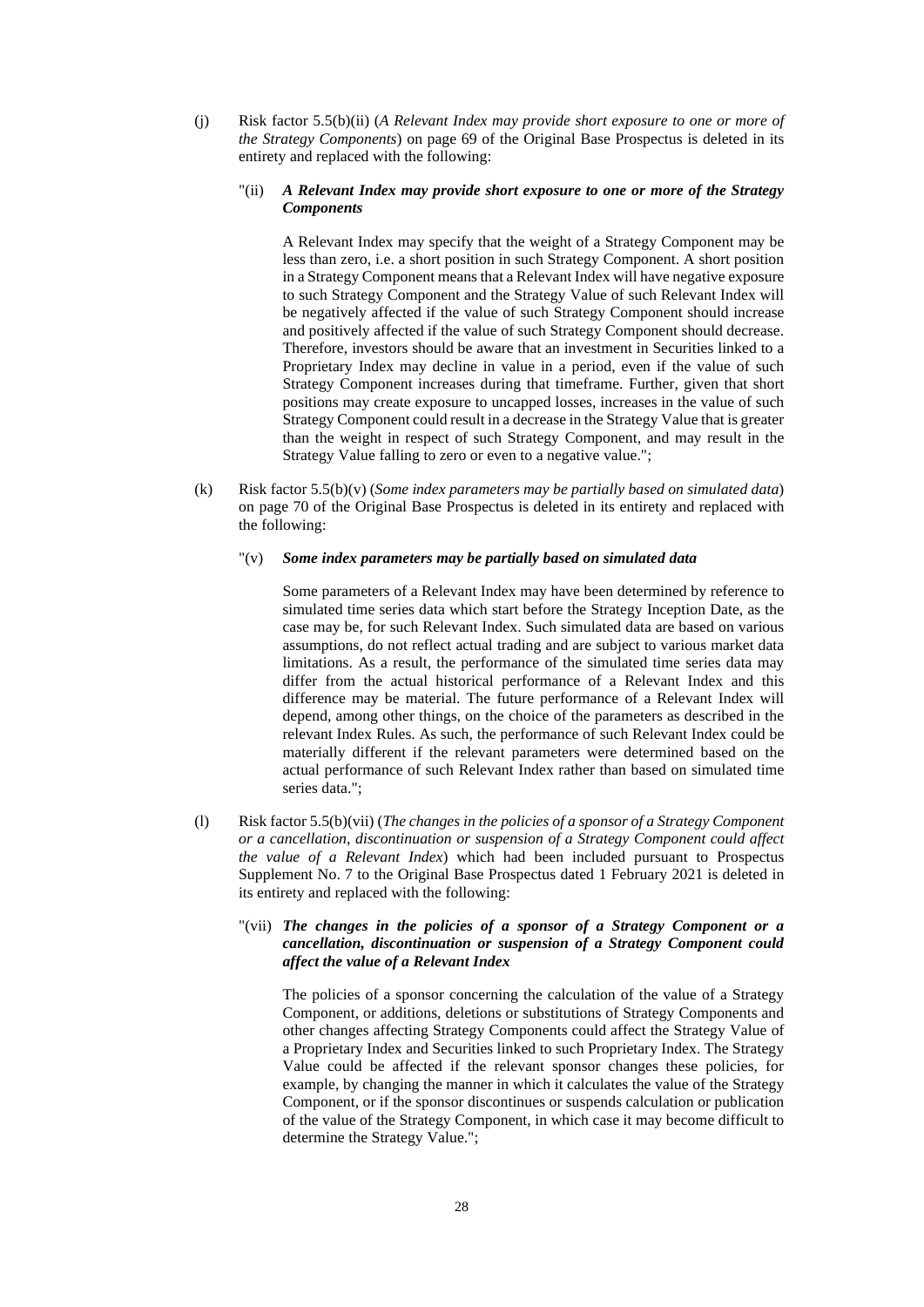(j) Risk factor 5.5(b)(ii) (*A Relevant Index may provide short exposure to one or more of the Strategy Components*) on page 69 of the Original Base Prospectus is deleted in its entirety and replaced with the following:

## "(ii) *A Relevant Index may provide short exposure to one or more of the Strategy Components*

A Relevant Index may specify that the weight of a Strategy Component may be less than zero, i.e. a short position in such Strategy Component. A short position in a Strategy Component means that a Relevant Index will have negative exposure to such Strategy Component and the Strategy Value of such Relevant Index will be negatively affected if the value of such Strategy Component should increase and positively affected if the value of such Strategy Component should decrease. Therefore, investors should be aware that an investment in Securities linked to a Proprietary Index may decline in value in a period, even if the value of such Strategy Component increases during that timeframe. Further, given that short positions may create exposure to uncapped losses, increases in the value of such Strategy Component could result in a decrease in the Strategy Value that is greater than the weight in respect of such Strategy Component, and may result in the Strategy Value falling to zero or even to a negative value.";

(k) Risk factor 5.5(b)(v) (*Some index parameters may be partially based on simulated data*) on page 70 of the Original Base Prospectus is deleted in its entirety and replaced with the following:

## "(v) *Some index parameters may be partially based on simulated data*

Some parameters of a Relevant Index may have been determined by reference to simulated time series data which start before the Strategy Inception Date, as the case may be, for such Relevant Index. Such simulated data are based on various assumptions, do not reflect actual trading and are subject to various market data limitations. As a result, the performance of the simulated time series data may differ from the actual historical performance of a Relevant Index and this difference may be material. The future performance of a Relevant Index will depend, among other things, on the choice of the parameters as described in the relevant Index Rules. As such, the performance of such Relevant Index could be materially different if the relevant parameters were determined based on the actual performance of such Relevant Index rather than based on simulated time series data.";

(l) Risk factor 5.5(b)(vii) (*The changes in the policies of a sponsor of a Strategy Component or a cancellation, discontinuation or suspension of a Strategy Component could affect the value of a Relevant Index*) which had been included pursuant to Prospectus Supplement No. 7 to the Original Base Prospectus dated 1 February 2021 is deleted in its entirety and replaced with the following:

## "(vii) *The changes in the policies of a sponsor of a Strategy Component or a cancellation, discontinuation or suspension of a Strategy Component could affect the value of a Relevant Index*

The policies of a sponsor concerning the calculation of the value of a Strategy Component, or additions, deletions or substitutions of Strategy Components and other changes affecting Strategy Components could affect the Strategy Value of a Proprietary Index and Securities linked to such Proprietary Index. The Strategy Value could be affected if the relevant sponsor changes these policies, for example, by changing the manner in which it calculates the value of the Strategy Component, or if the sponsor discontinues or suspends calculation or publication of the value of the Strategy Component, in which case it may become difficult to determine the Strategy Value.";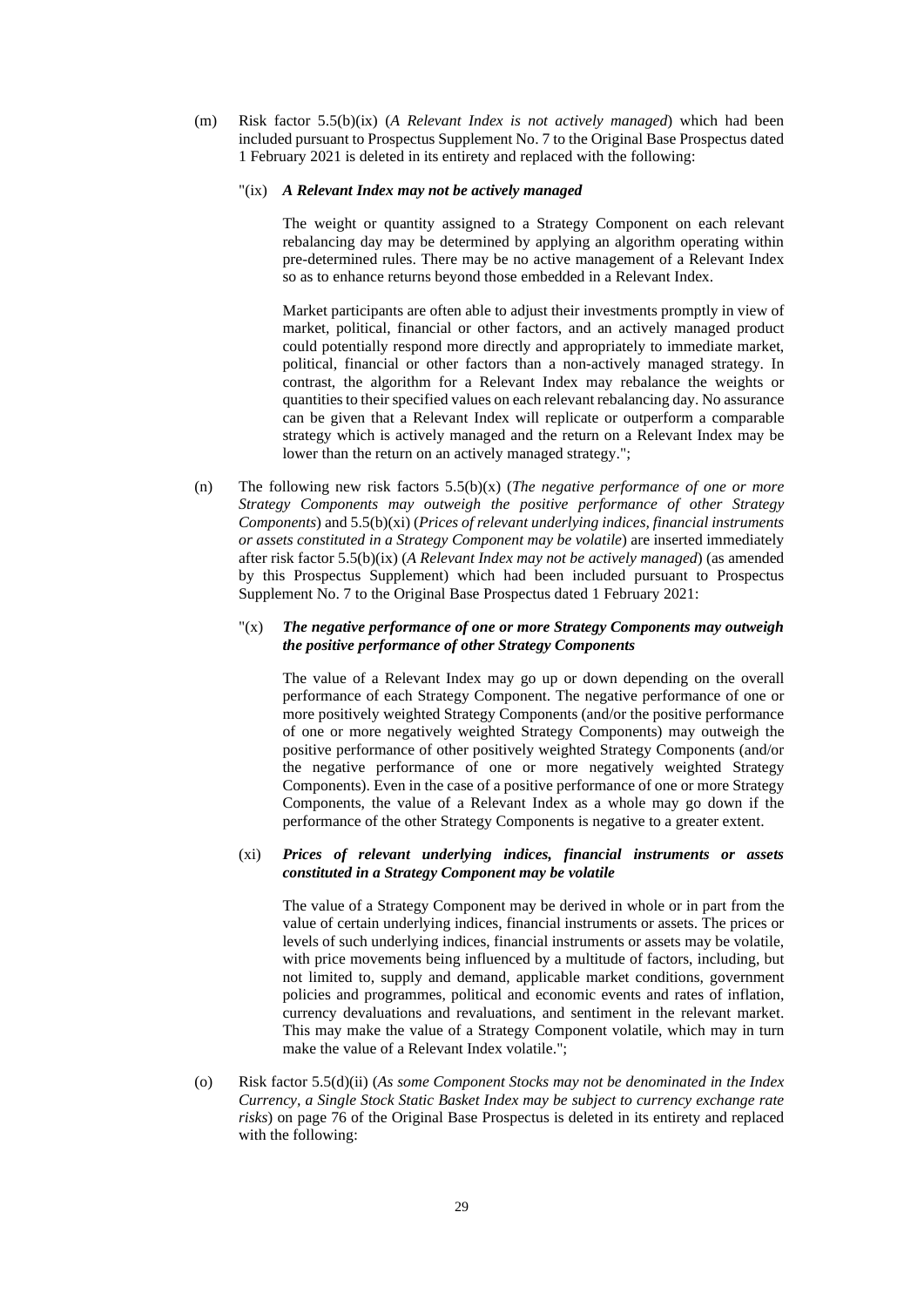(m) Risk factor 5.5(b)(ix) (*A Relevant Index is not actively managed*) which had been included pursuant to Prospectus Supplement No. 7 to the Original Base Prospectus dated 1 February 2021 is deleted in its entirety and replaced with the following:

#### "(ix) *A Relevant Index may not be actively managed*

The weight or quantity assigned to a Strategy Component on each relevant rebalancing day may be determined by applying an algorithm operating within pre-determined rules. There may be no active management of a Relevant Index so as to enhance returns beyond those embedded in a Relevant Index.

Market participants are often able to adjust their investments promptly in view of market, political, financial or other factors, and an actively managed product could potentially respond more directly and appropriately to immediate market, political, financial or other factors than a non-actively managed strategy. In contrast, the algorithm for a Relevant Index may rebalance the weights or quantities to their specified values on each relevant rebalancing day. No assurance can be given that a Relevant Index will replicate or outperform a comparable strategy which is actively managed and the return on a Relevant Index may be lower than the return on an actively managed strategy.";

(n) The following new risk factors 5.5(b)(x) (*The negative performance of one or more Strategy Components may outweigh the positive performance of other Strategy Components*) and 5.5(b)(xi) (*Prices of relevant underlying indices, financial instruments or assets constituted in a Strategy Component may be volatile*) are inserted immediately after risk factor 5.5(b)(ix) (*A Relevant Index may not be actively managed*) (as amended by this Prospectus Supplement) which had been included pursuant to Prospectus Supplement No. 7 to the Original Base Prospectus dated 1 February 2021:

## "(x) *The negative performance of one or more Strategy Components may outweigh the positive performance of other Strategy Components*

The value of a Relevant Index may go up or down depending on the overall performance of each Strategy Component. The negative performance of one or more positively weighted Strategy Components (and/or the positive performance of one or more negatively weighted Strategy Components) may outweigh the positive performance of other positively weighted Strategy Components (and/or the negative performance of one or more negatively weighted Strategy Components). Even in the case of a positive performance of one or more Strategy Components, the value of a Relevant Index as a whole may go down if the performance of the other Strategy Components is negative to a greater extent.

## (xi) *Prices of relevant underlying indices, financial instruments or assets constituted in a Strategy Component may be volatile*

The value of a Strategy Component may be derived in whole or in part from the value of certain underlying indices, financial instruments or assets. The prices or levels of such underlying indices, financial instruments or assets may be volatile, with price movements being influenced by a multitude of factors, including, but not limited to, supply and demand, applicable market conditions, government policies and programmes, political and economic events and rates of inflation, currency devaluations and revaluations, and sentiment in the relevant market. This may make the value of a Strategy Component volatile, which may in turn make the value of a Relevant Index volatile.";

(o) Risk factor 5.5(d)(ii) (*As some Component Stocks may not be denominated in the Index Currency, a Single Stock Static Basket Index may be subject to currency exchange rate risks*) on page 76 of the Original Base Prospectus is deleted in its entirety and replaced with the following: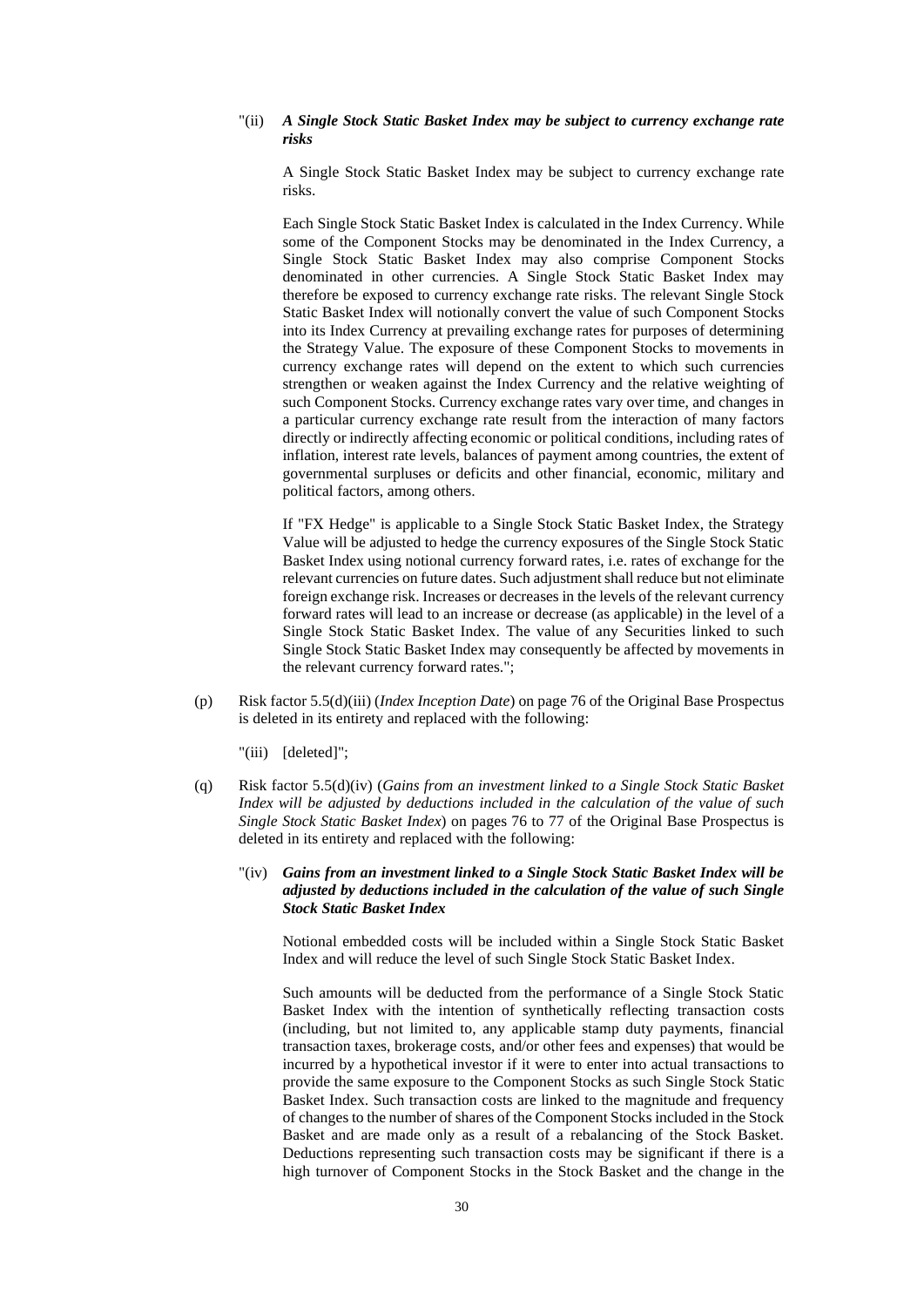### "(ii) *A Single Stock Static Basket Index may be subject to currency exchange rate risks*

A Single Stock Static Basket Index may be subject to currency exchange rate risks.

Each Single Stock Static Basket Index is calculated in the Index Currency. While some of the Component Stocks may be denominated in the Index Currency, a Single Stock Static Basket Index may also comprise Component Stocks denominated in other currencies. A Single Stock Static Basket Index may therefore be exposed to currency exchange rate risks. The relevant Single Stock Static Basket Index will notionally convert the value of such Component Stocks into its Index Currency at prevailing exchange rates for purposes of determining the Strategy Value. The exposure of these Component Stocks to movements in currency exchange rates will depend on the extent to which such currencies strengthen or weaken against the Index Currency and the relative weighting of such Component Stocks. Currency exchange rates vary over time, and changes in a particular currency exchange rate result from the interaction of many factors directly or indirectly affecting economic or political conditions, including rates of inflation, interest rate levels, balances of payment among countries, the extent of governmental surpluses or deficits and other financial, economic, military and political factors, among others.

If "FX Hedge" is applicable to a Single Stock Static Basket Index, the Strategy Value will be adjusted to hedge the currency exposures of the Single Stock Static Basket Index using notional currency forward rates, i.e. rates of exchange for the relevant currencies on future dates. Such adjustment shall reduce but not eliminate foreign exchange risk. Increases or decreases in the levels of the relevant currency forward rates will lead to an increase or decrease (as applicable) in the level of a Single Stock Static Basket Index. The value of any Securities linked to such Single Stock Static Basket Index may consequently be affected by movements in the relevant currency forward rates.";

- (p) Risk factor 5.5(d)(iii) (*Index Inception Date*) on page 76 of the Original Base Prospectus is deleted in its entirety and replaced with the following:
	- "(iii) [deleted]";
- (q) Risk factor 5.5(d)(iv) (*Gains from an investment linked to a Single Stock Static Basket Index will be adjusted by deductions included in the calculation of the value of such Single Stock Static Basket Index*) on pages 76 to 77 of the Original Base Prospectus is deleted in its entirety and replaced with the following:
	- "(iv) *Gains from an investment linked to a Single Stock Static Basket Index will be adjusted by deductions included in the calculation of the value of such Single Stock Static Basket Index*

Notional embedded costs will be included within a Single Stock Static Basket Index and will reduce the level of such Single Stock Static Basket Index.

Such amounts will be deducted from the performance of a Single Stock Static Basket Index with the intention of synthetically reflecting transaction costs (including, but not limited to, any applicable stamp duty payments, financial transaction taxes, brokerage costs, and/or other fees and expenses) that would be incurred by a hypothetical investor if it were to enter into actual transactions to provide the same exposure to the Component Stocks as such Single Stock Static Basket Index. Such transaction costs are linked to the magnitude and frequency of changes to the number of shares of the Component Stocks included in the Stock Basket and are made only as a result of a rebalancing of the Stock Basket. Deductions representing such transaction costs may be significant if there is a high turnover of Component Stocks in the Stock Basket and the change in the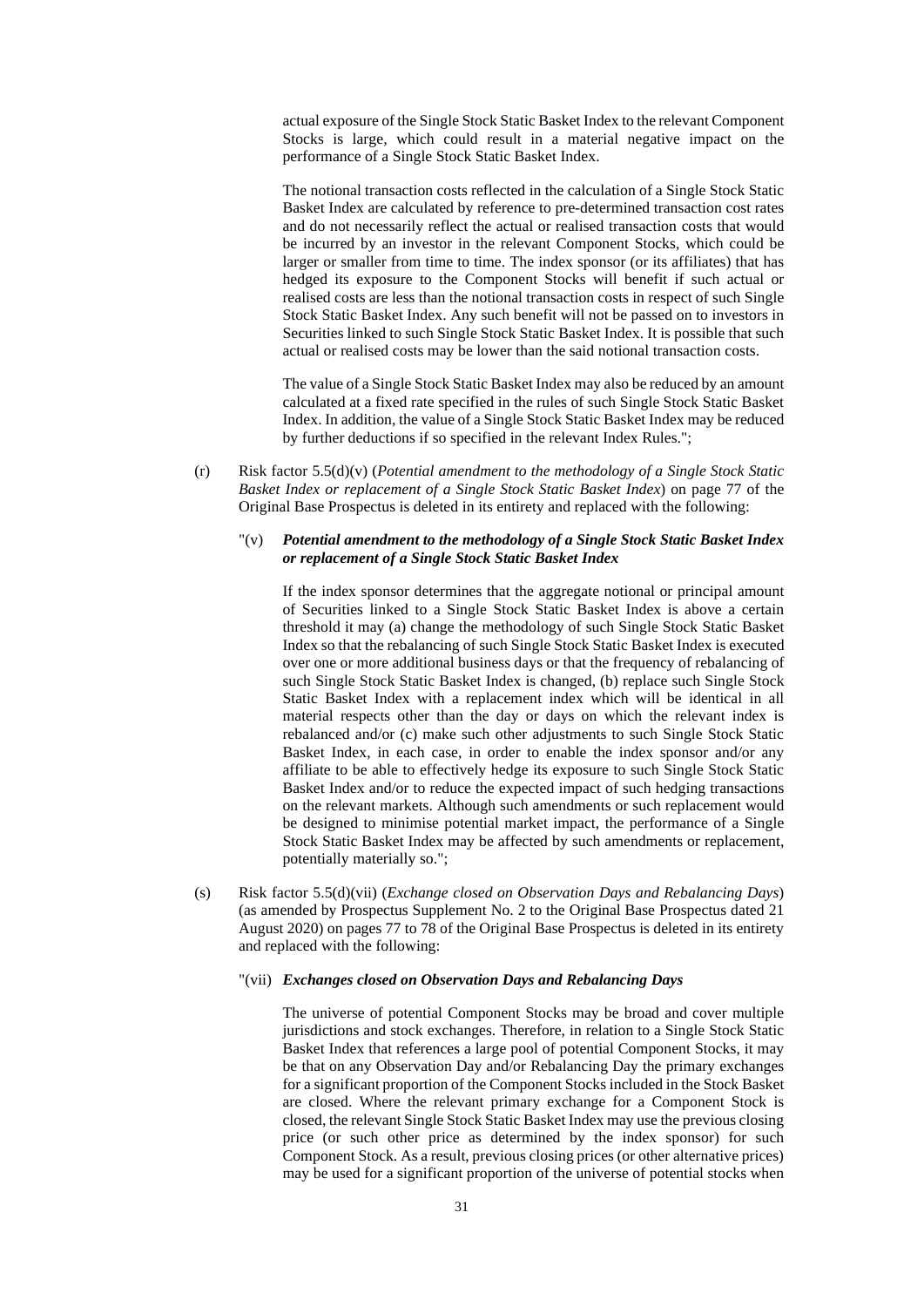actual exposure of the Single Stock Static Basket Index to the relevant Component Stocks is large, which could result in a material negative impact on the performance of a Single Stock Static Basket Index.

The notional transaction costs reflected in the calculation of a Single Stock Static Basket Index are calculated by reference to pre-determined transaction cost rates and do not necessarily reflect the actual or realised transaction costs that would be incurred by an investor in the relevant Component Stocks, which could be larger or smaller from time to time. The index sponsor (or its affiliates) that has hedged its exposure to the Component Stocks will benefit if such actual or realised costs are less than the notional transaction costs in respect of such Single Stock Static Basket Index. Any such benefit will not be passed on to investors in Securities linked to such Single Stock Static Basket Index. It is possible that such actual or realised costs may be lower than the said notional transaction costs.

The value of a Single Stock Static Basket Index may also be reduced by an amount calculated at a fixed rate specified in the rules of such Single Stock Static Basket Index. In addition, the value of a Single Stock Static Basket Index may be reduced by further deductions if so specified in the relevant Index Rules.";

(r) Risk factor 5.5(d)(v) (*Potential amendment to the methodology of a Single Stock Static Basket Index or replacement of a Single Stock Static Basket Index*) on page 77 of the Original Base Prospectus is deleted in its entirety and replaced with the following:

## "(v) *Potential amendment to the methodology of a Single Stock Static Basket Index or replacement of a Single Stock Static Basket Index*

If the index sponsor determines that the aggregate notional or principal amount of Securities linked to a Single Stock Static Basket Index is above a certain threshold it may (a) change the methodology of such Single Stock Static Basket Index so that the rebalancing of such Single Stock Static Basket Index is executed over one or more additional business days or that the frequency of rebalancing of such Single Stock Static Basket Index is changed, (b) replace such Single Stock Static Basket Index with a replacement index which will be identical in all material respects other than the day or days on which the relevant index is rebalanced and/or (c) make such other adjustments to such Single Stock Static Basket Index, in each case, in order to enable the index sponsor and/or any affiliate to be able to effectively hedge its exposure to such Single Stock Static Basket Index and/or to reduce the expected impact of such hedging transactions on the relevant markets. Although such amendments or such replacement would be designed to minimise potential market impact, the performance of a Single Stock Static Basket Index may be affected by such amendments or replacement, potentially materially so.";

(s) Risk factor 5.5(d)(vii) (*Exchange closed on Observation Days and Rebalancing Days*) (as amended by Prospectus Supplement No. 2 to the Original Base Prospectus dated 21 August 2020) on pages 77 to 78 of the Original Base Prospectus is deleted in its entirety and replaced with the following:

## "(vii) *Exchanges closed on Observation Days and Rebalancing Days*

The universe of potential Component Stocks may be broad and cover multiple jurisdictions and stock exchanges. Therefore, in relation to a Single Stock Static Basket Index that references a large pool of potential Component Stocks, it may be that on any Observation Day and/or Rebalancing Day the primary exchanges for a significant proportion of the Component Stocks included in the Stock Basket are closed. Where the relevant primary exchange for a Component Stock is closed, the relevant Single Stock Static Basket Index may use the previous closing price (or such other price as determined by the index sponsor) for such Component Stock. As a result, previous closing prices (or other alternative prices) may be used for a significant proportion of the universe of potential stocks when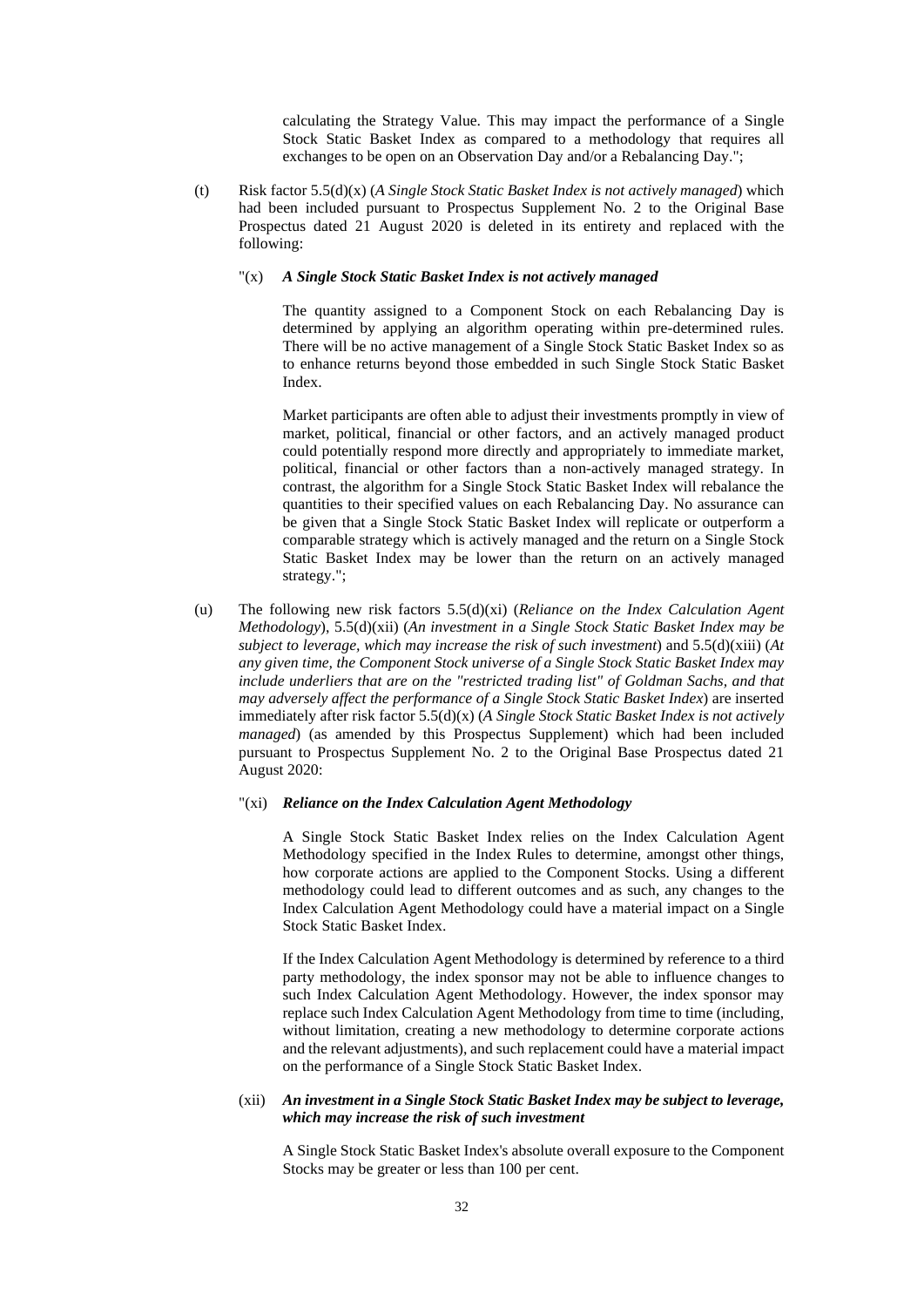calculating the Strategy Value. This may impact the performance of a Single Stock Static Basket Index as compared to a methodology that requires all exchanges to be open on an Observation Day and/or a Rebalancing Day.";

(t) Risk factor 5.5(d)(x) (*A Single Stock Static Basket Index is not actively managed*) which had been included pursuant to Prospectus Supplement No. 2 to the Original Base Prospectus dated 21 August 2020 is deleted in its entirety and replaced with the following:

#### "(x) *A Single Stock Static Basket Index is not actively managed*

The quantity assigned to a Component Stock on each Rebalancing Day is determined by applying an algorithm operating within pre-determined rules. There will be no active management of a Single Stock Static Basket Index so as to enhance returns beyond those embedded in such Single Stock Static Basket Index.

Market participants are often able to adjust their investments promptly in view of market, political, financial or other factors, and an actively managed product could potentially respond more directly and appropriately to immediate market, political, financial or other factors than a non-actively managed strategy. In contrast, the algorithm for a Single Stock Static Basket Index will rebalance the quantities to their specified values on each Rebalancing Day. No assurance can be given that a Single Stock Static Basket Index will replicate or outperform a comparable strategy which is actively managed and the return on a Single Stock Static Basket Index may be lower than the return on an actively managed strategy.";

(u) The following new risk factors 5.5(d)(xi) (*Reliance on the Index Calculation Agent Methodology*), 5.5(d)(xii) (*An investment in a Single Stock Static Basket Index may be subject to leverage, which may increase the risk of such investment*) and 5.5(d)(xiii) (*At any given time, the Component Stock universe of a Single Stock Static Basket Index may include underliers that are on the "restricted trading list" of Goldman Sachs, and that may adversely affect the performance of a Single Stock Static Basket Index*) are inserted immediately after risk factor 5.5(d)(x) (*A Single Stock Static Basket Index is not actively managed*) (as amended by this Prospectus Supplement) which had been included pursuant to Prospectus Supplement No. 2 to the Original Base Prospectus dated 21 August 2020:

#### "(xi) *Reliance on the Index Calculation Agent Methodology*

A Single Stock Static Basket Index relies on the Index Calculation Agent Methodology specified in the Index Rules to determine, amongst other things, how corporate actions are applied to the Component Stocks. Using a different methodology could lead to different outcomes and as such, any changes to the Index Calculation Agent Methodology could have a material impact on a Single Stock Static Basket Index.

If the Index Calculation Agent Methodology is determined by reference to a third party methodology, the index sponsor may not be able to influence changes to such Index Calculation Agent Methodology. However, the index sponsor may replace such Index Calculation Agent Methodology from time to time (including, without limitation, creating a new methodology to determine corporate actions and the relevant adjustments), and such replacement could have a material impact on the performance of a Single Stock Static Basket Index.

## (xii) *An investment in a Single Stock Static Basket Index may be subject to leverage, which may increase the risk of such investment*

A Single Stock Static Basket Index's absolute overall exposure to the Component Stocks may be greater or less than 100 per cent.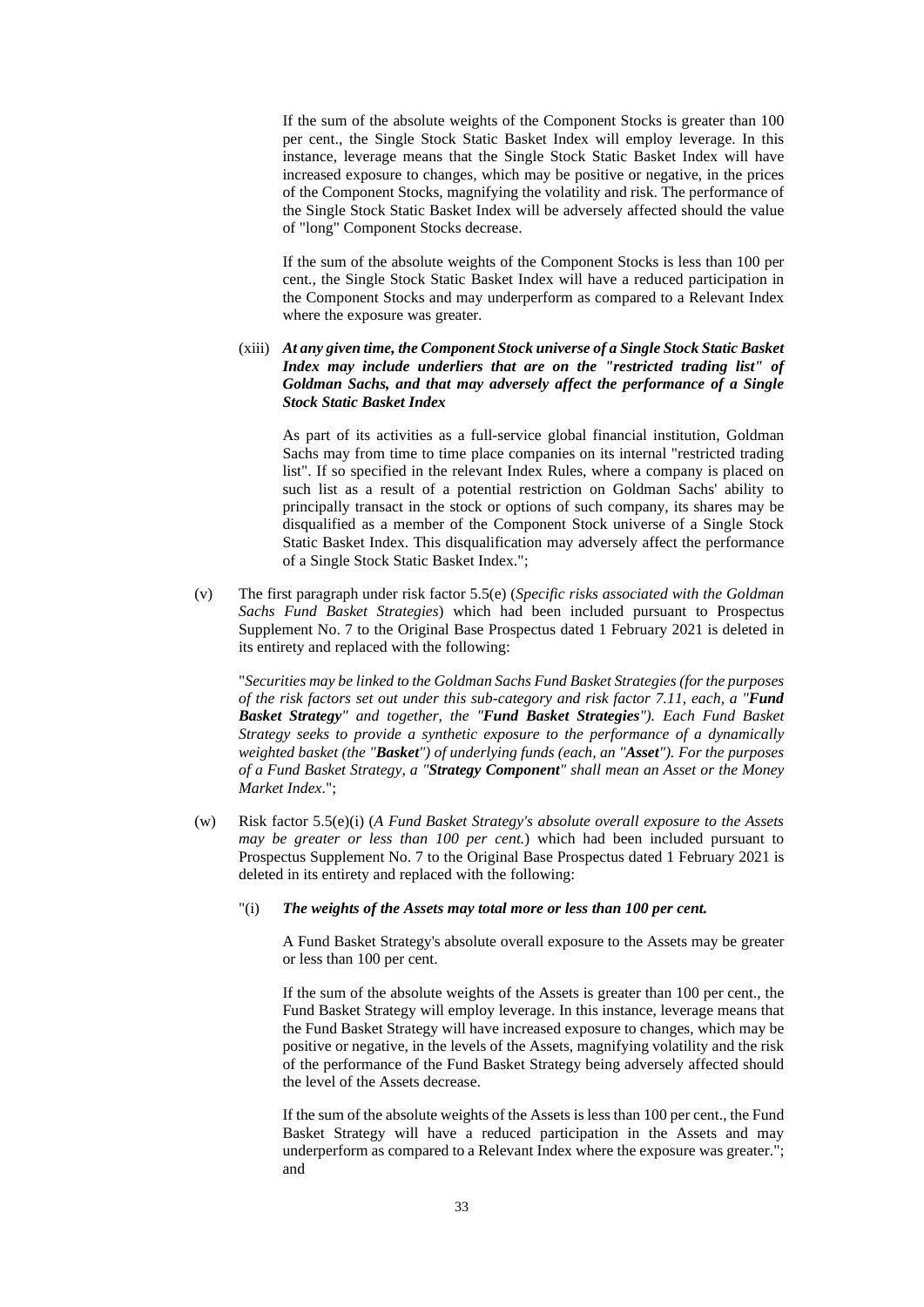If the sum of the absolute weights of the Component Stocks is greater than 100 per cent., the Single Stock Static Basket Index will employ leverage. In this instance, leverage means that the Single Stock Static Basket Index will have increased exposure to changes, which may be positive or negative, in the prices of the Component Stocks, magnifying the volatility and risk. The performance of the Single Stock Static Basket Index will be adversely affected should the value of "long" Component Stocks decrease.

If the sum of the absolute weights of the Component Stocks is less than 100 per cent., the Single Stock Static Basket Index will have a reduced participation in the Component Stocks and may underperform as compared to a Relevant Index where the exposure was greater.

(xiii) *At any given time, the Component Stock universe of a Single Stock Static Basket Index may include underliers that are on the "restricted trading list" of Goldman Sachs, and that may adversely affect the performance of a Single Stock Static Basket Index* 

As part of its activities as a full-service global financial institution, Goldman Sachs may from time to time place companies on its internal "restricted trading list". If so specified in the relevant Index Rules, where a company is placed on such list as a result of a potential restriction on Goldman Sachs' ability to principally transact in the stock or options of such company, its shares may be disqualified as a member of the Component Stock universe of a Single Stock Static Basket Index. This disqualification may adversely affect the performance of a Single Stock Static Basket Index.";

(v) The first paragraph under risk factor 5.5(e) (*Specific risks associated with the Goldman Sachs Fund Basket Strategies*) which had been included pursuant to Prospectus Supplement No. 7 to the Original Base Prospectus dated 1 February 2021 is deleted in its entirety and replaced with the following:

"*Securities may be linked to the Goldman Sachs Fund Basket Strategies (for the purposes of the risk factors set out under this sub-category and risk factor 7.11, each, a "Fund Basket Strategy" and together, the "Fund Basket Strategies"). Each Fund Basket Strategy seeks to provide a synthetic exposure to the performance of a dynamically weighted basket (the "Basket") of underlying funds (each, an "Asset"). For the purposes of a Fund Basket Strategy, a "Strategy Component" shall mean an Asset or the Money Market Index*.";

- (w) Risk factor 5.5(e)(i) (*A Fund Basket Strategy's absolute overall exposure to the Assets may be greater or less than 100 per cent.*) which had been included pursuant to Prospectus Supplement No. 7 to the Original Base Prospectus dated 1 February 2021 is deleted in its entirety and replaced with the following:
	- "(i) *The weights of the Assets may total more or less than 100 per cent.*

A Fund Basket Strategy's absolute overall exposure to the Assets may be greater or less than 100 per cent.

If the sum of the absolute weights of the Assets is greater than 100 per cent., the Fund Basket Strategy will employ leverage. In this instance, leverage means that the Fund Basket Strategy will have increased exposure to changes, which may be positive or negative, in the levels of the Assets, magnifying volatility and the risk of the performance of the Fund Basket Strategy being adversely affected should the level of the Assets decrease.

If the sum of the absolute weights of the Assets is less than 100 per cent., the Fund Basket Strategy will have a reduced participation in the Assets and may underperform as compared to a Relevant Index where the exposure was greater."; and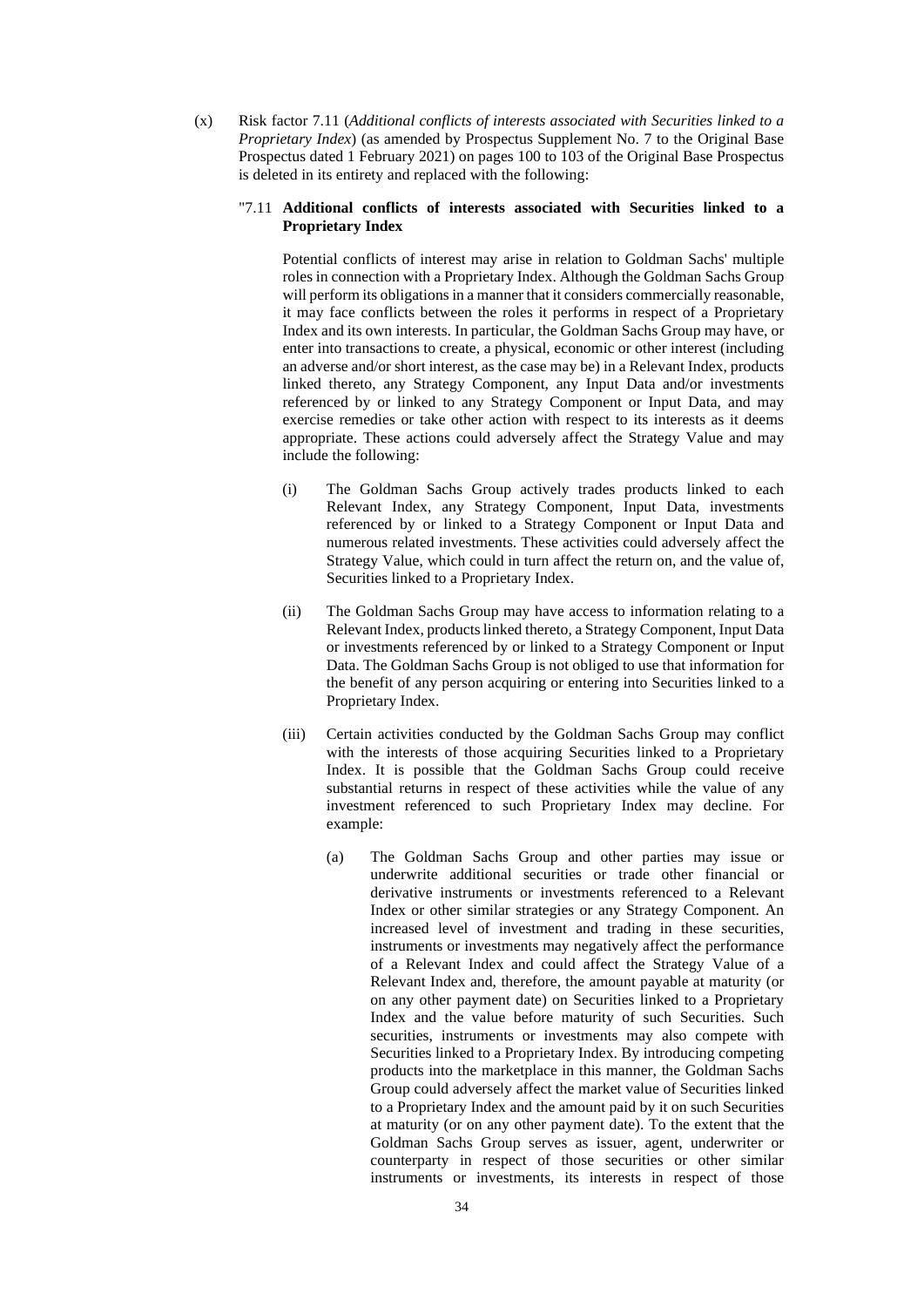(x) Risk factor 7.11 (*Additional conflicts of interests associated with Securities linked to a Proprietary Index*) (as amended by Prospectus Supplement No. 7 to the Original Base Prospectus dated 1 February 2021) on pages 100 to 103 of the Original Base Prospectus is deleted in its entirety and replaced with the following:

#### "7.11 **Additional conflicts of interests associated with Securities linked to a Proprietary Index**

Potential conflicts of interest may arise in relation to Goldman Sachs' multiple roles in connection with a Proprietary Index. Although the Goldman Sachs Group will perform its obligations in a manner that it considers commercially reasonable, it may face conflicts between the roles it performs in respect of a Proprietary Index and its own interests. In particular, the Goldman Sachs Group may have, or enter into transactions to create, a physical, economic or other interest (including an adverse and/or short interest, as the case may be) in a Relevant Index, products linked thereto, any Strategy Component, any Input Data and/or investments referenced by or linked to any Strategy Component or Input Data, and may exercise remedies or take other action with respect to its interests as it deems appropriate. These actions could adversely affect the Strategy Value and may include the following:

- (i) The Goldman Sachs Group actively trades products linked to each Relevant Index, any Strategy Component, Input Data, investments referenced by or linked to a Strategy Component or Input Data and numerous related investments. These activities could adversely affect the Strategy Value, which could in turn affect the return on, and the value of, Securities linked to a Proprietary Index.
- (ii) The Goldman Sachs Group may have access to information relating to a Relevant Index, products linked thereto, a Strategy Component, Input Data or investments referenced by or linked to a Strategy Component or Input Data. The Goldman Sachs Group is not obliged to use that information for the benefit of any person acquiring or entering into Securities linked to a Proprietary Index.
- (iii) Certain activities conducted by the Goldman Sachs Group may conflict with the interests of those acquiring Securities linked to a Proprietary Index. It is possible that the Goldman Sachs Group could receive substantial returns in respect of these activities while the value of any investment referenced to such Proprietary Index may decline. For example:
	- (a) The Goldman Sachs Group and other parties may issue or underwrite additional securities or trade other financial or derivative instruments or investments referenced to a Relevant Index or other similar strategies or any Strategy Component. An increased level of investment and trading in these securities, instruments or investments may negatively affect the performance of a Relevant Index and could affect the Strategy Value of a Relevant Index and, therefore, the amount payable at maturity (or on any other payment date) on Securities linked to a Proprietary Index and the value before maturity of such Securities. Such securities, instruments or investments may also compete with Securities linked to a Proprietary Index. By introducing competing products into the marketplace in this manner, the Goldman Sachs Group could adversely affect the market value of Securities linked to a Proprietary Index and the amount paid by it on such Securities at maturity (or on any other payment date). To the extent that the Goldman Sachs Group serves as issuer, agent, underwriter or counterparty in respect of those securities or other similar instruments or investments, its interests in respect of those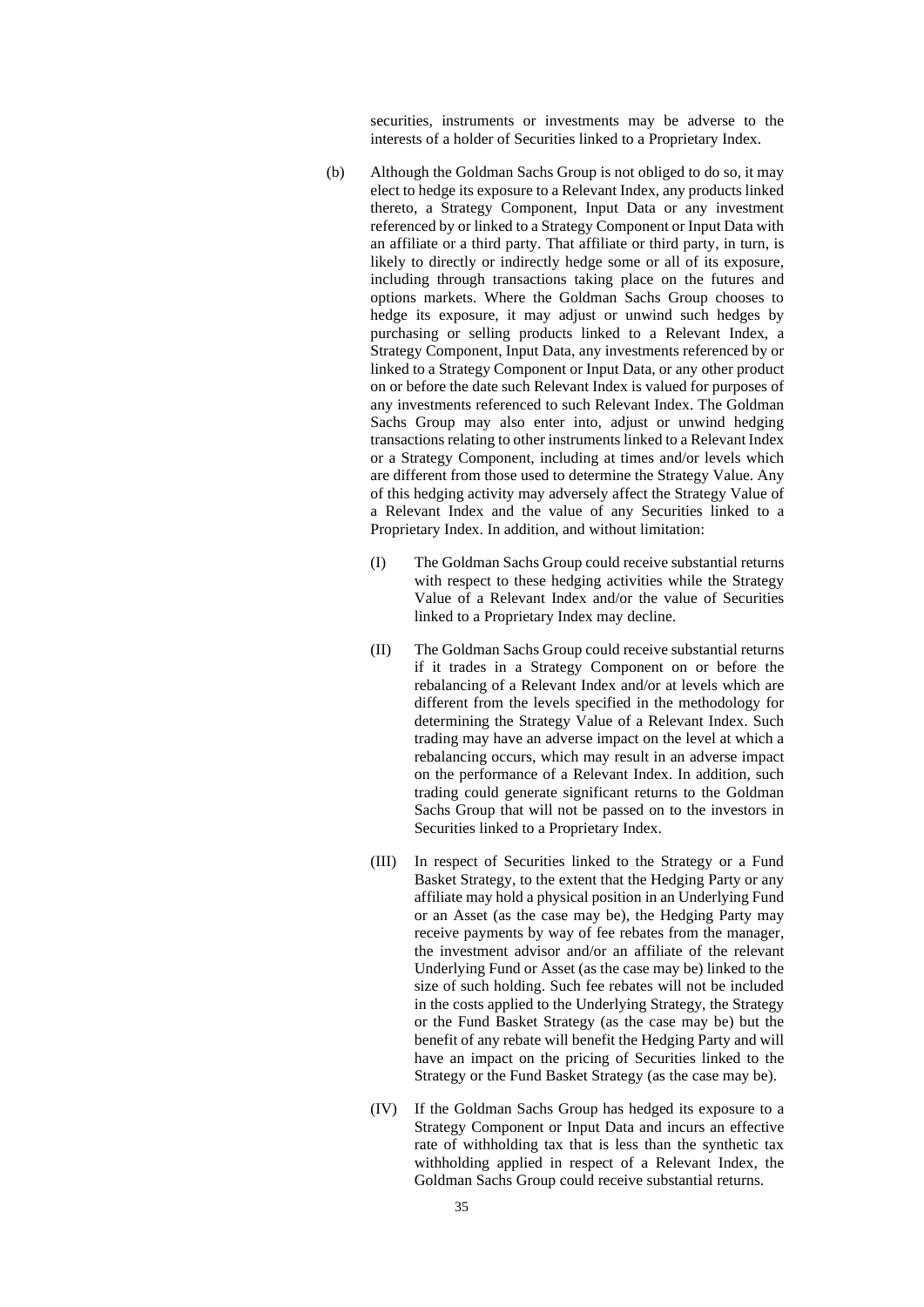securities, instruments or investments may be adverse to the interests of a holder of Securities linked to a Proprietary Index.

- (b) Although the Goldman Sachs Group is not obliged to do so, it may elect to hedge its exposure to a Relevant Index, any products linked thereto, a Strategy Component, Input Data or any investment referenced by or linked to a Strategy Component or Input Data with an affiliate or a third party. That affiliate or third party, in turn, is likely to directly or indirectly hedge some or all of its exposure, including through transactions taking place on the futures and options markets. Where the Goldman Sachs Group chooses to hedge its exposure, it may adjust or unwind such hedges by purchasing or selling products linked to a Relevant Index, a Strategy Component, Input Data, any investments referenced by or linked to a Strategy Component or Input Data, or any other product on or before the date such Relevant Index is valued for purposes of any investments referenced to such Relevant Index. The Goldman Sachs Group may also enter into, adjust or unwind hedging transactions relating to other instruments linked to a Relevant Index or a Strategy Component, including at times and/or levels which are different from those used to determine the Strategy Value. Any of this hedging activity may adversely affect the Strategy Value of a Relevant Index and the value of any Securities linked to a Proprietary Index. In addition, and without limitation:
	- (I) The Goldman Sachs Group could receive substantial returns with respect to these hedging activities while the Strategy Value of a Relevant Index and/or the value of Securities linked to a Proprietary Index may decline.
	- (II) The Goldman Sachs Group could receive substantial returns if it trades in a Strategy Component on or before the rebalancing of a Relevant Index and/or at levels which are different from the levels specified in the methodology for determining the Strategy Value of a Relevant Index. Such trading may have an adverse impact on the level at which a rebalancing occurs, which may result in an adverse impact on the performance of a Relevant Index. In addition, such trading could generate significant returns to the Goldman Sachs Group that will not be passed on to the investors in Securities linked to a Proprietary Index.
	- (III) In respect of Securities linked to the Strategy or a Fund Basket Strategy, to the extent that the Hedging Party or any affiliate may hold a physical position in an Underlying Fund or an Asset (as the case may be), the Hedging Party may receive payments by way of fee rebates from the manager, the investment advisor and/or an affiliate of the relevant Underlying Fund or Asset (as the case may be) linked to the size of such holding. Such fee rebates will not be included in the costs applied to the Underlying Strategy, the Strategy or the Fund Basket Strategy (as the case may be) but the benefit of any rebate will benefit the Hedging Party and will have an impact on the pricing of Securities linked to the Strategy or the Fund Basket Strategy (as the case may be).
	- (IV) If the Goldman Sachs Group has hedged its exposure to a Strategy Component or Input Data and incurs an effective rate of withholding tax that is less than the synthetic tax withholding applied in respect of a Relevant Index, the Goldman Sachs Group could receive substantial returns.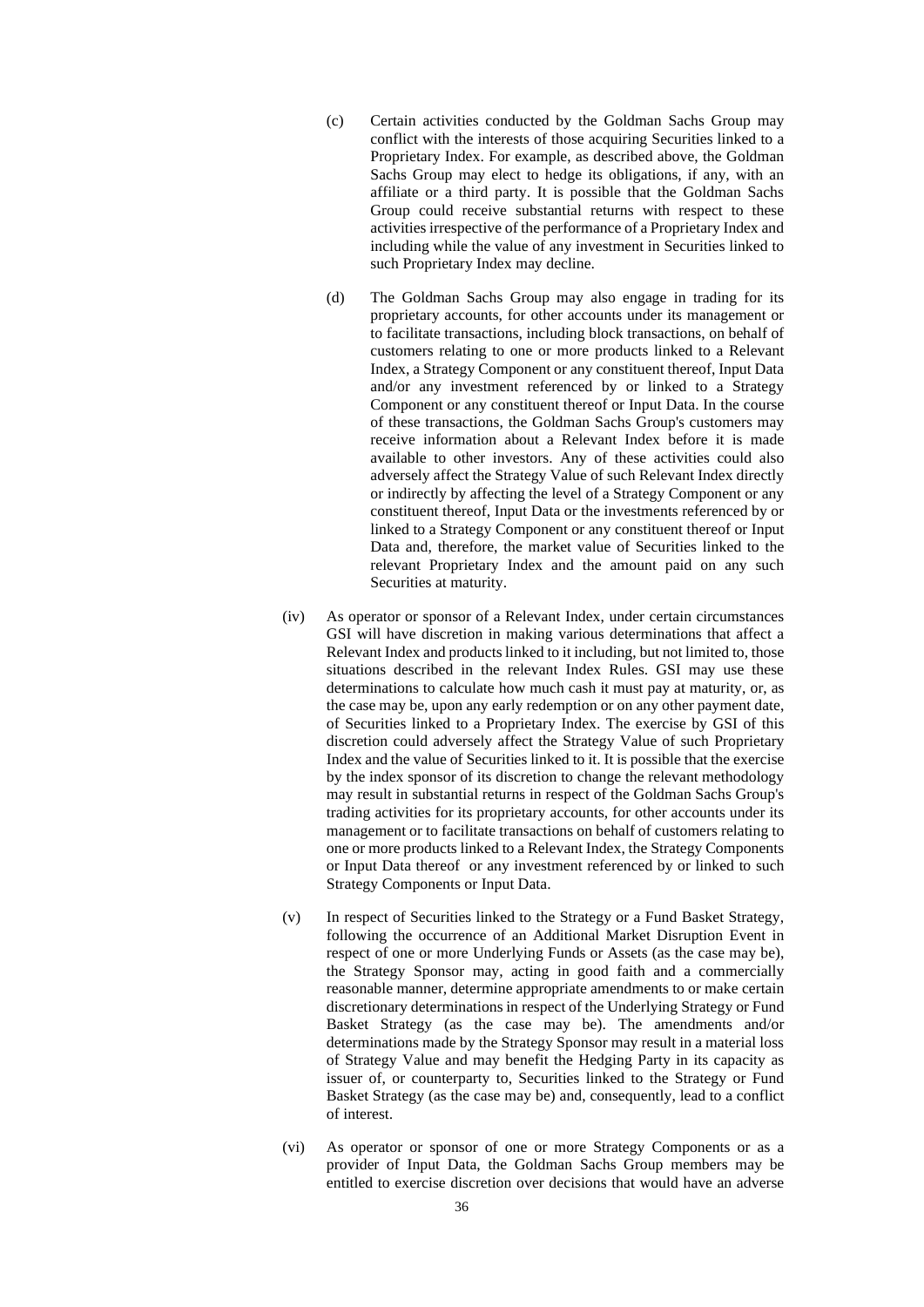- (c) Certain activities conducted by the Goldman Sachs Group may conflict with the interests of those acquiring Securities linked to a Proprietary Index. For example, as described above, the Goldman Sachs Group may elect to hedge its obligations, if any, with an affiliate or a third party. It is possible that the Goldman Sachs Group could receive substantial returns with respect to these activities irrespective of the performance of a Proprietary Index and including while the value of any investment in Securities linked to such Proprietary Index may decline.
- (d) The Goldman Sachs Group may also engage in trading for its proprietary accounts, for other accounts under its management or to facilitate transactions, including block transactions, on behalf of customers relating to one or more products linked to a Relevant Index, a Strategy Component or any constituent thereof, Input Data and/or any investment referenced by or linked to a Strategy Component or any constituent thereof or Input Data. In the course of these transactions, the Goldman Sachs Group's customers may receive information about a Relevant Index before it is made available to other investors. Any of these activities could also adversely affect the Strategy Value of such Relevant Index directly or indirectly by affecting the level of a Strategy Component or any constituent thereof, Input Data or the investments referenced by or linked to a Strategy Component or any constituent thereof or Input Data and, therefore, the market value of Securities linked to the relevant Proprietary Index and the amount paid on any such Securities at maturity.
- (iv) As operator or sponsor of a Relevant Index, under certain circumstances GSI will have discretion in making various determinations that affect a Relevant Index and products linked to it including, but not limited to, those situations described in the relevant Index Rules. GSI may use these determinations to calculate how much cash it must pay at maturity, or, as the case may be, upon any early redemption or on any other payment date, of Securities linked to a Proprietary Index. The exercise by GSI of this discretion could adversely affect the Strategy Value of such Proprietary Index and the value of Securities linked to it. It is possible that the exercise by the index sponsor of its discretion to change the relevant methodology may result in substantial returns in respect of the Goldman Sachs Group's trading activities for its proprietary accounts, for other accounts under its management or to facilitate transactions on behalf of customers relating to one or more products linked to a Relevant Index, the Strategy Components or Input Data thereof or any investment referenced by or linked to such Strategy Components or Input Data.
- (v) In respect of Securities linked to the Strategy or a Fund Basket Strategy, following the occurrence of an Additional Market Disruption Event in respect of one or more Underlying Funds or Assets (as the case may be), the Strategy Sponsor may, acting in good faith and a commercially reasonable manner, determine appropriate amendments to or make certain discretionary determinations in respect of the Underlying Strategy or Fund Basket Strategy (as the case may be). The amendments and/or determinations made by the Strategy Sponsor may result in a material loss of Strategy Value and may benefit the Hedging Party in its capacity as issuer of, or counterparty to, Securities linked to the Strategy or Fund Basket Strategy (as the case may be) and, consequently, lead to a conflict of interest.
- (vi) As operator or sponsor of one or more Strategy Components or as a provider of Input Data, the Goldman Sachs Group members may be entitled to exercise discretion over decisions that would have an adverse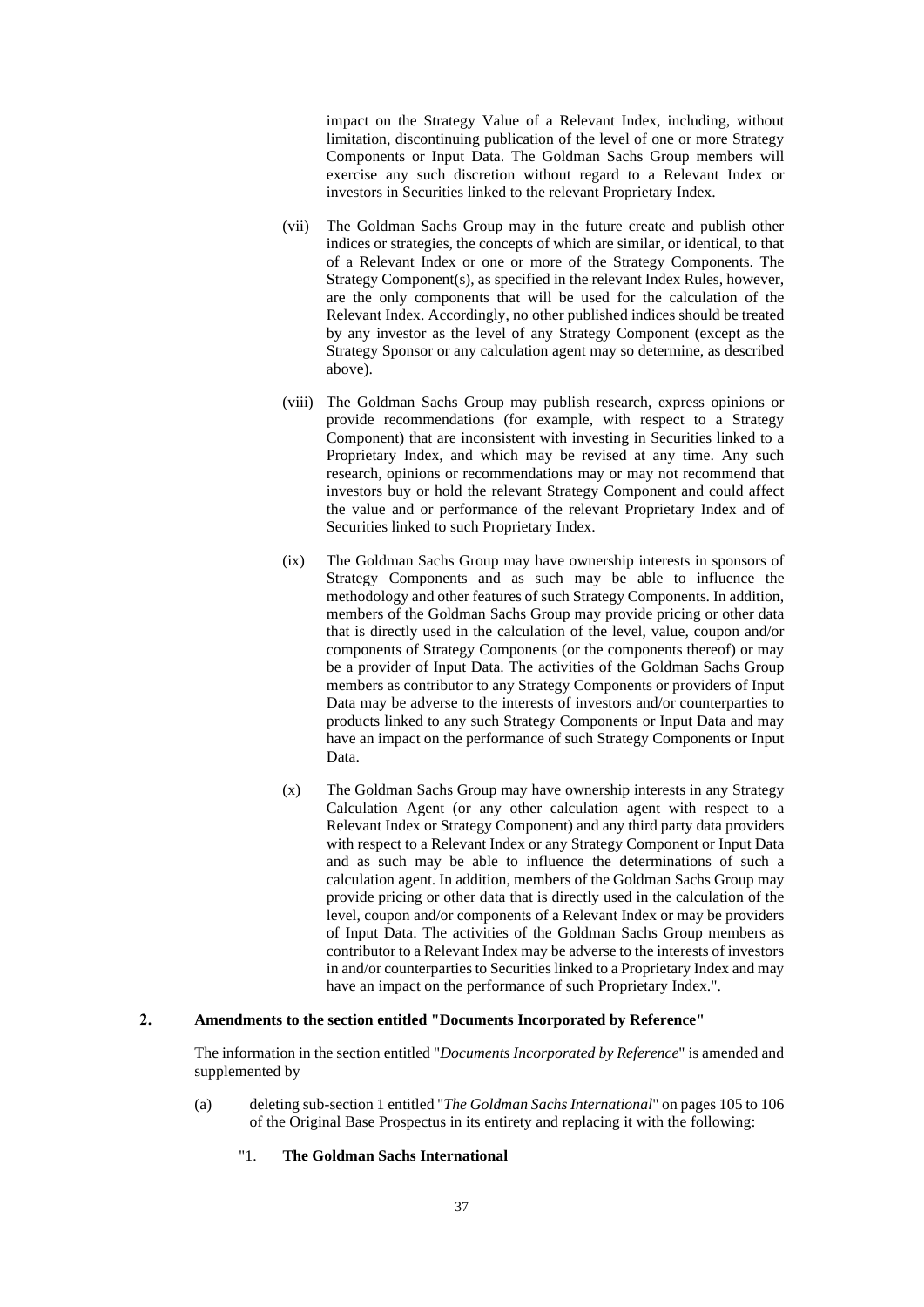impact on the Strategy Value of a Relevant Index, including, without limitation, discontinuing publication of the level of one or more Strategy Components or Input Data. The Goldman Sachs Group members will exercise any such discretion without regard to a Relevant Index or investors in Securities linked to the relevant Proprietary Index.

- (vii) The Goldman Sachs Group may in the future create and publish other indices or strategies, the concepts of which are similar, or identical, to that of a Relevant Index or one or more of the Strategy Components. The Strategy Component(s), as specified in the relevant Index Rules, however, are the only components that will be used for the calculation of the Relevant Index. Accordingly, no other published indices should be treated by any investor as the level of any Strategy Component (except as the Strategy Sponsor or any calculation agent may so determine, as described above).
- (viii) The Goldman Sachs Group may publish research, express opinions or provide recommendations (for example, with respect to a Strategy Component) that are inconsistent with investing in Securities linked to a Proprietary Index, and which may be revised at any time. Any such research, opinions or recommendations may or may not recommend that investors buy or hold the relevant Strategy Component and could affect the value and or performance of the relevant Proprietary Index and of Securities linked to such Proprietary Index.
- (ix) The Goldman Sachs Group may have ownership interests in sponsors of Strategy Components and as such may be able to influence the methodology and other features of such Strategy Components. In addition, members of the Goldman Sachs Group may provide pricing or other data that is directly used in the calculation of the level, value, coupon and/or components of Strategy Components (or the components thereof) or may be a provider of Input Data. The activities of the Goldman Sachs Group members as contributor to any Strategy Components or providers of Input Data may be adverse to the interests of investors and/or counterparties to products linked to any such Strategy Components or Input Data and may have an impact on the performance of such Strategy Components or Input Data.
- (x) The Goldman Sachs Group may have ownership interests in any Strategy Calculation Agent (or any other calculation agent with respect to a Relevant Index or Strategy Component) and any third party data providers with respect to a Relevant Index or any Strategy Component or Input Data and as such may be able to influence the determinations of such a calculation agent. In addition, members of the Goldman Sachs Group may provide pricing or other data that is directly used in the calculation of the level, coupon and/or components of a Relevant Index or may be providers of Input Data. The activities of the Goldman Sachs Group members as contributor to a Relevant Index may be adverse to the interests of investors in and/or counterparties to Securities linked to a Proprietary Index and may have an impact on the performance of such Proprietary Index.".

#### $2.$ **Amendments to the section entitled "Documents Incorporated by Reference"**

The information in the section entitled "*Documents Incorporated by Reference*" is amended and supplemented by

- (a) deleting sub-section 1 entitled "*The Goldman Sachs International*" on pages 105 to 106 of the Original Base Prospectus in its entirety and replacing it with the following:
	- "1. **The Goldman Sachs International**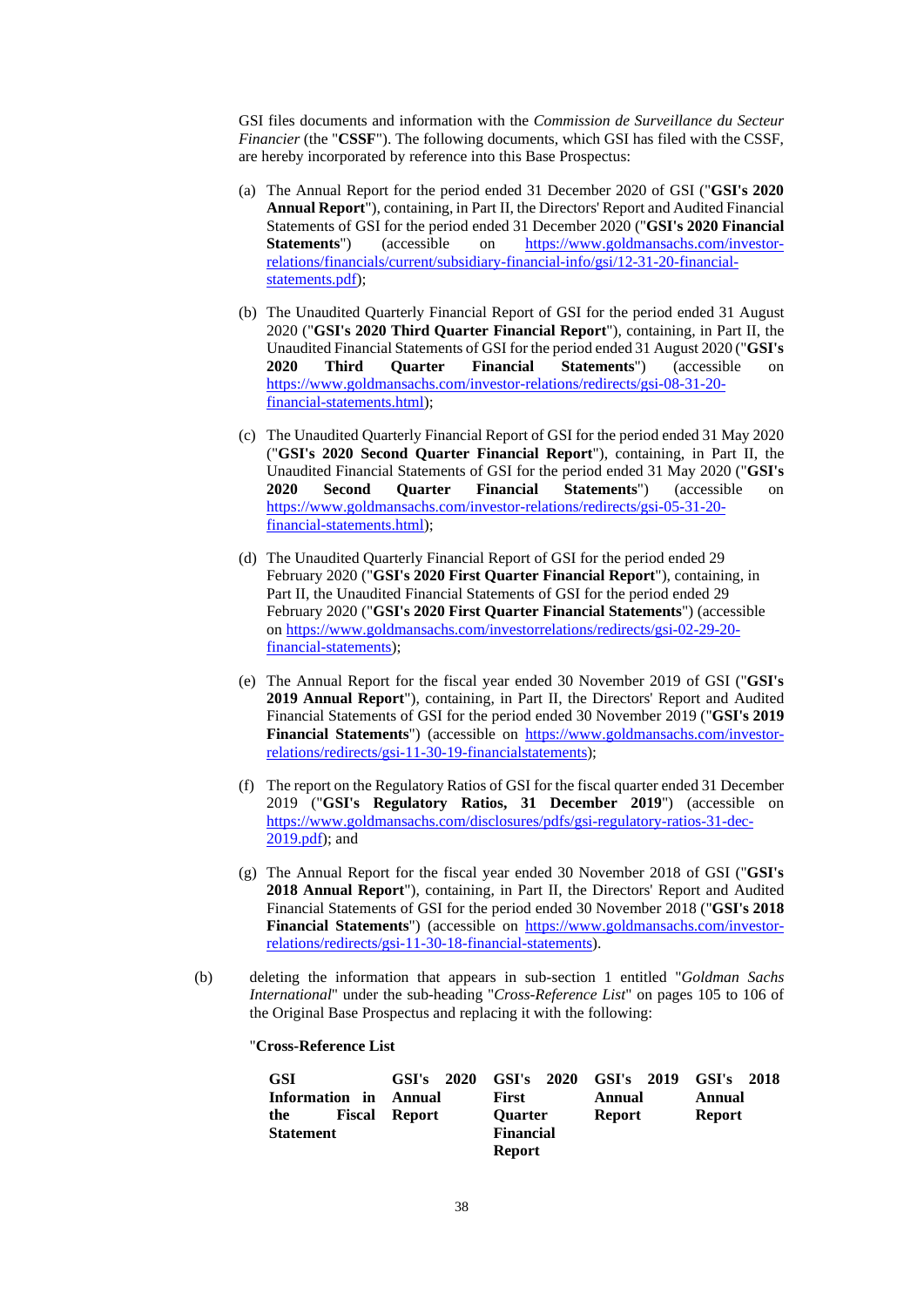GSI files documents and information with the *Commission de Surveillance du Secteur Financier* (the "**CSSF**"). The following documents, which GSI has filed with the CSSF, are hereby incorporated by reference into this Base Prospectus:

- (a) The Annual Report for the period ended 31 December 2020 of GSI ("**GSI's 2020 Annual Report**"), containing, in Part II, the Directors' Report and Audited Financial Statements of GSI for the period ended 31 December 2020 ("**GSI's 2020 Financial Statements**") (accessible on [https://www.goldmansachs.com/investor](https://www.goldmansachs.com/investor-relations/financials/current/subsidiary-financial-info/gsi/12-31-20-financial-statements.pdf)[relations/financials/current/subsidiary-financial-info/gsi/12-31-20-financial](https://www.goldmansachs.com/investor-relations/financials/current/subsidiary-financial-info/gsi/12-31-20-financial-statements.pdf)[statements.pdf\)](https://www.goldmansachs.com/investor-relations/financials/current/subsidiary-financial-info/gsi/12-31-20-financial-statements.pdf);
- (b) The Unaudited Quarterly Financial Report of GSI for the period ended 31 August 2020 ("**GSI's 2020 Third Quarter Financial Report**"), containing, in Part II, the Unaudited Financial Statements of GSI for the period ended 31 August 2020 ("**GSI's 2020 Third Quarter Financial Statements**") (accessible on [https://www.goldmansachs.com/investor-relations/redirects/gsi-08-31-20](https://www.goldmansachs.com/investor-relations/redirects/gsi-08-31-20-financial-statements.html) [financial-statements.html\)](https://www.goldmansachs.com/investor-relations/redirects/gsi-08-31-20-financial-statements.html);
- (c) The Unaudited Quarterly Financial Report of GSI for the period ended 31 May 2020 ("**GSI's 2020 Second Quarter Financial Report**"), containing, in Part II, the Unaudited Financial Statements of GSI for the period ended 31 May 2020 ("**GSI's 2020 Second Quarter Financial Statements**") (accessible on [https://www.goldmansachs.com/investor-relations/redirects/gsi-05-31-20](https://www.goldmansachs.com/investor-relations/redirects/gsi-05-31-20-financial-statements.html) [financial-statements.html\)](https://www.goldmansachs.com/investor-relations/redirects/gsi-05-31-20-financial-statements.html);
- (d) The Unaudited Quarterly Financial Report of GSI for the period ended 29 February 2020 ("**GSI's 2020 First Quarter Financial Report**"), containing, in Part II, the Unaudited Financial Statements of GSI for the period ended 29 February 2020 ("**GSI's 2020 First Quarter Financial Statements**") (accessible on [https://www.goldmansachs.com/investorrelations/redirects/gsi-02-29-20](https://www.goldmansachs.com/investorrelations/redirects/gsi-02-29-20-financial-statements) [financial-statements\)](https://www.goldmansachs.com/investorrelations/redirects/gsi-02-29-20-financial-statements);
- (e) The Annual Report for the fiscal year ended 30 November 2019 of GSI ("**GSI's 2019 Annual Report**"), containing, in Part II, the Directors' Report and Audited Financial Statements of GSI for the period ended 30 November 2019 ("**GSI's 2019 Financial Statements**") (accessible on [https://www.goldmansachs.com/investor](https://www.goldmansachs.com/investor-relations/redirects/gsi-11-30-19-financialstatements)[relations/redirects/gsi-11-30-19-financialstatements\)](https://www.goldmansachs.com/investor-relations/redirects/gsi-11-30-19-financialstatements);
- (f) The report on the Regulatory Ratios of GSI for the fiscal quarter ended 31 December 2019 ("**GSI's Regulatory Ratios, 31 December 2019**") (accessible on [https://www.goldmansachs.com/disclosures/pdfs/gsi-regulatory-ratios-31-dec-](https://www.goldmansachs.com/disclosures/pdfs/gsi-regulatory-ratios-31-dec-2019.pdf)[2019.pdf\)](https://www.goldmansachs.com/disclosures/pdfs/gsi-regulatory-ratios-31-dec-2019.pdf); and
- (g) The Annual Report for the fiscal year ended 30 November 2018 of GSI ("**GSI's 2018 Annual Report**"), containing, in Part II, the Directors' Report and Audited Financial Statements of GSI for the period ended 30 November 2018 ("**GSI's 2018**  Financial Statements") (accessible on [https://www.goldmansachs.com/investor](https://www.goldmansachs.com/investor-relations/redirects/gsi-11-30-18-financial-statements)[relations/redirects/gsi-11-30-18-financial-statements\)](https://www.goldmansachs.com/investor-relations/redirects/gsi-11-30-18-financial-statements).
- (b) deleting the information that appears in sub-section 1 entitled "*Goldman Sachs International*" under the sub-heading "*Cross-Reference List*" on pages 105 to 106 of the Original Base Prospectus and replacing it with the following:

## "**Cross-Reference List**

| <b>GSI</b>       | $GSI's$ 2020 |                  | GSI's 2020 GSI's 2019 GSI's 2018 |               |
|------------------|--------------|------------------|----------------------------------|---------------|
| Information in   | Annual       | First            | Annual                           | Annual        |
| Fiscal<br>the    | Report       | <b>Ouarter</b>   | <b>Report</b>                    | <b>Report</b> |
| <b>Statement</b> |              | <b>Financial</b> |                                  |               |
|                  |              | <b>Report</b>    |                                  |               |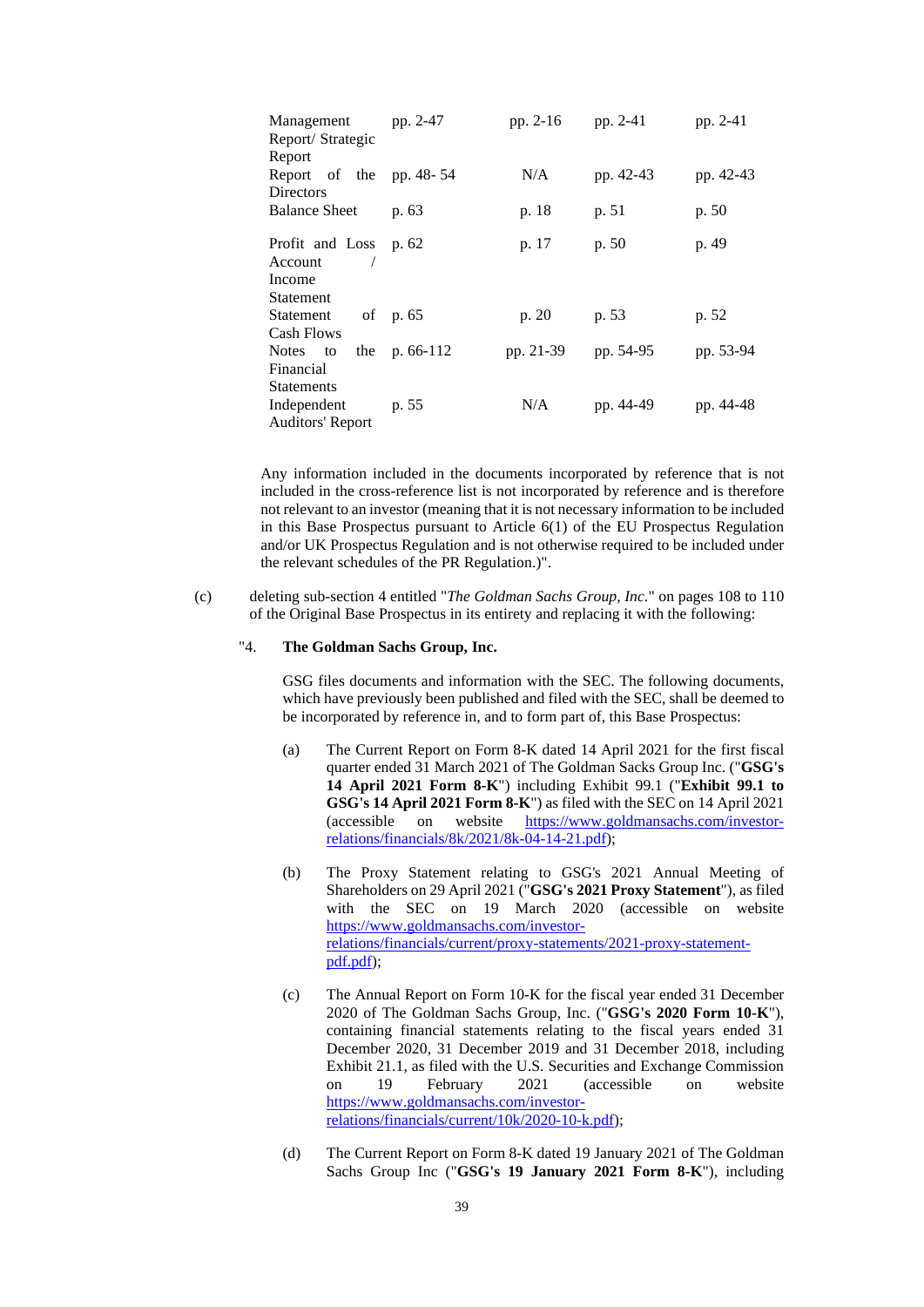| Management<br>Report/Strategic<br>Report                    | pp. 2-47       | pp. 2-16  | pp. 2-41  | pp. 2-41  |
|-------------------------------------------------------------|----------------|-----------|-----------|-----------|
| Report of the pp. 48-54<br><b>Directors</b>                 |                | N/A       | pp. 42-43 | pp. 42-43 |
| <b>Balance Sheet</b>                                        | p. 63          | p. 18     | p. 51     | p. 50     |
| Profit and Loss<br>Account                                  | p. 62          | p. 17     | p. 50     | p. 49     |
| Income<br><b>Statement</b>                                  |                |           |           |           |
| Statement<br><b>Cash Flows</b>                              | of p. 65       | p. 20     | p. 53     | p. 52     |
| Notes to<br>Financial                                       | the $p.66-112$ | pp. 21-39 | pp. 54-95 | pp. 53-94 |
| <b>Statements</b><br>Independent<br><b>Auditors' Report</b> | p. 55          | N/A       | pp. 44-49 | pp. 44-48 |

Any information included in the documents incorporated by reference that is not included in the cross-reference list is not incorporated by reference and is therefore not relevant to an investor (meaning that it is not necessary information to be included in this Base Prospectus pursuant to Article 6(1) of the EU Prospectus Regulation and/or UK Prospectus Regulation and is not otherwise required to be included under the relevant schedules of the PR Regulation.)".

(c) deleting sub-section 4 entitled "*The Goldman Sachs Group, Inc.*" on pages 108 to 110 of the Original Base Prospectus in its entirety and replacing it with the following:

#### "4. **The Goldman Sachs Group, Inc.**

GSG files documents and information with the SEC. The following documents, which have previously been published and filed with the SEC, shall be deemed to be incorporated by reference in, and to form part of, this Base Prospectus:

- (a) The Current Report on Form 8-K dated 14 April 2021 for the first fiscal quarter ended 31 March 2021 of The Goldman Sacks Group Inc. ("**GSG's 14 April 2021 Form 8-K**") including Exhibit 99.1 ("**Exhibit 99.1 to GSG's 14 April 2021 Form 8-K**") as filed with the SEC on 14 April 2021 (accessible on website [https://www.goldmansachs.com/investor](https://www.goldmansachs.com/investor-relations/financials/8k/2021/8k-04-14-21.pdf)[relations/financials/8k/2021/8k-04-14-21.pdf\)](https://www.goldmansachs.com/investor-relations/financials/8k/2021/8k-04-14-21.pdf);
- (b) The Proxy Statement relating to GSG's 2021 Annual Meeting of Shareholders on 29 April 2021 ("**GSG's 2021 Proxy Statement**"), as filed with the SEC on 19 March 2020 (accessible on website [https://www.goldmansachs.com/investor](https://www.goldmansachs.com/investor-relations/financials/current/proxy-statements/2021-proxy-statement-pdf.pdf)[relations/financials/current/proxy-statements/2021-proxy-statement](https://www.goldmansachs.com/investor-relations/financials/current/proxy-statements/2021-proxy-statement-pdf.pdf)[pdf.pdf\)](https://www.goldmansachs.com/investor-relations/financials/current/proxy-statements/2021-proxy-statement-pdf.pdf);
- (c) The Annual Report on Form 10-K for the fiscal year ended 31 December 2020 of The Goldman Sachs Group, Inc. ("**GSG's 2020 Form 10-K**"), containing financial statements relating to the fiscal years ended 31 December 2020, 31 December 2019 and 31 December 2018, including Exhibit 21.1, as filed with the U.S. Securities and Exchange Commission on 19 February 2021 (accessible on website [https://www.goldmansachs.com/investor](https://www.goldmansachs.com/investor-relations/financials/current/10k/2020-10-k.pdf)[relations/financials/current/10k/2020-10-k.pdf\)](https://www.goldmansachs.com/investor-relations/financials/current/10k/2020-10-k.pdf);
- (d) The Current Report on Form 8-K dated 19 January 2021 of The Goldman Sachs Group Inc ("**GSG's 19 January 2021 Form 8-K**"), including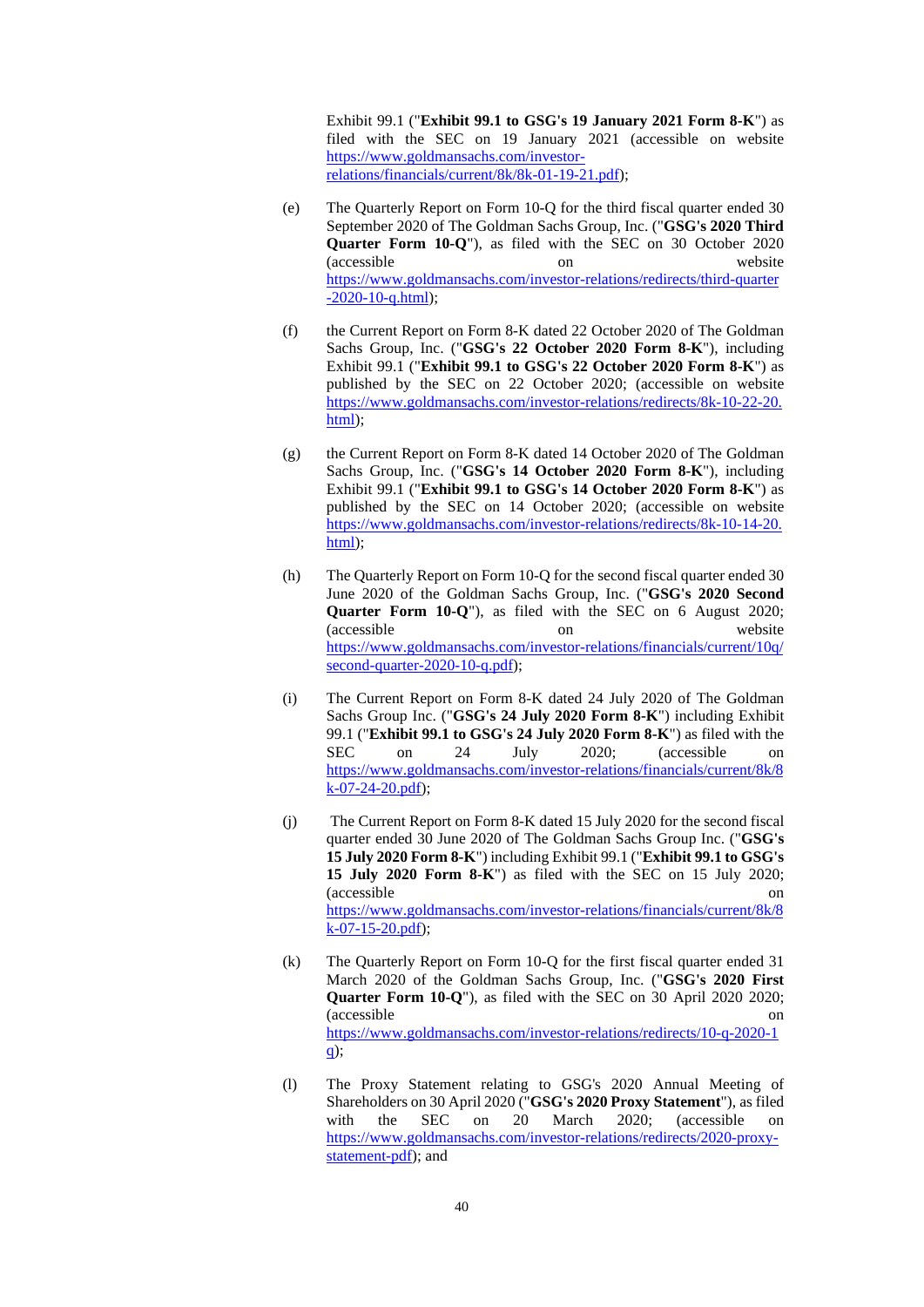Exhibit 99.1 ("**Exhibit 99.1 to GSG's 19 January 2021 Form 8-K**") as filed with the SEC on 19 January 2021 (accessible on website [https://www.goldmansachs.com/investor](https://www.goldmansachs.com/investor-relations/financials/current/8k/8k-01-19-21.pdf)[relations/financials/current/8k/8k-01-19-21.pdf\)](https://www.goldmansachs.com/investor-relations/financials/current/8k/8k-01-19-21.pdf);

- (e) The Quarterly Report on Form 10-Q for the third fiscal quarter ended 30 September 2020 of The Goldman Sachs Group, Inc. ("**GSG's 2020 Third Quarter Form 10-Q**"), as filed with the SEC on 30 October 2020 (accessible on website [https://www.goldmansachs.com/investor-relations/redirects/third-quarter](https://www.goldmansachs.com/investor-relations/redirects/third-quarter-2020-10-q.html)  $-2020-10-q.html;$
- (f) the Current Report on Form 8-K dated 22 October 2020 of The Goldman Sachs Group, Inc. ("**GSG's 22 October 2020 Form 8-K**"), including Exhibit 99.1 ("**Exhibit 99.1 to GSG's 22 October 2020 Form 8-K**") as published by the SEC on 22 October 2020; (accessible on website [https://www.goldmansachs.com/investor-relations/redirects/8k-10-22-20.](https://www.goldmansachs.com/investor-relations/redirects/8k-10-22-20.html) [html\)](https://www.goldmansachs.com/investor-relations/redirects/8k-10-22-20.html);
- (g) the Current Report on Form 8-K dated 14 October 2020 of The Goldman Sachs Group, Inc. ("**GSG's 14 October 2020 Form 8-K**"), including Exhibit 99.1 ("**Exhibit 99.1 to GSG's 14 October 2020 Form 8-K**") as published by the SEC on 14 October 2020; (accessible on website [https://www.goldmansachs.com/investor-relations/redirects/8k-10-14-20.](https://www.goldmansachs.com/investorrelations/redirects/8k101420.html) [html\)](https://www.goldmansachs.com/investorrelations/redirects/8k101420.html);
- (h) The Quarterly Report on Form 10-Q for the second fiscal quarter ended 30 June 2020 of the Goldman Sachs Group, Inc. ("**GSG's 2020 Second Quarter Form 10-Q**"), as filed with the SEC on 6 August 2020; (accessible on website [https://www.goldmansachs.com/investor-relations/financials/current/10q/](https://www.goldmansachs.com/investor-relations/financials/current/10q/second-quarter-2020-10-q.pdf) [second-quarter-2020-10-q.pdf\)](https://www.goldmansachs.com/investor-relations/financials/current/10q/second-quarter-2020-10-q.pdf);
- (i) The Current Report on Form 8-K dated 24 July 2020 of The Goldman Sachs Group Inc. ("**GSG's 24 July 2020 Form 8-K**") including Exhibit 99.1 ("**Exhibit 99.1 to GSG's 24 July 2020 Form 8-K**") as filed with the SEC on 24 July 2020; (accessible on [https://www.goldmansachs.com/investor-relations/financials/current/8k/8](https://www.goldmansachs.com/investor-relations/financials/current/8k/8k-07-24-20.pdf) [k-07-24-20.pdf\)](https://www.goldmansachs.com/investor-relations/financials/current/8k/8k-07-24-20.pdf);
- (j) The Current Report on Form 8-K dated 15 July 2020 for the second fiscal quarter ended 30 June 2020 of The Goldman Sachs Group Inc. ("**GSG's 15 July 2020 Form 8-K**") including Exhibit 99.1 ("**Exhibit 99.1 to GSG's 15 July 2020 Form 8-K**") as filed with the SEC on 15 July 2020; (accessible on [https://www.goldmansachs.com/investor-relations/financials/current/8k/8](https://www.goldmansachs.com/investor-relations/financials/current/8k/8k-07-15-20.pdf) [k-07-15-20.pdf\)](https://www.goldmansachs.com/investor-relations/financials/current/8k/8k-07-15-20.pdf);
- (k) The Quarterly Report on Form 10-Q for the first fiscal quarter ended 31 March 2020 of the Goldman Sachs Group, Inc. ("**GSG's 2020 First Quarter Form 10-Q**"), as filed with the SEC on 30 April 2020 2020; (accessible on [https://www.goldmansachs.com/investor-relations/redirects/10-q-2020-1](https://www.goldmansachs.com/investor-relations/redirects/10-q-2020-1q) [q\)](https://www.goldmansachs.com/investor-relations/redirects/10-q-2020-1q);
- (l) The Proxy Statement relating to GSG's 2020 Annual Meeting of Shareholders on 30 April 2020 ("**GSG's 2020 Proxy Statement**"), as filed with the SEC on 20 March 2020; (accessible on [https://www.goldmansachs.com/investor-relations/redirects/2020-proxy](https://www.goldmansachs.com/investorrelations/redirects/2020proxystatementpdf)[statement-pdf\)](https://www.goldmansachs.com/investorrelations/redirects/2020proxystatementpdf); and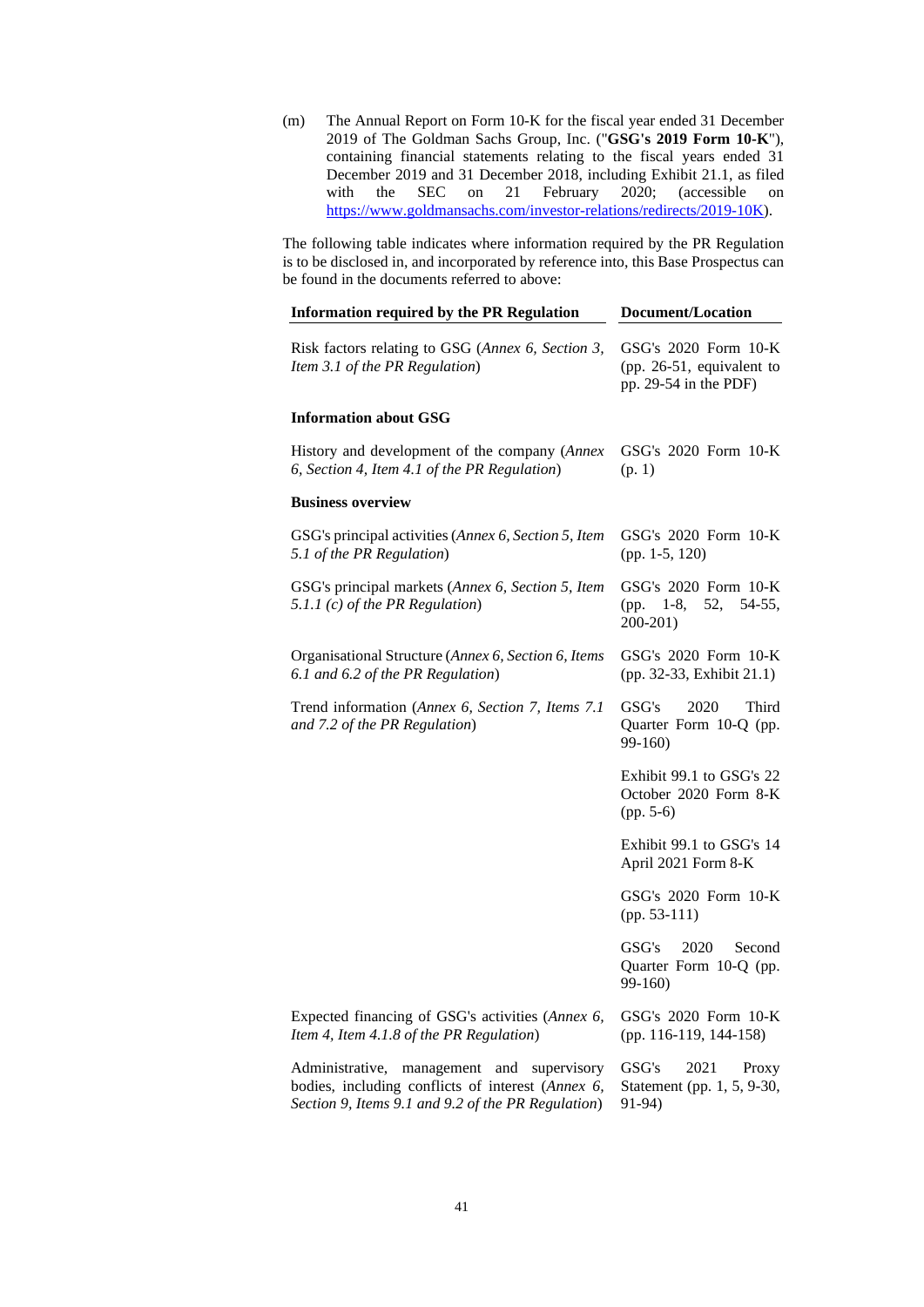(m) The Annual Report on Form 10-K for the fiscal year ended 31 December 2019 of The Goldman Sachs Group, Inc. ("**GSG's 2019 Form 10-K**"), containing financial statements relating to the fiscal years ended 31 December 2019 and 31 December 2018, including Exhibit 21.1, as filed with the SEC on 21 February 2020; (accessible on [https://www.goldmansachs.com/investor-relations/redirects/2019-10K\)](https://www.goldmansachs.com/investor-relations/redirects/2019-10K).

The following table indicates where information required by the PR Regulation is to be disclosed in, and incorporated by reference into, this Base Prospectus can be found in the documents referred to above:

| <b>Information required by the PR Regulation</b>                                                                                                      | <b>Document/Location</b>                                                   |  |
|-------------------------------------------------------------------------------------------------------------------------------------------------------|----------------------------------------------------------------------------|--|
| Risk factors relating to GSG (Annex 6, Section 3,<br>Item 3.1 of the PR Regulation)                                                                   | GSG's 2020 Form 10-K<br>(pp. 26-51, equivalent to<br>pp. 29-54 in the PDF) |  |
| <b>Information about GSG</b>                                                                                                                          |                                                                            |  |
| History and development of the company (Annex<br>6, Section 4, Item 4.1 of the PR Regulation)                                                         | GSG's 2020 Form 10-K<br>(p. 1)                                             |  |
| <b>Business overview</b>                                                                                                                              |                                                                            |  |
| GSG's principal activities (Annex 6, Section 5, Item<br>5.1 of the PR Regulation)                                                                     | GSG's 2020 Form 10-K<br>(pp. 1-5, 120)                                     |  |
| GSG's principal markets (Annex 6, Section 5, Item<br>5.1.1 $(c)$ of the PR Regulation)                                                                | GSG's 2020 Form 10-K<br>(pp. 1-8,<br>52,<br>54-55,<br>200-201)             |  |
| Organisational Structure (Annex 6, Section 6, Items<br>6.1 and 6.2 of the PR Regulation)                                                              | GSG's 2020 Form 10-K<br>(pp. 32-33, Exhibit 21.1)                          |  |
| Trend information (Annex 6, Section 7, Items 7.1<br>and 7.2 of the PR Regulation)                                                                     | GSG's<br>2020<br>Third<br>Quarter Form 10-Q (pp.<br>$99-160$               |  |
|                                                                                                                                                       | Exhibit 99.1 to GSG's 22<br>October 2020 Form 8-K<br>$(pp. 5-6)$           |  |
|                                                                                                                                                       | Exhibit 99.1 to GSG's 14<br>April 2021 Form 8-K                            |  |
|                                                                                                                                                       | GSG's 2020 Form 10-K<br>$(pp. 53-111)$                                     |  |
|                                                                                                                                                       | GSG's<br>2020<br>Second<br>Quarter Form 10-Q (pp.<br>99-160)               |  |
| Expected financing of GSG's activities (Annex 6,<br>Item 4, Item 4.1.8 of the PR Regulation)                                                          | GSG's 2020 Form 10-K<br>(pp. 116-119, 144-158)                             |  |
| Administrative, management and supervisory<br>bodies, including conflicts of interest (Annex 6,<br>Section 9, Items 9.1 and 9.2 of the PR Regulation) | GSG's<br>2021<br>Proxy<br>Statement (pp. 1, 5, 9-30,<br>91-94)             |  |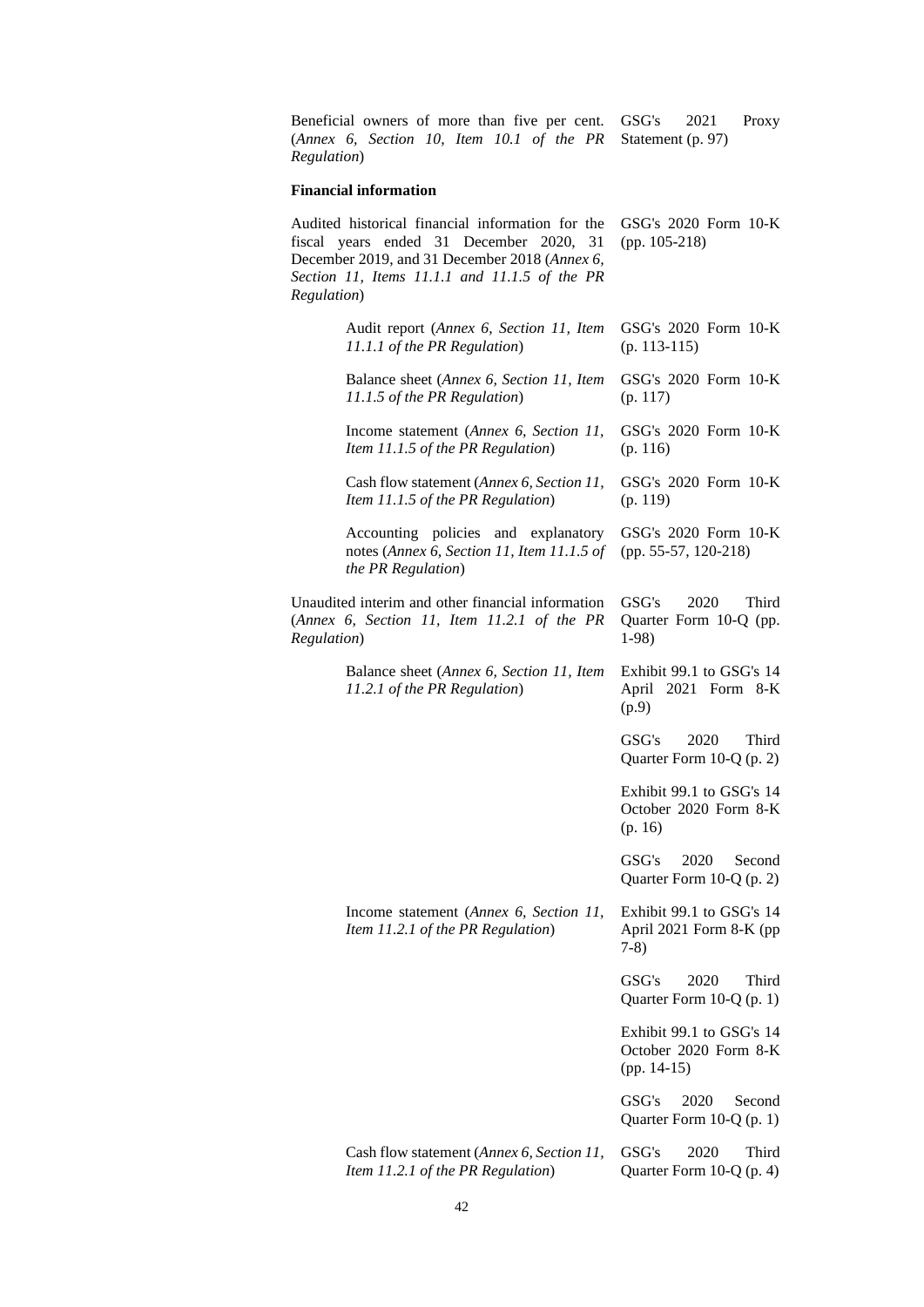Beneficial owners of more than five per cent. (*Annex 6, Section 10, Item 10.1 of the PR Regulation*) GSG's 2021 Proxy Statement (p. 97)

## **Financial information**

| Regulation) | Audited historical financial information for the<br>fiscal years ended 31 December 2020, 31<br>December 2019, and 31 December 2018 (Annex 6,<br>Section 11, Items 11.1.1 and 11.1.5 of the PR | GSG's $2020$ Form $10-K$<br>$(pp. 105-218)$                        |
|-------------|-----------------------------------------------------------------------------------------------------------------------------------------------------------------------------------------------|--------------------------------------------------------------------|
|             | Audit report (Annex 6, Section 11, Item<br>11.1.1 of the PR Regulation)                                                                                                                       | GSG's 2020 Form 10-K<br>$(p. 113-115)$                             |
|             | Balance sheet (Annex 6, Section 11, Item<br>11.1.5 of the PR Regulation)                                                                                                                      | GSG's $2020$ Form $10-K$<br>(p. 117)                               |
|             | Income statement (Annex 6, Section 11,<br>Item 11.1.5 of the PR Regulation)                                                                                                                   | GSG's $2020$ Form $10-K$<br>(p. 116)                               |
|             | Cash flow statement (Annex 6, Section 11,<br>Item 11.1.5 of the PR Regulation)                                                                                                                | GSG's 2020 Form 10-K<br>(p. 119)                                   |
|             | Accounting policies and explanatory<br>notes (Annex 6, Section 11, Item 11.1.5 of<br>the PR Regulation)                                                                                       | GSG's 2020 Form 10-K<br>(pp. 55-57, 120-218)                       |
| Regulation) | Unaudited interim and other financial information<br>(Annex 6, Section 11, Item 11.2.1 of the PR                                                                                              | GSG's<br>2020<br>Third<br>Quarter Form 10-Q (pp.<br>$1-98$         |
|             | Balance sheet (Annex 6, Section 11, Item<br>11.2.1 of the PR Regulation)                                                                                                                      | Exhibit 99.1 to GSG's 14<br>April 2021 Form 8-K<br>(p.9)           |
|             |                                                                                                                                                                                               | GSG's<br>2020<br>Third<br>Quarter Form $10-Q$ (p. 2)               |
|             |                                                                                                                                                                                               | Exhibit 99.1 to GSG's 14<br>October 2020 Form 8-K<br>(p. 16)       |
|             |                                                                                                                                                                                               | GSG's<br>2020<br>Second<br>Quarter Form $10-Q$ (p. 2)              |
|             | Income statement (Annex 6, Section 11,<br>Item 11.2.1 of the PR Regulation)                                                                                                                   | Exhibit 99.1 to GSG's 14<br>April 2021 Form 8-K (pp<br>$7-8)$      |
|             |                                                                                                                                                                                               | GSG's<br>2020<br>Third<br>Quarter Form $10-Q$ (p. 1)               |
|             |                                                                                                                                                                                               | Exhibit 99.1 to GSG's 14<br>October 2020 Form 8-K<br>$(pp. 14-15)$ |
|             |                                                                                                                                                                                               | GSG's<br>2020<br>Second<br>Quarter Form 10-Q (p. 1)                |
|             | Cash flow statement (Annex 6, Section 11,<br>Item 11.2.1 of the PR Regulation)                                                                                                                | GSG's<br>2020<br>Third<br>Quarter Form 10-Q (p. 4)                 |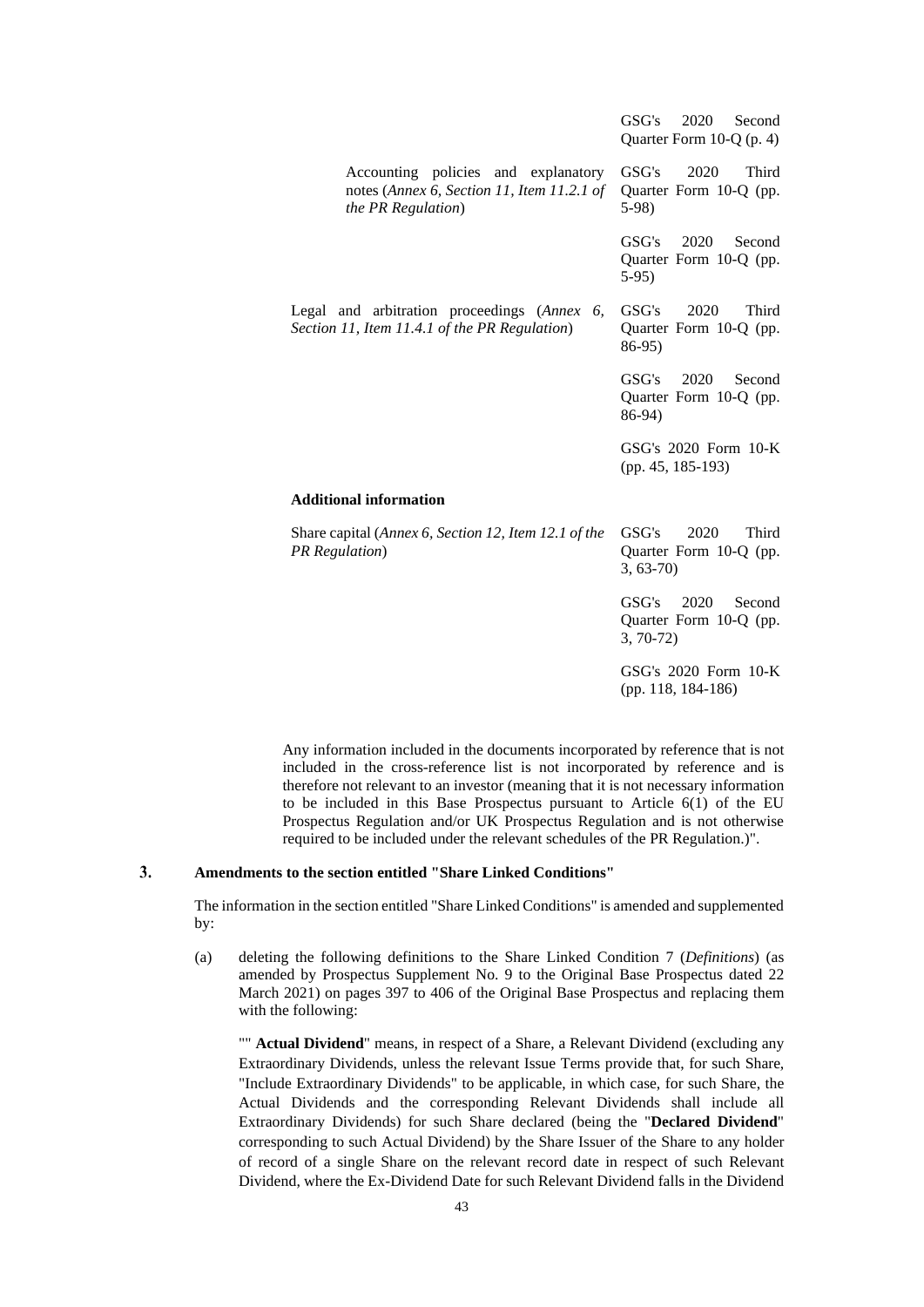|                                                                                                                 | 2020<br>GSG's<br>Second<br>Quarter Form $10-Q$ (p. 4)           |
|-----------------------------------------------------------------------------------------------------------------|-----------------------------------------------------------------|
| Accounting policies and explanatory<br>notes (Annex 6, Section 11, Item 11.2.1 of<br><i>the PR Regulation</i> ) | GSG's<br>2020<br>Third<br>Quarter Form 10-Q (pp.<br>$5-98$      |
|                                                                                                                 | GSG's<br>2020<br>Second<br>Quarter Form 10-Q (pp.<br>$5-95$     |
| Legal and arbitration proceedings (Annex<br>6.<br>Section 11, Item 11.4.1 of the PR Regulation)                 | 2020<br>Third<br>GSG's<br>Quarter Form 10-Q (pp.<br>86-95)      |
|                                                                                                                 | GSG's<br>2020<br>Second<br>Quarter Form 10-Q (pp.<br>86-94)     |
|                                                                                                                 | GSG's 2020 Form 10-K<br>(pp. 45, 185-193)                       |
| <b>Additional information</b>                                                                                   |                                                                 |
| Share capital (Annex 6, Section 12, Item 12.1 of the<br><b>PR</b> Regulation)                                   | GSG's<br>2020<br>Third<br>Quarter Form 10-Q (pp.<br>$3, 63-70$  |
|                                                                                                                 | GSG's<br>2020<br>Second<br>Quarter Form 10-Q (pp.<br>$3, 70-72$ |
|                                                                                                                 | GSG's 2020 Form 10-K<br>(pp. 118, 184-186)                      |

Any information included in the documents incorporated by reference that is not included in the cross-reference list is not incorporated by reference and is therefore not relevant to an investor (meaning that it is not necessary information to be included in this Base Prospectus pursuant to Article 6(1) of the EU Prospectus Regulation and/or UK Prospectus Regulation and is not otherwise required to be included under the relevant schedules of the PR Regulation.)".

#### $3.$ **Amendments to the section entitled "Share Linked Conditions"**

The information in the section entitled "Share Linked Conditions" is amended and supplemented by:

(a) deleting the following definitions to the Share Linked Condition 7 (*Definitions*) (as amended by Prospectus Supplement No. 9 to the Original Base Prospectus dated 22 March 2021) on pages 397 to 406 of the Original Base Prospectus and replacing them with the following:

"" **Actual Dividend**" means, in respect of a Share, a Relevant Dividend (excluding any Extraordinary Dividends, unless the relevant Issue Terms provide that, for such Share, "Include Extraordinary Dividends" to be applicable, in which case, for such Share, the Actual Dividends and the corresponding Relevant Dividends shall include all Extraordinary Dividends) for such Share declared (being the "**Declared Dividend**" corresponding to such Actual Dividend) by the Share Issuer of the Share to any holder of record of a single Share on the relevant record date in respect of such Relevant Dividend, where the Ex-Dividend Date for such Relevant Dividend falls in the Dividend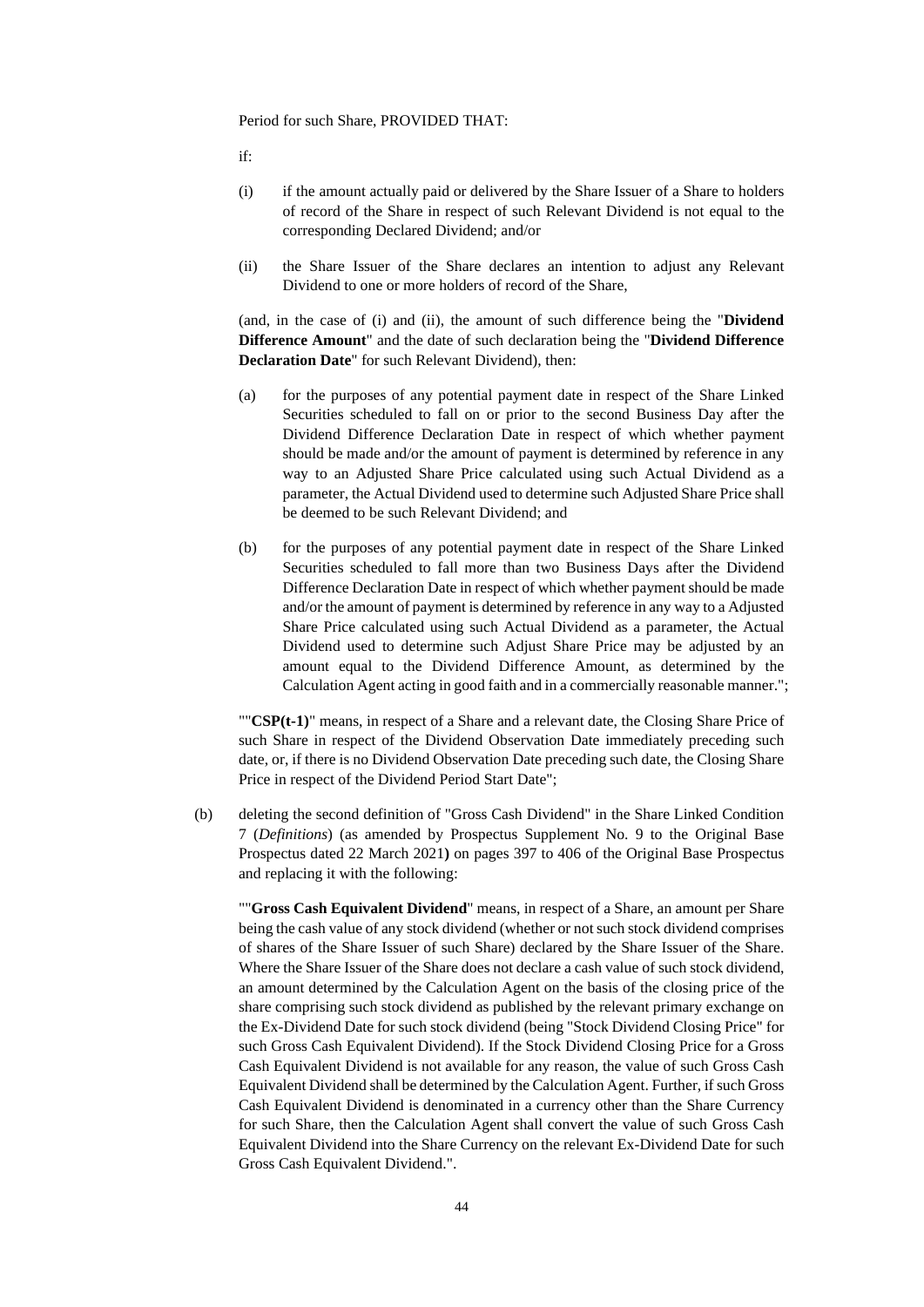Period for such Share, PROVIDED THAT:

if:

- (i) if the amount actually paid or delivered by the Share Issuer of a Share to holders of record of the Share in respect of such Relevant Dividend is not equal to the corresponding Declared Dividend; and/or
- (ii) the Share Issuer of the Share declares an intention to adjust any Relevant Dividend to one or more holders of record of the Share,

(and, in the case of (i) and (ii), the amount of such difference being the "**Dividend Difference Amount**" and the date of such declaration being the "**Dividend Difference Declaration Date**" for such Relevant Dividend), then:

- (a) for the purposes of any potential payment date in respect of the Share Linked Securities scheduled to fall on or prior to the second Business Day after the Dividend Difference Declaration Date in respect of which whether payment should be made and/or the amount of payment is determined by reference in any way to an Adjusted Share Price calculated using such Actual Dividend as a parameter, the Actual Dividend used to determine such Adjusted Share Price shall be deemed to be such Relevant Dividend; and
- (b) for the purposes of any potential payment date in respect of the Share Linked Securities scheduled to fall more than two Business Days after the Dividend Difference Declaration Date in respect of which whether payment should be made and/or the amount of payment is determined by reference in any way to a Adjusted Share Price calculated using such Actual Dividend as a parameter, the Actual Dividend used to determine such Adjust Share Price may be adjusted by an amount equal to the Dividend Difference Amount, as determined by the Calculation Agent acting in good faith and in a commercially reasonable manner.";

""**CSP(t-1)**" means, in respect of a Share and a relevant date, the Closing Share Price of such Share in respect of the Dividend Observation Date immediately preceding such date, or, if there is no Dividend Observation Date preceding such date, the Closing Share Price in respect of the Dividend Period Start Date";

(b) deleting the second definition of "Gross Cash Dividend" in the Share Linked Condition 7 (*Definitions*) (as amended by Prospectus Supplement No. 9 to the Original Base Prospectus dated 22 March 2021**)** on pages 397 to 406 of the Original Base Prospectus and replacing it with the following:

""**Gross Cash Equivalent Dividend**" means, in respect of a Share, an amount per Share being the cash value of any stock dividend (whether or not such stock dividend comprises of shares of the Share Issuer of such Share) declared by the Share Issuer of the Share. Where the Share Issuer of the Share does not declare a cash value of such stock dividend, an amount determined by the Calculation Agent on the basis of the closing price of the share comprising such stock dividend as published by the relevant primary exchange on the Ex-Dividend Date for such stock dividend (being "Stock Dividend Closing Price" for such Gross Cash Equivalent Dividend). If the Stock Dividend Closing Price for a Gross Cash Equivalent Dividend is not available for any reason, the value of such Gross Cash Equivalent Dividend shall be determined by the Calculation Agent. Further, if such Gross Cash Equivalent Dividend is denominated in a currency other than the Share Currency for such Share, then the Calculation Agent shall convert the value of such Gross Cash Equivalent Dividend into the Share Currency on the relevant Ex-Dividend Date for such Gross Cash Equivalent Dividend.".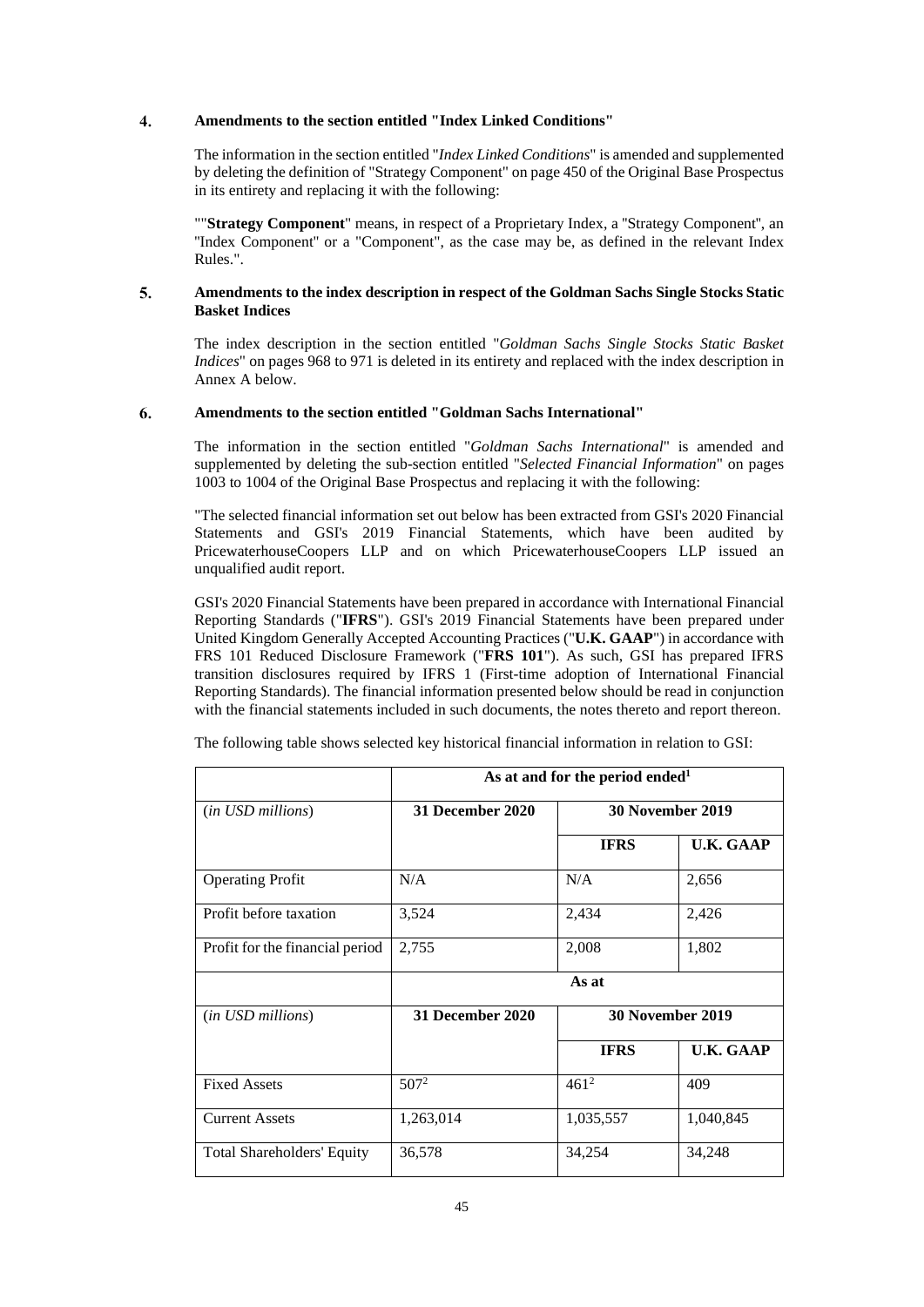#### 4. **Amendments to the section entitled "Index Linked Conditions"**

The information in the section entitled "*Index Linked Conditions*" is amended and supplemented by deleting the definition of "Strategy Component" on page 450 of the Original Base Prospectus in its entirety and replacing it with the following:

""**Strategy Component**" means, in respect of a Proprietary Index, a ''Strategy Component'', an ''Index Component'' or a "Component", as the case may be, as defined in the relevant Index Rules.".

#### 5. **Amendments to the index description in respect of the Goldman Sachs Single Stocks Static Basket Indices**

The index description in the section entitled "*Goldman Sachs Single Stocks Static Basket Indices*" on pages 968 to 971 is deleted in its entirety and replaced with the index description in Annex A below.

#### 6. **Amendments to the section entitled "Goldman Sachs International"**

The information in the section entitled "*Goldman Sachs International*" is amended and supplemented by deleting the sub-section entitled "*Selected Financial Information*" on pages 1003 to 1004 of the Original Base Prospectus and replacing it with the following:

"The selected financial information set out below has been extracted from GSI's 2020 Financial Statements and GSI's 2019 Financial Statements, which have been audited by PricewaterhouseCoopers LLP and on which PricewaterhouseCoopers LLP issued an unqualified audit report.

GSI's 2020 Financial Statements have been prepared in accordance with International Financial Reporting Standards ("**IFRS**"). GSI's 2019 Financial Statements have been prepared under United Kingdom Generally Accepted Accounting Practices ("**U.K. GAAP**") in accordance with FRS 101 Reduced Disclosure Framework ("**FRS 101**"). As such, GSI has prepared IFRS transition disclosures required by IFRS 1 (First-time adoption of International Financial Reporting Standards). The financial information presented below should be read in conjunction with the financial statements included in such documents, the notes thereto and report thereon.

|                                   | As at and for the period ended <sup>1</sup> |                         |                  |  |
|-----------------------------------|---------------------------------------------|-------------------------|------------------|--|
| ( <i>in USD millions</i> )        | 31 December 2020                            | 30 November 2019        |                  |  |
|                                   |                                             | <b>IFRS</b>             | <b>U.K. GAAP</b> |  |
| <b>Operating Profit</b>           | N/A                                         | N/A                     | 2,656            |  |
| Profit before taxation            | 3,524                                       | 2,434                   | 2,426            |  |
| Profit for the financial period   | 2,755                                       | 2,008                   | 1,802            |  |
|                                   |                                             | As at                   |                  |  |
| ( <i>in USD millions</i> )        | 31 December 2020                            | <b>30 November 2019</b> |                  |  |
|                                   |                                             | <b>IFRS</b>             | <b>U.K. GAAP</b> |  |
| <b>Fixed Assets</b>               | $507^2$                                     | $461^2$                 | 409              |  |
| <b>Current Assets</b>             | 1,263,014                                   | 1,035,557               | 1,040,845        |  |
| <b>Total Shareholders' Equity</b> | 36,578                                      | 34,254                  | 34,248           |  |

The following table shows selected key historical financial information in relation to GSI: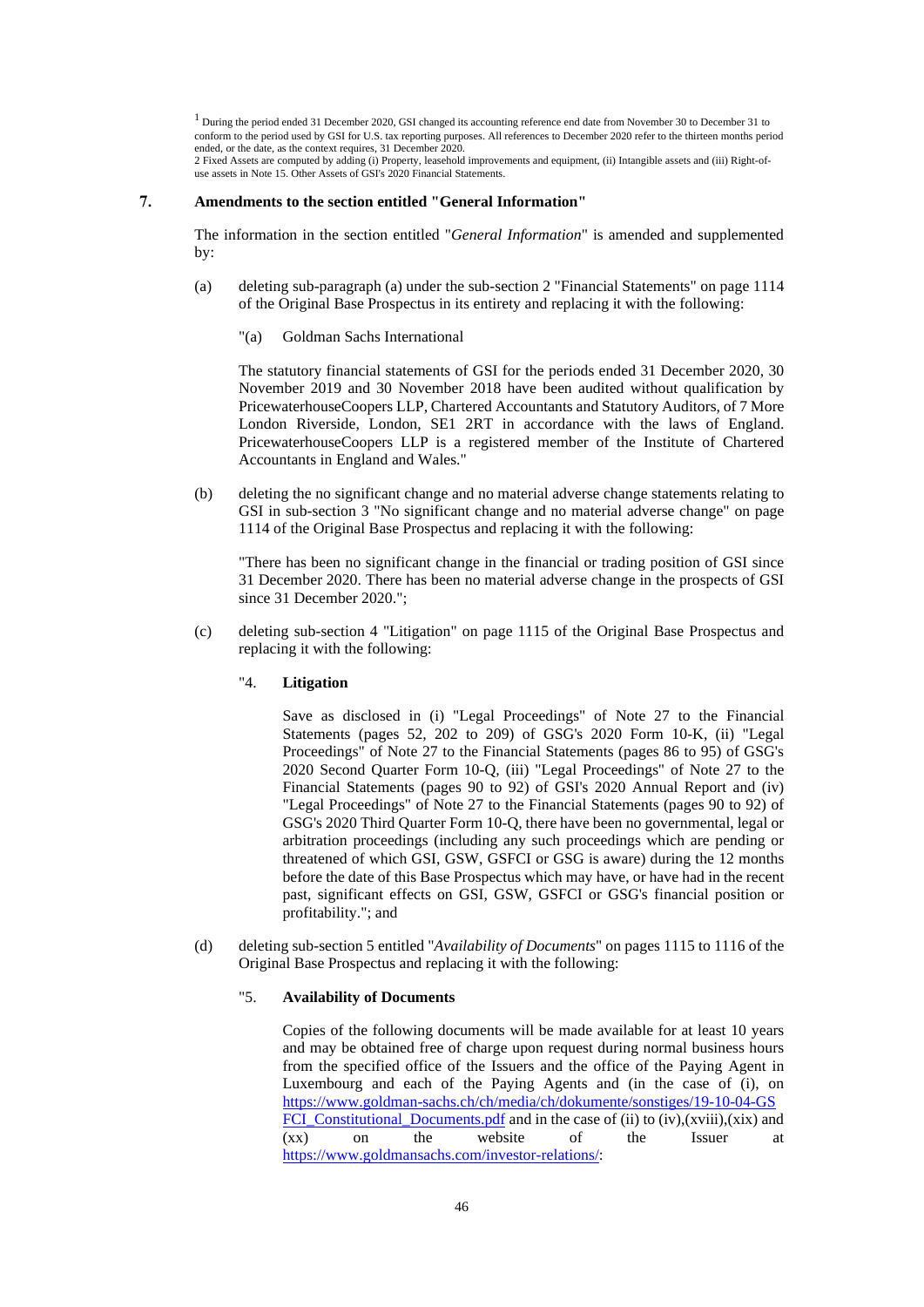<sup>1</sup> During the period ended 31 December 2020, GSI changed its accounting reference end date from November 30 to December 31 to conform to the period used by GSI for U.S. tax reporting purposes. All references to December 2020 refer to the thirteen months period ended, or the date, as the context requires, 31 December 2020. 2 Fixed Assets are computed by adding (i) Property, leasehold improvements and equipment, (ii) Intangible assets and (iii) Right-ofuse assets in Note 15. Other Assets of GSI's 2020 Financial Statements.

#### 7. **Amendments to the section entitled "General Information"**

The information in the section entitled "*General Information*" is amended and supplemented by:

- (a) deleting sub-paragraph (a) under the sub-section 2 "Financial Statements" on page 1114 of the Original Base Prospectus in its entirety and replacing it with the following:
	- "(a) Goldman Sachs International

The statutory financial statements of GSI for the periods ended 31 December 2020, 30 November 2019 and 30 November 2018 have been audited without qualification by PricewaterhouseCoopers LLP, Chartered Accountants and Statutory Auditors, of 7 More London Riverside, London, SE1 2RT in accordance with the laws of England. PricewaterhouseCoopers LLP is a registered member of the Institute of Chartered Accountants in England and Wales."

(b) deleting the no significant change and no material adverse change statements relating to GSI in sub-section 3 "No significant change and no material adverse change" on page 1114 of the Original Base Prospectus and replacing it with the following:

"There has been no significant change in the financial or trading position of GSI since 31 December 2020. There has been no material adverse change in the prospects of GSI since 31 December 2020.";

(c) deleting sub-section 4 "Litigation" on page 1115 of the Original Base Prospectus and replacing it with the following:

#### "4. **Litigation**

Save as disclosed in (i) "Legal Proceedings" of Note 27 to the Financial Statements (pages 52, 202 to 209) of GSG's 2020 Form 10-K, (ii) "Legal Proceedings" of Note 27 to the Financial Statements (pages 86 to 95) of GSG's 2020 Second Quarter Form 10-Q, (iii) "Legal Proceedings" of Note 27 to the Financial Statements (pages 90 to 92) of GSI's 2020 Annual Report and (iv) "Legal Proceedings" of Note 27 to the Financial Statements (pages 90 to 92) of GSG's 2020 Third Quarter Form 10-Q, there have been no governmental, legal or arbitration proceedings (including any such proceedings which are pending or threatened of which GSI, GSW, GSFCI or GSG is aware) during the 12 months before the date of this Base Prospectus which may have, or have had in the recent past, significant effects on GSI, GSW, GSFCI or GSG's financial position or profitability."; and

(d) deleting sub-section 5 entitled "*Availability of Documents*" on pages 1115 to 1116 of the Original Base Prospectus and replacing it with the following:

## "5. **Availability of Documents**

Copies of the following documents will be made available for at least 10 years and may be obtained free of charge upon request during normal business hours from the specified office of the Issuers and the office of the Paying Agent in Luxembourg and each of the Paying Agents and (in the case of (i), on [https://www.goldman-sachs.ch/ch/media/ch/dokumente/sonstiges/19-10-04-GS](https://www.goldmansachs.ch/ch/media/ch/dokumente/sonstiges/191004GSFCI_Constitutional_Documents.pdf) FCI Constitutional Documents.pdf and in the case of (ii) to (iv),(xviii),(xix) and (xx) on the website of the Issuer at [https://www.goldmansachs.com/investor-relations/:](https://www.goldmansachs.com/investorrelations/)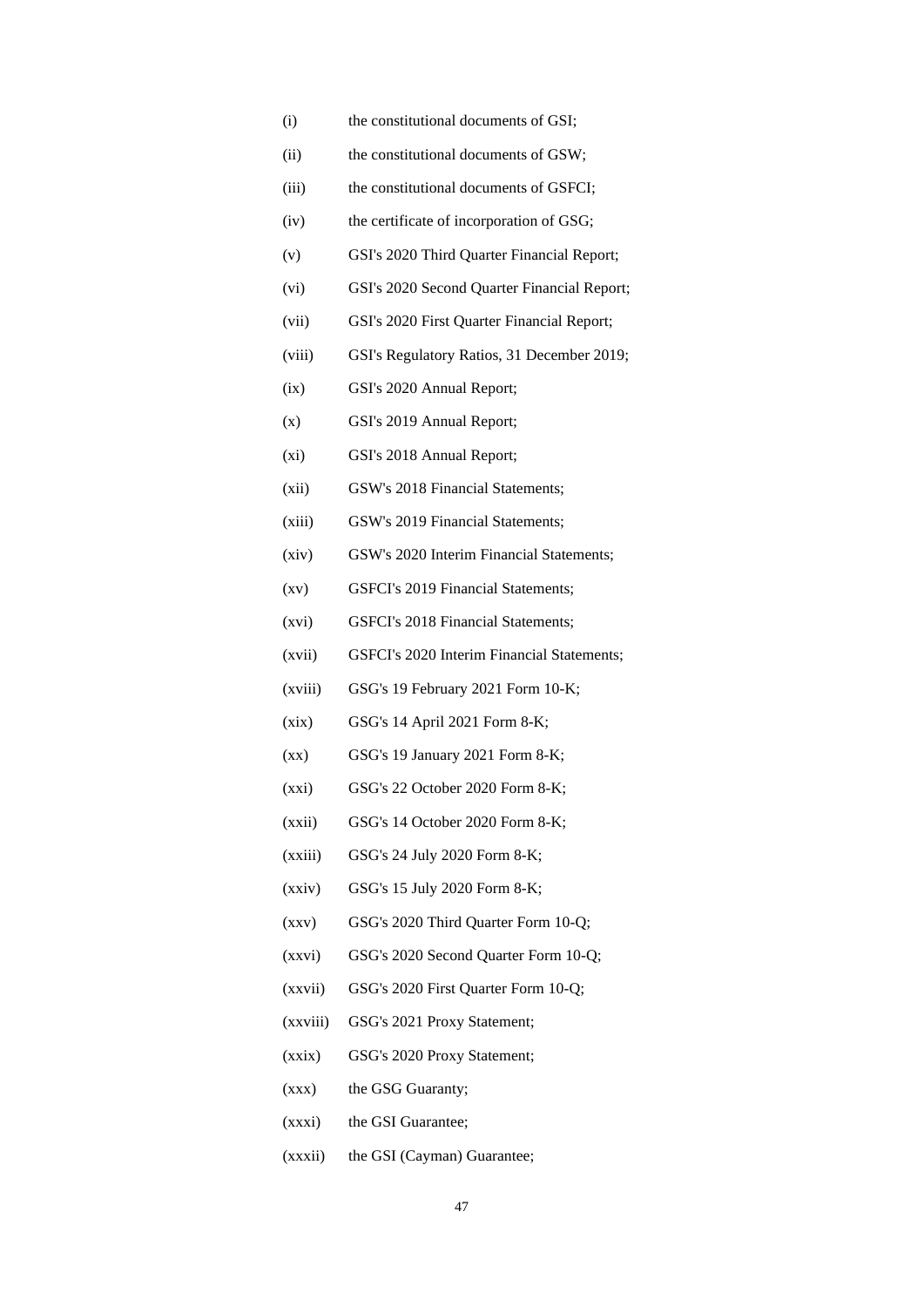- (i) the constitutional documents of GSI;
- (ii) the constitutional documents of GSW;
- (iii) the constitutional documents of GSFCI;
- (iv) the certificate of incorporation of GSG;
- (v) GSI's 2020 Third Quarter Financial Report;
- (vi) GSI's 2020 Second Quarter Financial Report;
- (vii) GSI's 2020 First Quarter Financial Report;
- (viii) GSI's Regulatory Ratios, 31 December 2019;
- (ix) GSI's 2020 Annual Report;
- (x) GSI's 2019 Annual Report;
- (xi) GSI's 2018 Annual Report;
- (xii) GSW's 2018 Financial Statements;
- (xiii) GSW's 2019 Financial Statements;
- (xiv) GSW's 2020 Interim Financial Statements;
- (xv) GSFCI's 2019 Financial Statements;
- (xvi) GSFCI's 2018 Financial Statements;
- (xvii) GSFCI's 2020 Interim Financial Statements;
- (xviii) GSG's 19 February 2021 Form 10-K;
- (xix) GSG's 14 April 2021 Form 8-K;
- (xx) GSG's 19 January 2021 Form 8-K;
- (xxi) GSG's 22 October 2020 Form 8-K;
- (xxii) GSG's 14 October 2020 Form 8-K;
- (xxiii) GSG's 24 July 2020 Form 8-K;
- (xxiv) GSG's 15 July 2020 Form 8-K;
- (xxv) GSG's 2020 Third Quarter Form 10-Q;
- (xxvi) GSG's 2020 Second Quarter Form 10-Q;
- (xxvii) GSG's 2020 First Quarter Form 10-Q;
- (xxviii) GSG's 2021 Proxy Statement;
- (xxix) GSG's 2020 Proxy Statement;
- (xxx) the GSG Guaranty;
- (xxxi) the GSI Guarantee;
- (xxxii) the GSI (Cayman) Guarantee;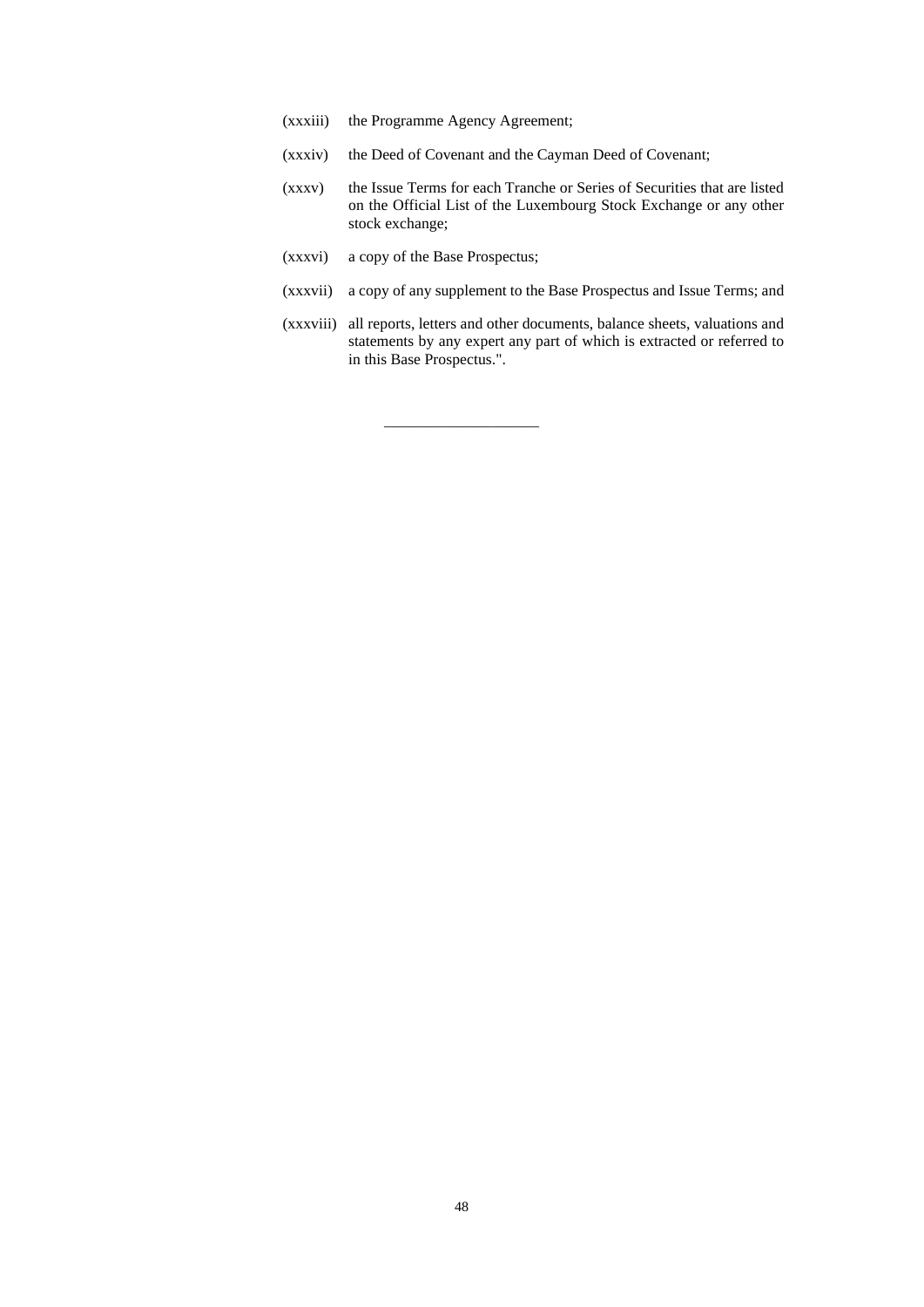- (xxxiii) the Programme Agency Agreement;
- (xxxiv) the Deed of Covenant and the Cayman Deed of Covenant;

————————————————————

- (xxxv) the Issue Terms for each Tranche or Series of Securities that are listed on the Official List of the Luxembourg Stock Exchange or any other stock exchange;
- (xxxvi) a copy of the Base Prospectus;
- (xxxvii) a copy of any supplement to the Base Prospectus and Issue Terms; and
- (xxxviii) all reports, letters and other documents, balance sheets, valuations and statements by any expert any part of which is extracted or referred to in this Base Prospectus.".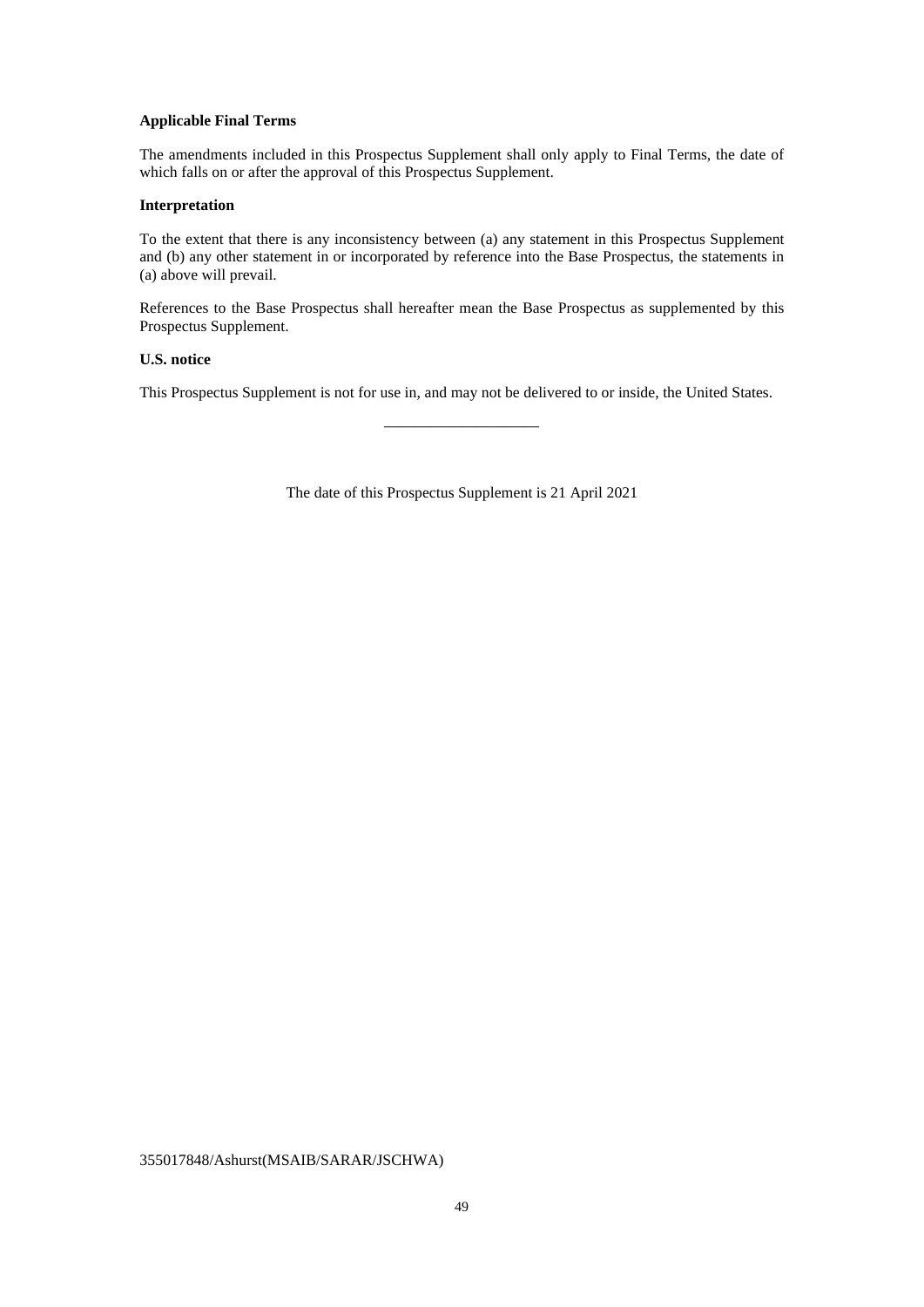## **Applicable Final Terms**

The amendments included in this Prospectus Supplement shall only apply to Final Terms, the date of which falls on or after the approval of this Prospectus Supplement.

## **Interpretation**

To the extent that there is any inconsistency between (a) any statement in this Prospectus Supplement and (b) any other statement in or incorporated by reference into the Base Prospectus, the statements in (a) above will prevail.

References to the Base Prospectus shall hereafter mean the Base Prospectus as supplemented by this Prospectus Supplement.

## **U.S. notice**

This Prospectus Supplement is not for use in, and may not be delivered to or inside, the United States.

————————————————————

The date of this Prospectus Supplement is 21 April 2021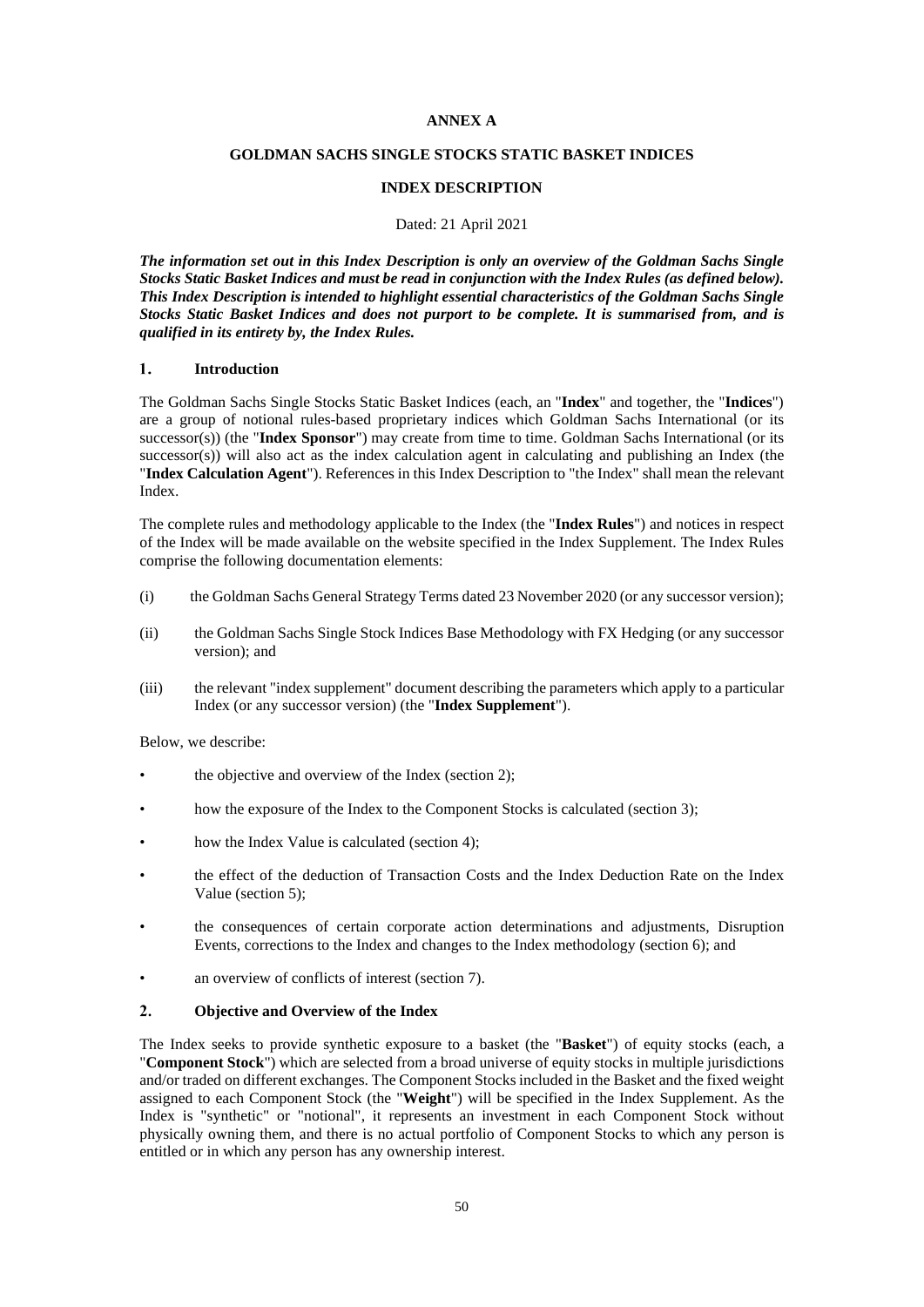## **ANNEX A**

## **GOLDMAN SACHS SINGLE STOCKS STATIC BASKET INDICES**

## **INDEX DESCRIPTION**

#### Dated: 21 April 2021

*The information set out in this Index Description is only an overview of the Goldman Sachs Single Stocks Static Basket Indices and must be read in conjunction with the Index Rules (as defined below). This Index Description is intended to highlight essential characteristics of the Goldman Sachs Single Stocks Static Basket Indices and does not purport to be complete. It is summarised from, and is qualified in its entirety by, the Index Rules.* 

#### $\mathbf{1}$ **Introduction**

The Goldman Sachs Single Stocks Static Basket Indices (each, an "**Index**" and together, the "**Indices**") are a group of notional rules-based proprietary indices which Goldman Sachs International (or its successor(s)) (the "**Index Sponsor**") may create from time to time. Goldman Sachs International (or its successor(s)) will also act as the index calculation agent in calculating and publishing an Index (the "**Index Calculation Agent**"). References in this Index Description to "the Index" shall mean the relevant Index.

The complete rules and methodology applicable to the Index (the "**Index Rules**") and notices in respect of the Index will be made available on the website specified in the Index Supplement. The Index Rules comprise the following documentation elements:

- (i) the Goldman Sachs General Strategy Terms dated 23 November 2020 (or any successor version);
- (ii) the Goldman Sachs Single Stock Indices Base Methodology with FX Hedging (or any successor version); and
- (iii) the relevant "index supplement" document describing the parameters which apply to a particular Index (or any successor version) (the "**Index Supplement**").

Below, we describe:

- the objective and overview of the Index (section 2);
- how the exposure of the Index to the Component Stocks is calculated (section 3);
- how the Index Value is calculated (section 4);
- the effect of the deduction of Transaction Costs and the Index Deduction Rate on the Index Value (section 5);
- the consequences of certain corporate action determinations and adjustments, Disruption Events, corrections to the Index and changes to the Index methodology (section 6); and
- an overview of conflicts of interest (section 7).

#### $2.$ **Objective and Overview of the Index**

The Index seeks to provide synthetic exposure to a basket (the "**Basket**") of equity stocks (each, a "**Component Stock**") which are selected from a broad universe of equity stocks in multiple jurisdictions and/or traded on different exchanges. The Component Stocks included in the Basket and the fixed weight assigned to each Component Stock (the "**Weight**") will be specified in the Index Supplement. As the Index is "synthetic" or "notional", it represents an investment in each Component Stock without physically owning them, and there is no actual portfolio of Component Stocks to which any person is entitled or in which any person has any ownership interest.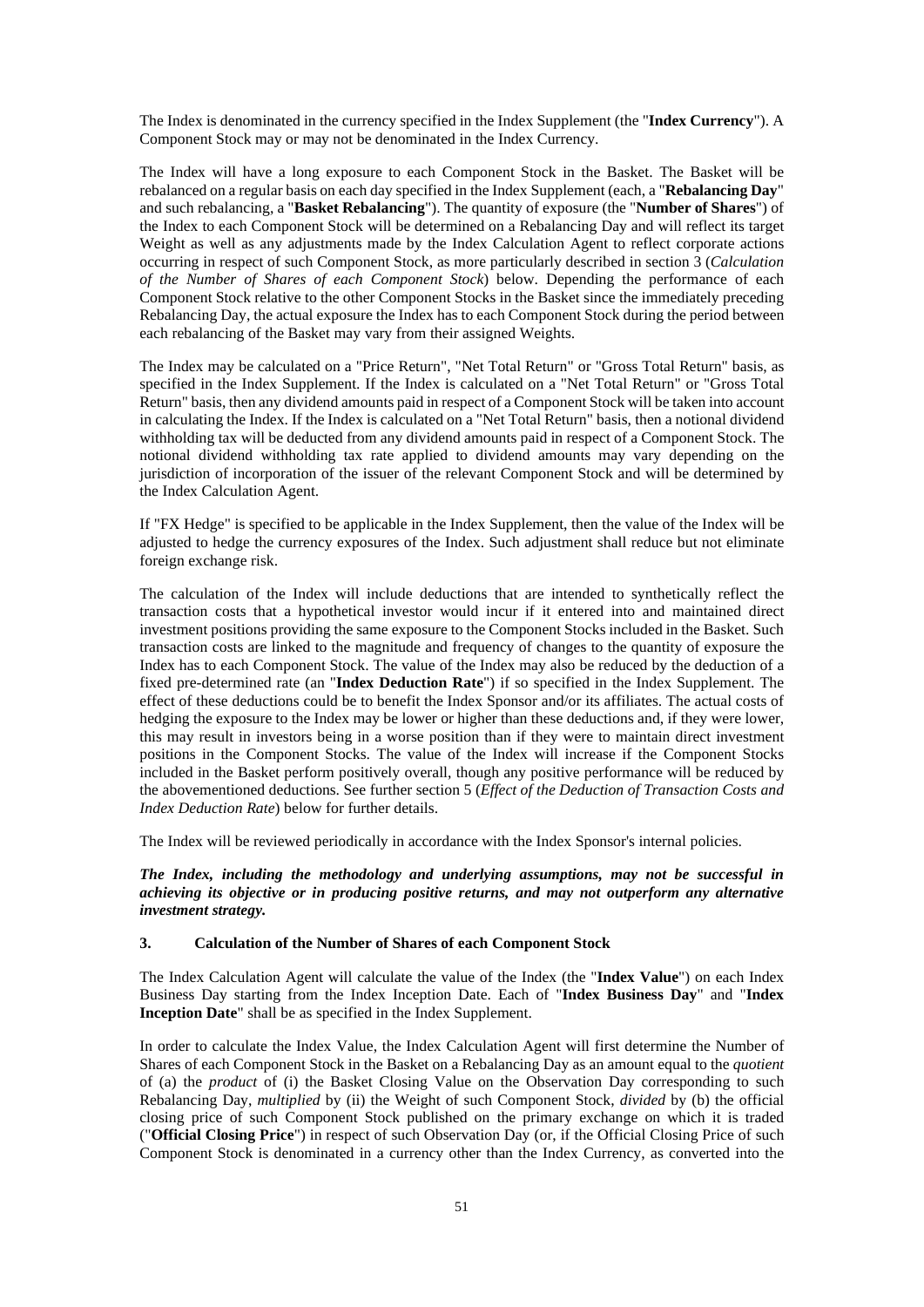The Index is denominated in the currency specified in the Index Supplement (the "**Index Currency**"). A Component Stock may or may not be denominated in the Index Currency.

The Index will have a long exposure to each Component Stock in the Basket. The Basket will be rebalanced on a regular basis on each day specified in the Index Supplement (each, a "**Rebalancing Day**" and such rebalancing, a "**Basket Rebalancing**"). The quantity of exposure (the "**Number of Shares**") of the Index to each Component Stock will be determined on a Rebalancing Day and will reflect its target Weight as well as any adjustments made by the Index Calculation Agent to reflect corporate actions occurring in respect of such Component Stock, as more particularly described in section 3 (*Calculation of the Number of Shares of each Component Stock*) below. Depending the performance of each Component Stock relative to the other Component Stocks in the Basket since the immediately preceding Rebalancing Day, the actual exposure the Index has to each Component Stock during the period between each rebalancing of the Basket may vary from their assigned Weights.

The Index may be calculated on a "Price Return", "Net Total Return" or "Gross Total Return" basis, as specified in the Index Supplement. If the Index is calculated on a "Net Total Return" or "Gross Total Return" basis, then any dividend amounts paid in respect of a Component Stock will be taken into account in calculating the Index. If the Index is calculated on a "Net Total Return" basis, then a notional dividend withholding tax will be deducted from any dividend amounts paid in respect of a Component Stock. The notional dividend withholding tax rate applied to dividend amounts may vary depending on the jurisdiction of incorporation of the issuer of the relevant Component Stock and will be determined by the Index Calculation Agent.

If "FX Hedge" is specified to be applicable in the Index Supplement, then the value of the Index will be adjusted to hedge the currency exposures of the Index. Such adjustment shall reduce but not eliminate foreign exchange risk.

The calculation of the Index will include deductions that are intended to synthetically reflect the transaction costs that a hypothetical investor would incur if it entered into and maintained direct investment positions providing the same exposure to the Component Stocks included in the Basket. Such transaction costs are linked to the magnitude and frequency of changes to the quantity of exposure the Index has to each Component Stock. The value of the Index may also be reduced by the deduction of a fixed pre-determined rate (an "**Index Deduction Rate**") if so specified in the Index Supplement. The effect of these deductions could be to benefit the Index Sponsor and/or its affiliates. The actual costs of hedging the exposure to the Index may be lower or higher than these deductions and, if they were lower, this may result in investors being in a worse position than if they were to maintain direct investment positions in the Component Stocks. The value of the Index will increase if the Component Stocks included in the Basket perform positively overall, though any positive performance will be reduced by the abovementioned deductions. See further section 5 (*Effect of the Deduction of Transaction Costs and Index Deduction Rate*) below for further details.

The Index will be reviewed periodically in accordance with the Index Sponsor's internal policies.

*The Index, including the methodology and underlying assumptions, may not be successful in achieving its objective or in producing positive returns, and may not outperform any alternative investment strategy.* 

#### **3. Calculation of the Number of Shares of each Component Stock**

The Index Calculation Agent will calculate the value of the Index (the "**Index Value**") on each Index Business Day starting from the Index Inception Date. Each of "**Index Business Day**" and "**Index Inception Date**" shall be as specified in the Index Supplement.

In order to calculate the Index Value, the Index Calculation Agent will first determine the Number of Shares of each Component Stock in the Basket on a Rebalancing Day as an amount equal to the *quotient*  of (a) the *product* of (i) the Basket Closing Value on the Observation Day corresponding to such Rebalancing Day, *multiplied* by (ii) the Weight of such Component Stock, *divided* by (b) the official closing price of such Component Stock published on the primary exchange on which it is traded ("**Official Closing Price**") in respect of such Observation Day (or, if the Official Closing Price of such Component Stock is denominated in a currency other than the Index Currency, as converted into the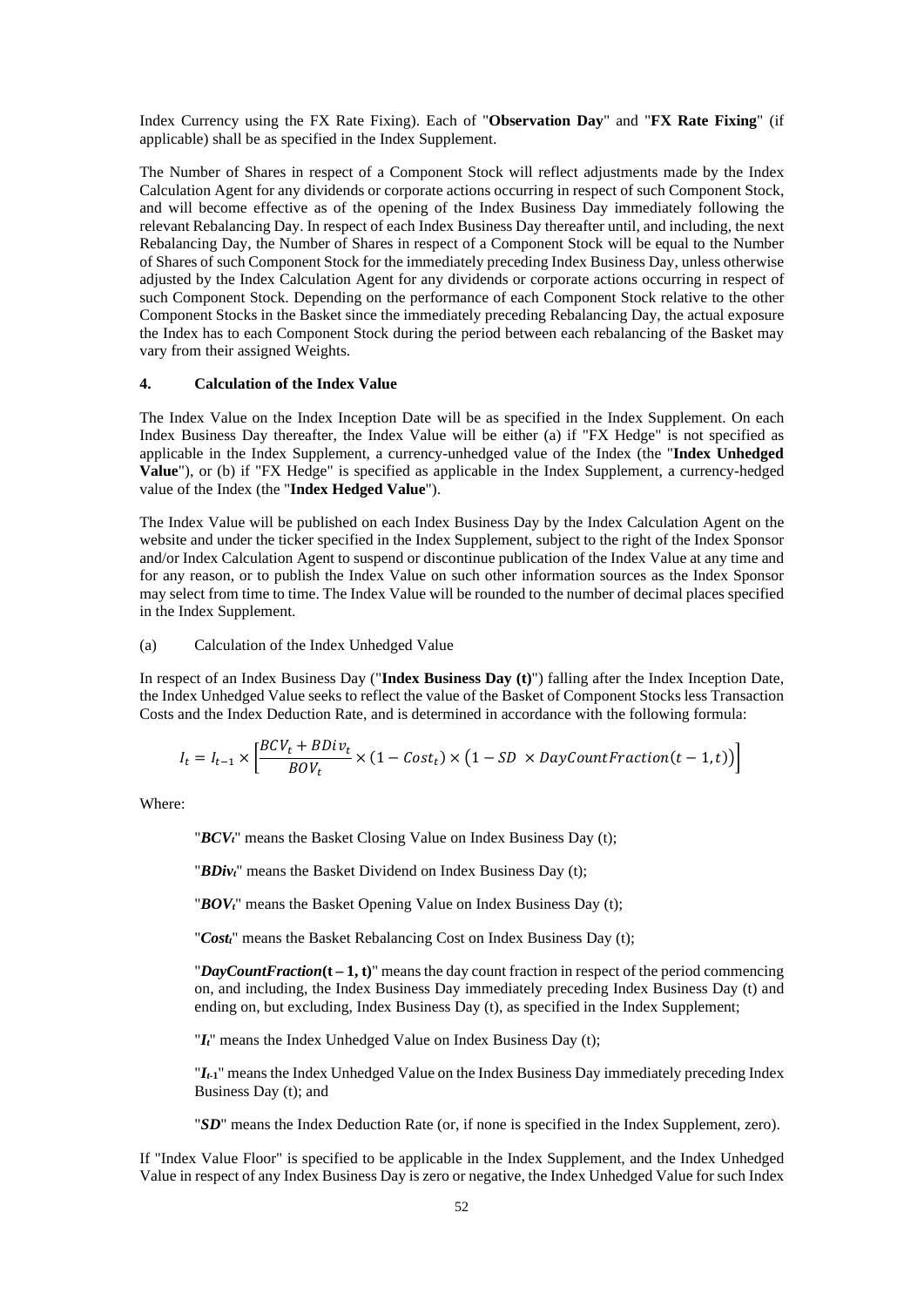Index Currency using the FX Rate Fixing). Each of "**Observation Day**" and "**FX Rate Fixing**" (if applicable) shall be as specified in the Index Supplement.

The Number of Shares in respect of a Component Stock will reflect adjustments made by the Index Calculation Agent for any dividends or corporate actions occurring in respect of such Component Stock, and will become effective as of the opening of the Index Business Day immediately following the relevant Rebalancing Day. In respect of each Index Business Day thereafter until, and including, the next Rebalancing Day, the Number of Shares in respect of a Component Stock will be equal to the Number of Shares of such Component Stock for the immediately preceding Index Business Day, unless otherwise adjusted by the Index Calculation Agent for any dividends or corporate actions occurring in respect of such Component Stock. Depending on the performance of each Component Stock relative to the other Component Stocks in the Basket since the immediately preceding Rebalancing Day, the actual exposure the Index has to each Component Stock during the period between each rebalancing of the Basket may vary from their assigned Weights.

## **4. Calculation of the Index Value**

The Index Value on the Index Inception Date will be as specified in the Index Supplement. On each Index Business Day thereafter, the Index Value will be either (a) if "FX Hedge" is not specified as applicable in the Index Supplement, a currency-unhedged value of the Index (the "**Index Unhedged Value**"), or (b) if "FX Hedge" is specified as applicable in the Index Supplement, a currency-hedged value of the Index (the "**Index Hedged Value**").

The Index Value will be published on each Index Business Day by the Index Calculation Agent on the website and under the ticker specified in the Index Supplement, subject to the right of the Index Sponsor and/or Index Calculation Agent to suspend or discontinue publication of the Index Value at any time and for any reason, or to publish the Index Value on such other information sources as the Index Sponsor may select from time to time. The Index Value will be rounded to the number of decimal places specified in the Index Supplement.

### (a) Calculation of the Index Unhedged Value

In respect of an Index Business Day ("**Index Business Day (t)**") falling after the Index Inception Date, the Index Unhedged Value seeks to reflect the value of the Basket of Component Stocks less Transaction Costs and the Index Deduction Rate, and is determined in accordance with the following formula:

$$
I_t = I_{t-1} \times \left[ \frac{BCV_t + BDiv_t}{BOV_t} \times (1 - Cost_t) \times (1 - SD \times DayCountFraction(t - 1, t)) \right]
$$

Where:

"*BCVt*" means the Basket Closing Value on Index Business Day (t);

"*BDivt*" means the Basket Dividend on Index Business Day (t);

"*BOVt*" means the Basket Opening Value on Index Business Day (t);

"*Costt*" means the Basket Rebalancing Cost on Index Business Day (t);

"*DayCountFraction***(t – 1, t)**" means the day count fraction in respect of the period commencing on, and including, the Index Business Day immediately preceding Index Business Day (t) and ending on, but excluding, Index Business Day (t), as specified in the Index Supplement;

"*It*" means the Index Unhedged Value on Index Business Day (t);

"*It***-1**" means the Index Unhedged Value on the Index Business Day immediately preceding Index Business Day (t); and

"*SD*" means the Index Deduction Rate (or, if none is specified in the Index Supplement, zero).

If "Index Value Floor" is specified to be applicable in the Index Supplement, and the Index Unhedged Value in respect of any Index Business Day is zero or negative, the Index Unhedged Value for such Index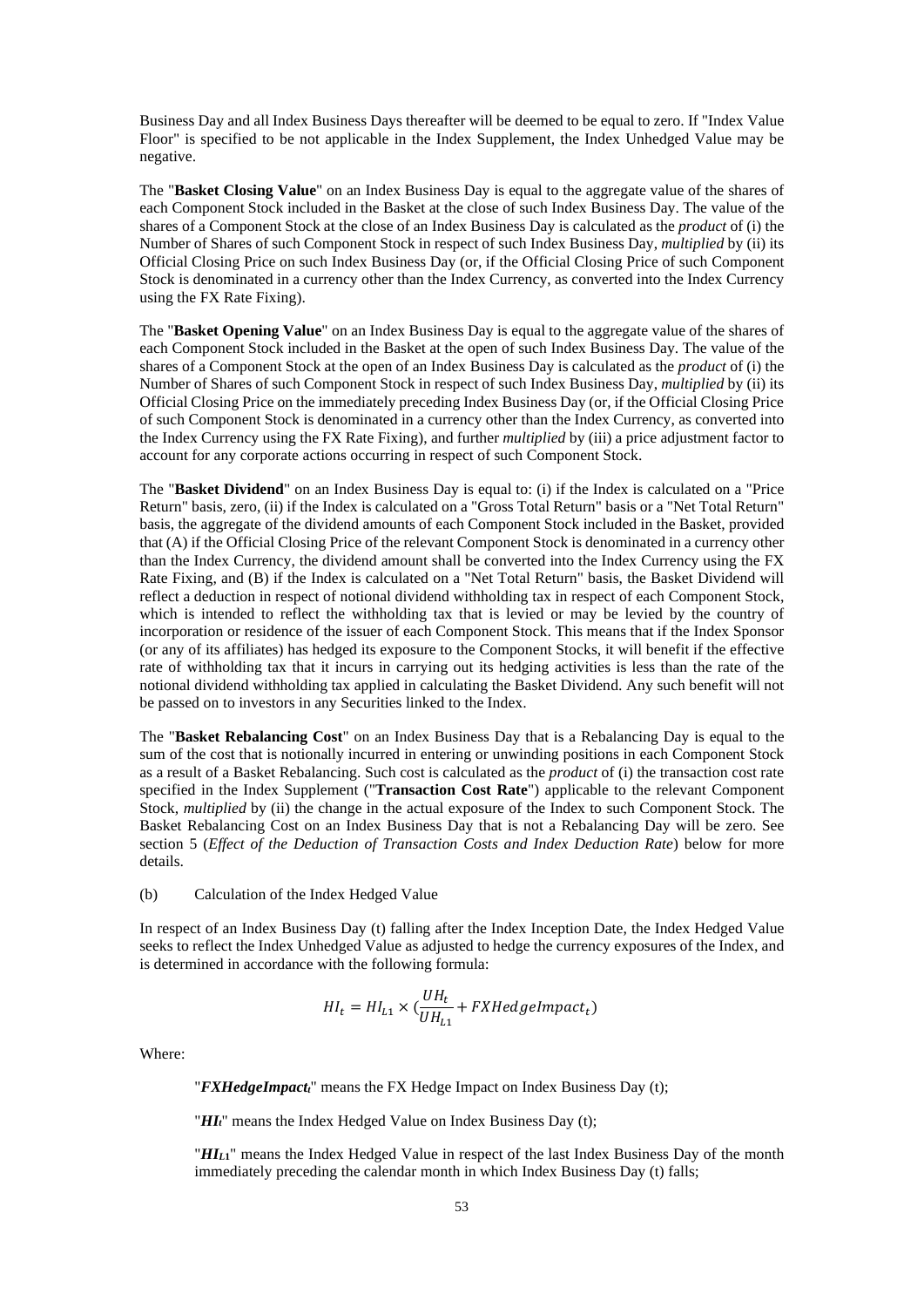Business Day and all Index Business Days thereafter will be deemed to be equal to zero. If "Index Value Floor" is specified to be not applicable in the Index Supplement, the Index Unhedged Value may be negative.

The "**Basket Closing Value**" on an Index Business Day is equal to the aggregate value of the shares of each Component Stock included in the Basket at the close of such Index Business Day. The value of the shares of a Component Stock at the close of an Index Business Day is calculated as the *product* of (i) the Number of Shares of such Component Stock in respect of such Index Business Day, *multiplied* by (ii) its Official Closing Price on such Index Business Day (or, if the Official Closing Price of such Component Stock is denominated in a currency other than the Index Currency, as converted into the Index Currency using the FX Rate Fixing).

The "**Basket Opening Value**" on an Index Business Day is equal to the aggregate value of the shares of each Component Stock included in the Basket at the open of such Index Business Day. The value of the shares of a Component Stock at the open of an Index Business Day is calculated as the *product* of (i) the Number of Shares of such Component Stock in respect of such Index Business Day, *multiplied* by (ii) its Official Closing Price on the immediately preceding Index Business Day (or, if the Official Closing Price of such Component Stock is denominated in a currency other than the Index Currency, as converted into the Index Currency using the FX Rate Fixing), and further *multiplied* by (iii) a price adjustment factor to account for any corporate actions occurring in respect of such Component Stock.

The "**Basket Dividend**" on an Index Business Day is equal to: (i) if the Index is calculated on a "Price Return" basis, zero, (ii) if the Index is calculated on a "Gross Total Return" basis or a "Net Total Return" basis, the aggregate of the dividend amounts of each Component Stock included in the Basket, provided that (A) if the Official Closing Price of the relevant Component Stock is denominated in a currency other than the Index Currency, the dividend amount shall be converted into the Index Currency using the FX Rate Fixing, and (B) if the Index is calculated on a "Net Total Return" basis, the Basket Dividend will reflect a deduction in respect of notional dividend withholding tax in respect of each Component Stock, which is intended to reflect the withholding tax that is levied or may be levied by the country of incorporation or residence of the issuer of each Component Stock. This means that if the Index Sponsor (or any of its affiliates) has hedged its exposure to the Component Stocks, it will benefit if the effective rate of withholding tax that it incurs in carrying out its hedging activities is less than the rate of the notional dividend withholding tax applied in calculating the Basket Dividend. Any such benefit will not be passed on to investors in any Securities linked to the Index.

The "**Basket Rebalancing Cost**" on an Index Business Day that is a Rebalancing Day is equal to the sum of the cost that is notionally incurred in entering or unwinding positions in each Component Stock as a result of a Basket Rebalancing. Such cost is calculated as the *product* of (i) the transaction cost rate specified in the Index Supplement ("**Transaction Cost Rate**") applicable to the relevant Component Stock, *multiplied* by (ii) the change in the actual exposure of the Index to such Component Stock. The Basket Rebalancing Cost on an Index Business Day that is not a Rebalancing Day will be zero. See section 5 (*Effect of the Deduction of Transaction Costs and Index Deduction Rate*) below for more details.

## (b) Calculation of the Index Hedged Value

In respect of an Index Business Day (t) falling after the Index Inception Date, the Index Hedged Value seeks to reflect the Index Unhedged Value as adjusted to hedge the currency exposures of the Index, and is determined in accordance with the following formula:

$$
HI_t = HI_{L1} \times (\frac{UH_t}{UH_{L1}} + FXHedgeImport_t)
$$

Where:

"*FXHedgeImpactt*" means the FX Hedge Impact on Index Business Day (t);

"*HIt*" means the Index Hedged Value on Index Business Day (t);

"*HIL***1**" means the Index Hedged Value in respect of the last Index Business Day of the month immediately preceding the calendar month in which Index Business Day (t) falls;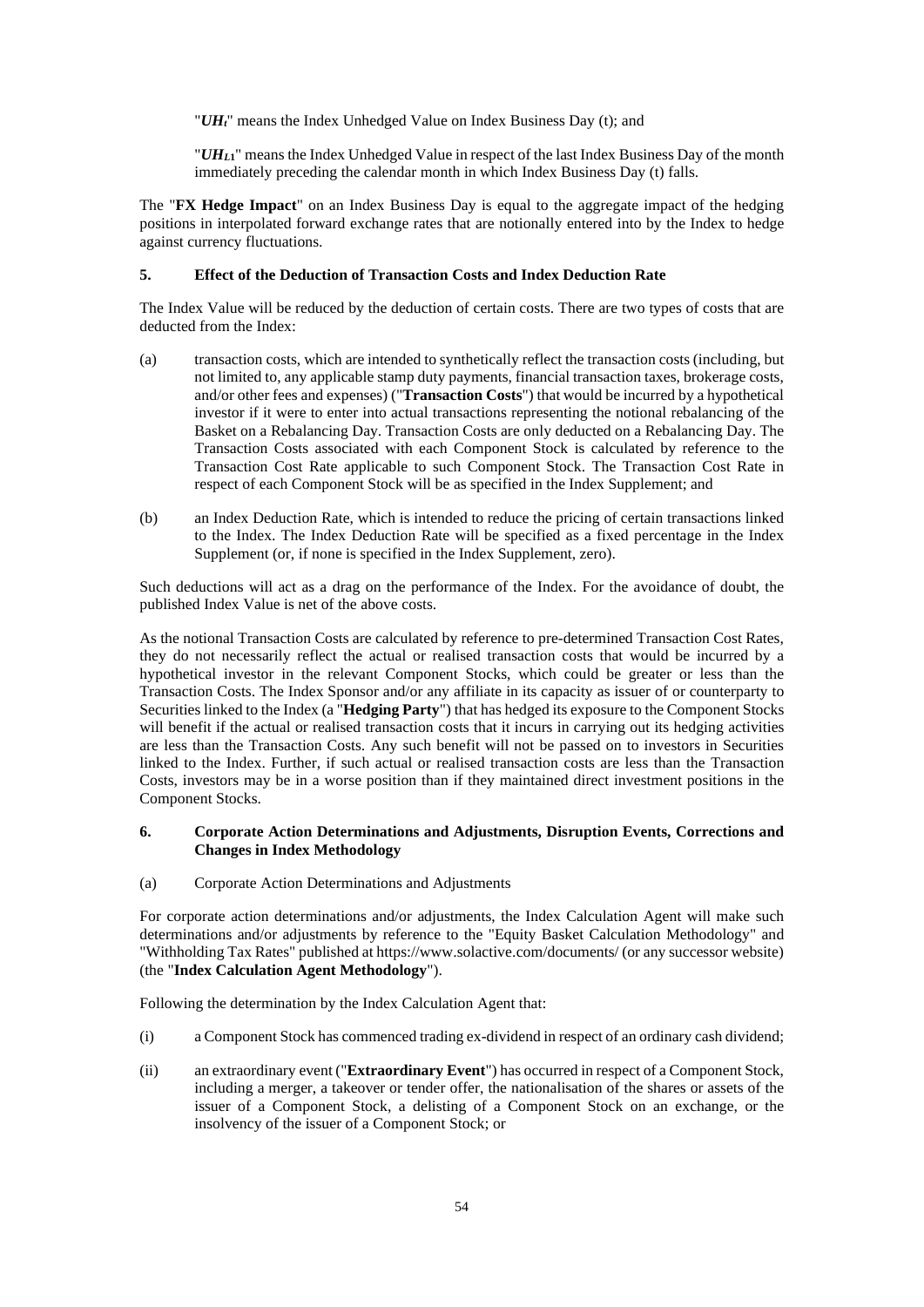"*UHt*" means the Index Unhedged Value on Index Business Day (t); and

"*UHL***1**" means the Index Unhedged Value in respect of the last Index Business Day of the month immediately preceding the calendar month in which Index Business Day (t) falls.

The "**FX Hedge Impact**" on an Index Business Day is equal to the aggregate impact of the hedging positions in interpolated forward exchange rates that are notionally entered into by the Index to hedge against currency fluctuations.

## **5. Effect of the Deduction of Transaction Costs and Index Deduction Rate**

The Index Value will be reduced by the deduction of certain costs. There are two types of costs that are deducted from the Index:

- (a) transaction costs, which are intended to synthetically reflect the transaction costs (including, but not limited to, any applicable stamp duty payments, financial transaction taxes, brokerage costs, and/or other fees and expenses) ("**Transaction Costs**") that would be incurred by a hypothetical investor if it were to enter into actual transactions representing the notional rebalancing of the Basket on a Rebalancing Day. Transaction Costs are only deducted on a Rebalancing Day. The Transaction Costs associated with each Component Stock is calculated by reference to the Transaction Cost Rate applicable to such Component Stock. The Transaction Cost Rate in respect of each Component Stock will be as specified in the Index Supplement; and
- (b) an Index Deduction Rate, which is intended to reduce the pricing of certain transactions linked to the Index. The Index Deduction Rate will be specified as a fixed percentage in the Index Supplement (or, if none is specified in the Index Supplement, zero).

Such deductions will act as a drag on the performance of the Index. For the avoidance of doubt, the published Index Value is net of the above costs.

As the notional Transaction Costs are calculated by reference to pre-determined Transaction Cost Rates, they do not necessarily reflect the actual or realised transaction costs that would be incurred by a hypothetical investor in the relevant Component Stocks, which could be greater or less than the Transaction Costs. The Index Sponsor and/or any affiliate in its capacity as issuer of or counterparty to Securities linked to the Index (a "**Hedging Party**") that has hedged its exposure to the Component Stocks will benefit if the actual or realised transaction costs that it incurs in carrying out its hedging activities are less than the Transaction Costs. Any such benefit will not be passed on to investors in Securities linked to the Index. Further, if such actual or realised transaction costs are less than the Transaction Costs, investors may be in a worse position than if they maintained direct investment positions in the Component Stocks.

## **6. Corporate Action Determinations and Adjustments, Disruption Events, Corrections and Changes in Index Methodology**

(a) Corporate Action Determinations and Adjustments

For corporate action determinations and/or adjustments, the Index Calculation Agent will make such determinations and/or adjustments by reference to the "Equity Basket Calculation Methodology" and "Withholding Tax Rates" published at https://www.solactive.com/documents/ (or any successor website) (the "**Index Calculation Agent Methodology**").

Following the determination by the Index Calculation Agent that:

- (i) a Component Stock has commenced trading ex-dividend in respect of an ordinary cash dividend;
- (ii) an extraordinary event ("**Extraordinary Event**") has occurred in respect of a Component Stock, including a merger, a takeover or tender offer, the nationalisation of the shares or assets of the issuer of a Component Stock, a delisting of a Component Stock on an exchange, or the insolvency of the issuer of a Component Stock; or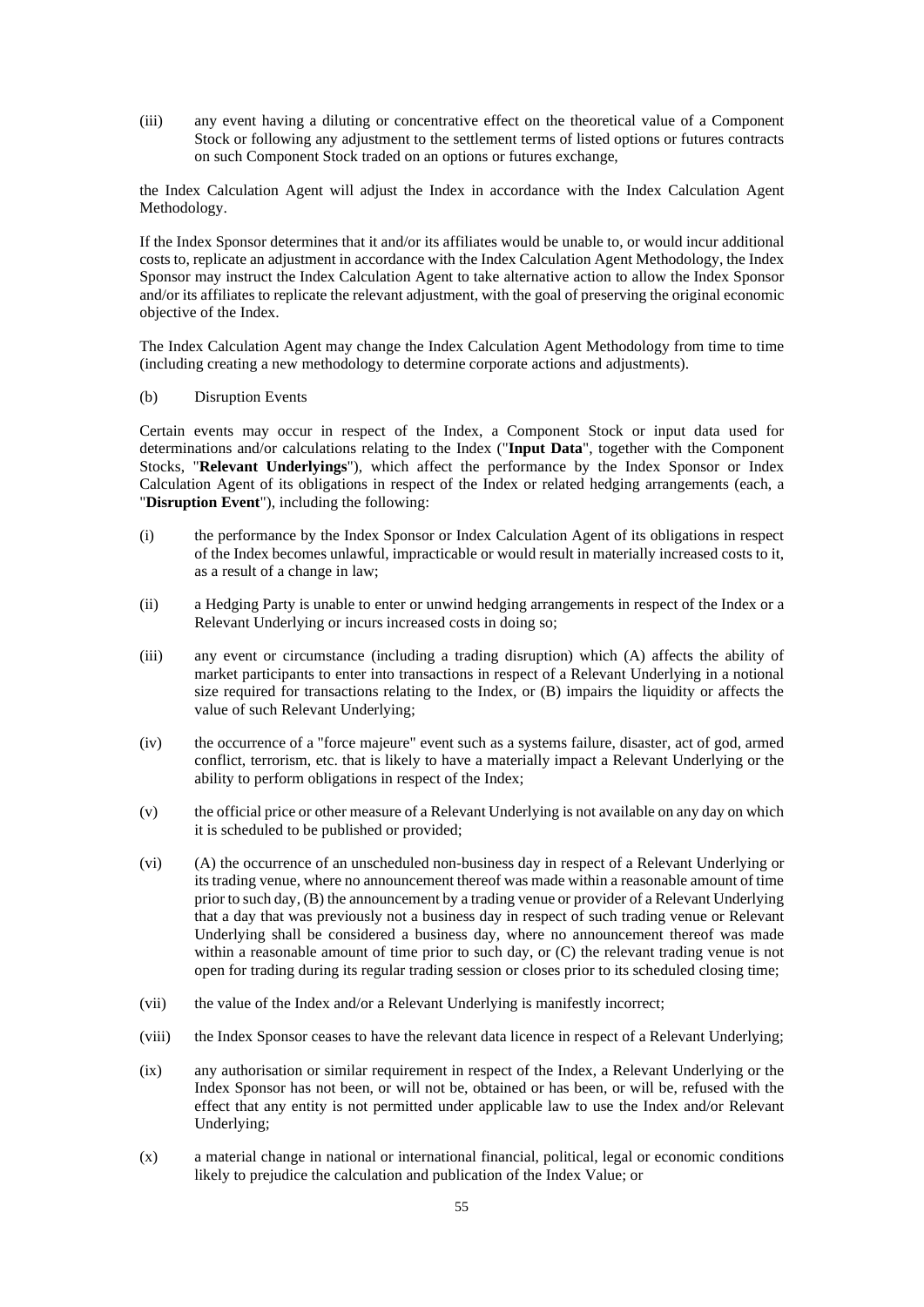(iii) any event having a diluting or concentrative effect on the theoretical value of a Component Stock or following any adjustment to the settlement terms of listed options or futures contracts on such Component Stock traded on an options or futures exchange,

the Index Calculation Agent will adjust the Index in accordance with the Index Calculation Agent Methodology.

If the Index Sponsor determines that it and/or its affiliates would be unable to, or would incur additional costs to, replicate an adjustment in accordance with the Index Calculation Agent Methodology, the Index Sponsor may instruct the Index Calculation Agent to take alternative action to allow the Index Sponsor and/or its affiliates to replicate the relevant adjustment, with the goal of preserving the original economic objective of the Index.

The Index Calculation Agent may change the Index Calculation Agent Methodology from time to time (including creating a new methodology to determine corporate actions and adjustments).

## (b) Disruption Events

Certain events may occur in respect of the Index, a Component Stock or input data used for determinations and/or calculations relating to the Index ("**Input Data**", together with the Component Stocks, "**Relevant Underlyings**"), which affect the performance by the Index Sponsor or Index Calculation Agent of its obligations in respect of the Index or related hedging arrangements (each, a "**Disruption Event**"), including the following:

- (i) the performance by the Index Sponsor or Index Calculation Agent of its obligations in respect of the Index becomes unlawful, impracticable or would result in materially increased costs to it, as a result of a change in law;
- (ii) a Hedging Party is unable to enter or unwind hedging arrangements in respect of the Index or a Relevant Underlying or incurs increased costs in doing so;
- (iii) any event or circumstance (including a trading disruption) which (A) affects the ability of market participants to enter into transactions in respect of a Relevant Underlying in a notional size required for transactions relating to the Index, or (B) impairs the liquidity or affects the value of such Relevant Underlying;
- (iv) the occurrence of a "force majeure" event such as a systems failure, disaster, act of god, armed conflict, terrorism, etc. that is likely to have a materially impact a Relevant Underlying or the ability to perform obligations in respect of the Index;
- (v) the official price or other measure of a Relevant Underlying is not available on any day on which it is scheduled to be published or provided;
- (vi) (A) the occurrence of an unscheduled non-business day in respect of a Relevant Underlying or its trading venue, where no announcement thereof was made within a reasonable amount of time prior to such day, (B) the announcement by a trading venue or provider of a Relevant Underlying that a day that was previously not a business day in respect of such trading venue or Relevant Underlying shall be considered a business day, where no announcement thereof was made within a reasonable amount of time prior to such day, or (C) the relevant trading venue is not open for trading during its regular trading session or closes prior to its scheduled closing time;
- (vii) the value of the Index and/or a Relevant Underlying is manifestly incorrect;
- (viii) the Index Sponsor ceases to have the relevant data licence in respect of a Relevant Underlying;
- (ix) any authorisation or similar requirement in respect of the Index, a Relevant Underlying or the Index Sponsor has not been, or will not be, obtained or has been, or will be, refused with the effect that any entity is not permitted under applicable law to use the Index and/or Relevant Underlying;
- (x) a material change in national or international financial, political, legal or economic conditions likely to prejudice the calculation and publication of the Index Value; or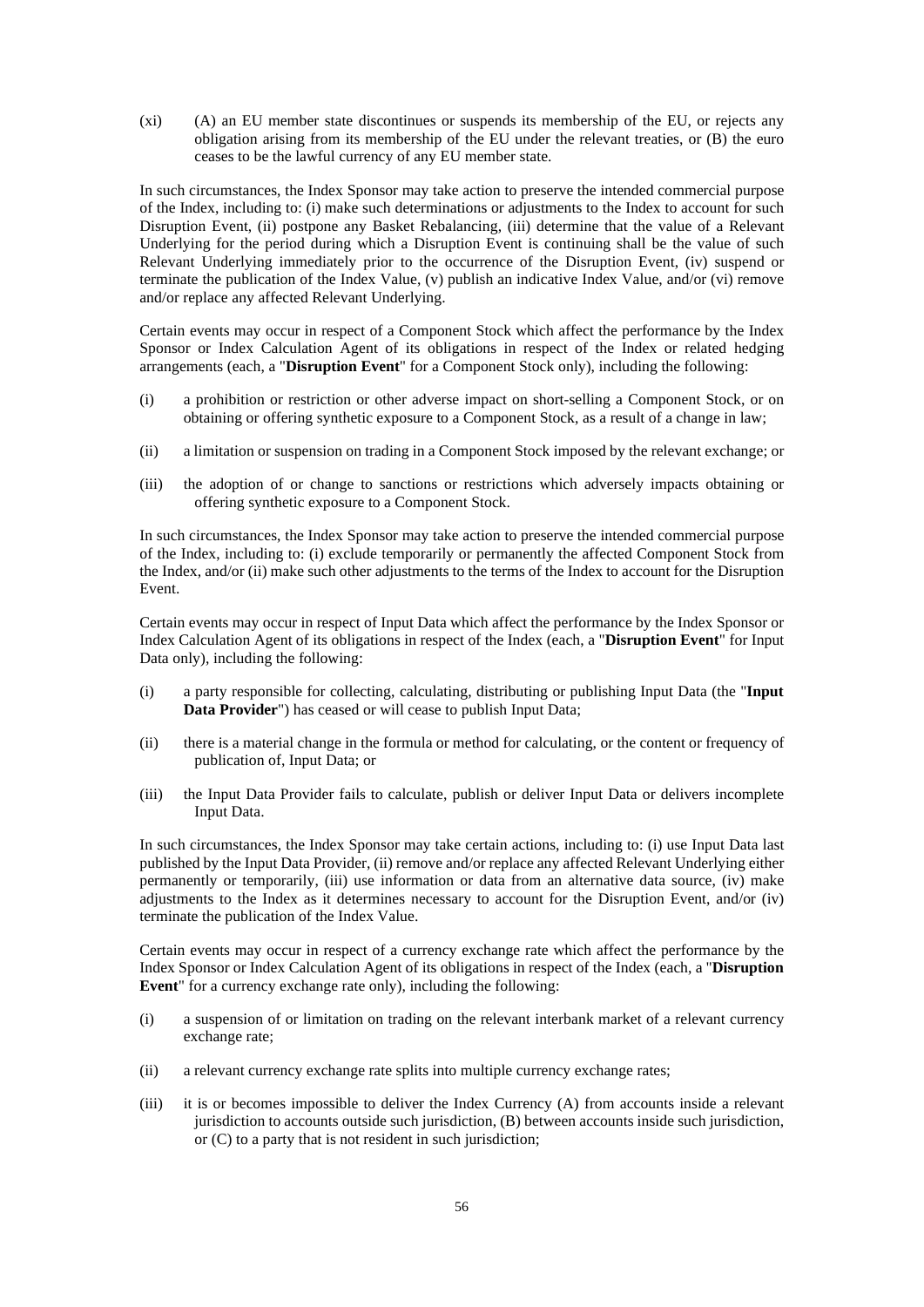(xi) (A) an EU member state discontinues or suspends its membership of the EU, or rejects any obligation arising from its membership of the EU under the relevant treaties, or (B) the euro ceases to be the lawful currency of any EU member state.

In such circumstances, the Index Sponsor may take action to preserve the intended commercial purpose of the Index, including to: (i) make such determinations or adjustments to the Index to account for such Disruption Event, (ii) postpone any Basket Rebalancing, (iii) determine that the value of a Relevant Underlying for the period during which a Disruption Event is continuing shall be the value of such Relevant Underlying immediately prior to the occurrence of the Disruption Event, (iv) suspend or terminate the publication of the Index Value, (v) publish an indicative Index Value, and/or (vi) remove and/or replace any affected Relevant Underlying.

Certain events may occur in respect of a Component Stock which affect the performance by the Index Sponsor or Index Calculation Agent of its obligations in respect of the Index or related hedging arrangements (each, a "**Disruption Event**" for a Component Stock only), including the following:

- (i) a prohibition or restriction or other adverse impact on short-selling a Component Stock, or on obtaining or offering synthetic exposure to a Component Stock, as a result of a change in law;
- (ii) a limitation or suspension on trading in a Component Stock imposed by the relevant exchange; or
- (iii) the adoption of or change to sanctions or restrictions which adversely impacts obtaining or offering synthetic exposure to a Component Stock.

In such circumstances, the Index Sponsor may take action to preserve the intended commercial purpose of the Index, including to: (i) exclude temporarily or permanently the affected Component Stock from the Index, and/or (ii) make such other adjustments to the terms of the Index to account for the Disruption Event.

Certain events may occur in respect of Input Data which affect the performance by the Index Sponsor or Index Calculation Agent of its obligations in respect of the Index (each, a "**Disruption Event**" for Input Data only), including the following:

- (i) a party responsible for collecting, calculating, distributing or publishing Input Data (the "**Input Data Provider**") has ceased or will cease to publish Input Data;
- (ii) there is a material change in the formula or method for calculating, or the content or frequency of publication of, Input Data; or
- (iii) the Input Data Provider fails to calculate, publish or deliver Input Data or delivers incomplete Input Data.

In such circumstances, the Index Sponsor may take certain actions, including to: (i) use Input Data last published by the Input Data Provider, (ii) remove and/or replace any affected Relevant Underlying either permanently or temporarily, (iii) use information or data from an alternative data source, (iv) make adjustments to the Index as it determines necessary to account for the Disruption Event, and/or (iv) terminate the publication of the Index Value.

Certain events may occur in respect of a currency exchange rate which affect the performance by the Index Sponsor or Index Calculation Agent of its obligations in respect of the Index (each, a "**Disruption Event**" for a currency exchange rate only), including the following:

- (i) a suspension of or limitation on trading on the relevant interbank market of a relevant currency exchange rate;
- (ii) a relevant currency exchange rate splits into multiple currency exchange rates;
- (iii) it is or becomes impossible to deliver the Index Currency (A) from accounts inside a relevant jurisdiction to accounts outside such jurisdiction, (B) between accounts inside such jurisdiction, or (C) to a party that is not resident in such jurisdiction;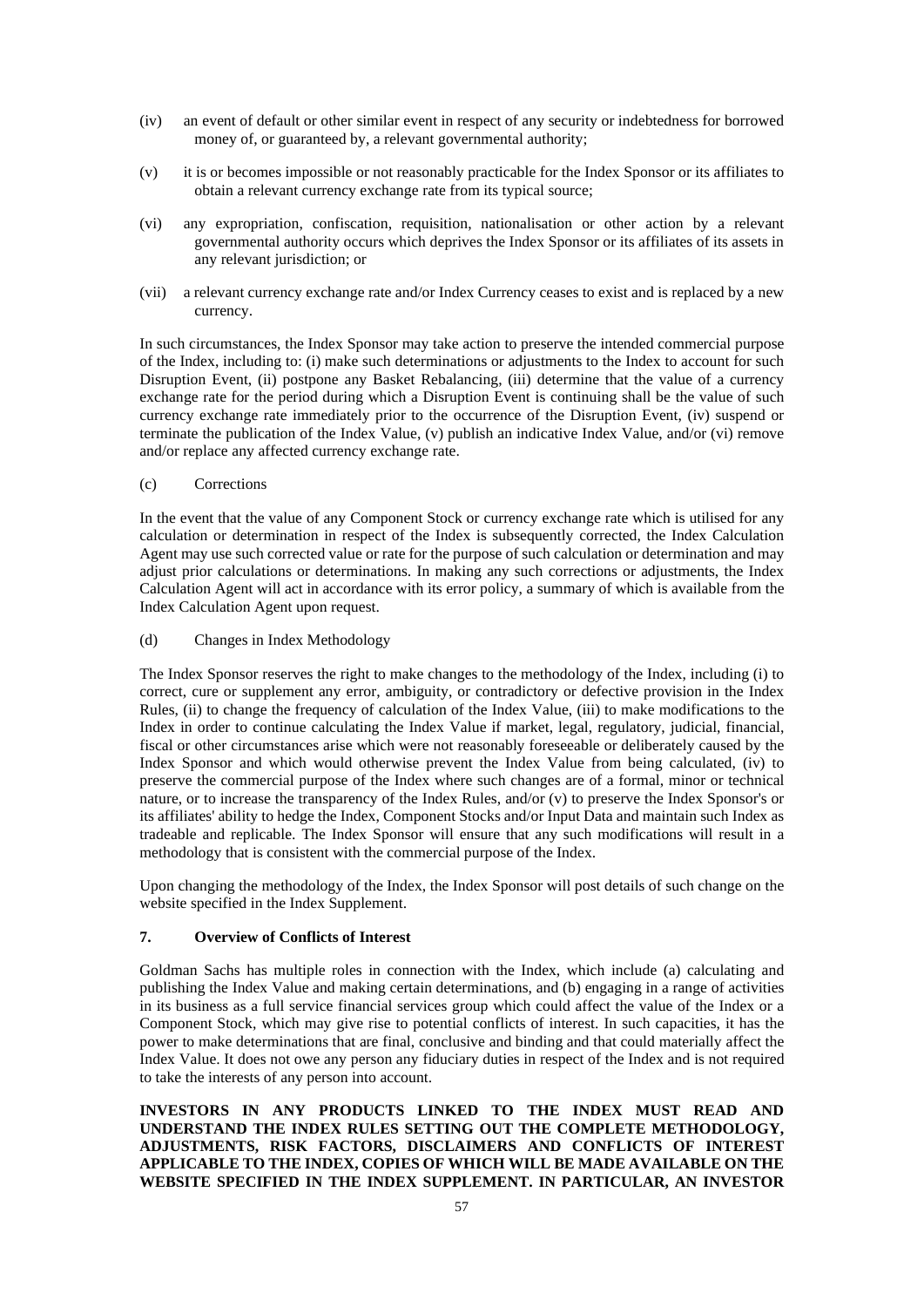- (iv) an event of default or other similar event in respect of any security or indebtedness for borrowed money of, or guaranteed by, a relevant governmental authority;
- (v) it is or becomes impossible or not reasonably practicable for the Index Sponsor or its affiliates to obtain a relevant currency exchange rate from its typical source;
- (vi) any expropriation, confiscation, requisition, nationalisation or other action by a relevant governmental authority occurs which deprives the Index Sponsor or its affiliates of its assets in any relevant jurisdiction; or
- (vii) a relevant currency exchange rate and/or Index Currency ceases to exist and is replaced by a new currency.

In such circumstances, the Index Sponsor may take action to preserve the intended commercial purpose of the Index, including to: (i) make such determinations or adjustments to the Index to account for such Disruption Event, (ii) postpone any Basket Rebalancing, (iii) determine that the value of a currency exchange rate for the period during which a Disruption Event is continuing shall be the value of such currency exchange rate immediately prior to the occurrence of the Disruption Event, (iv) suspend or terminate the publication of the Index Value, (v) publish an indicative Index Value, and/or (vi) remove and/or replace any affected currency exchange rate.

## (c) Corrections

In the event that the value of any Component Stock or currency exchange rate which is utilised for any calculation or determination in respect of the Index is subsequently corrected, the Index Calculation Agent may use such corrected value or rate for the purpose of such calculation or determination and may adjust prior calculations or determinations. In making any such corrections or adjustments, the Index Calculation Agent will act in accordance with its error policy, a summary of which is available from the Index Calculation Agent upon request.

(d) Changes in Index Methodology

The Index Sponsor reserves the right to make changes to the methodology of the Index, including (i) to correct, cure or supplement any error, ambiguity, or contradictory or defective provision in the Index Rules, (ii) to change the frequency of calculation of the Index Value, (iii) to make modifications to the Index in order to continue calculating the Index Value if market, legal, regulatory, judicial, financial, fiscal or other circumstances arise which were not reasonably foreseeable or deliberately caused by the Index Sponsor and which would otherwise prevent the Index Value from being calculated, (iv) to preserve the commercial purpose of the Index where such changes are of a formal, minor or technical nature, or to increase the transparency of the Index Rules, and/or (v) to preserve the Index Sponsor's or its affiliates' ability to hedge the Index, Component Stocks and/or Input Data and maintain such Index as tradeable and replicable. The Index Sponsor will ensure that any such modifications will result in a methodology that is consistent with the commercial purpose of the Index.

Upon changing the methodology of the Index, the Index Sponsor will post details of such change on the website specified in the Index Supplement.

### **7. Overview of Conflicts of Interest**

Goldman Sachs has multiple roles in connection with the Index, which include (a) calculating and publishing the Index Value and making certain determinations, and (b) engaging in a range of activities in its business as a full service financial services group which could affect the value of the Index or a Component Stock, which may give rise to potential conflicts of interest. In such capacities, it has the power to make determinations that are final, conclusive and binding and that could materially affect the Index Value. It does not owe any person any fiduciary duties in respect of the Index and is not required to take the interests of any person into account.

**INVESTORS IN ANY PRODUCTS LINKED TO THE INDEX MUST READ AND UNDERSTAND THE INDEX RULES SETTING OUT THE COMPLETE METHODOLOGY, ADJUSTMENTS, RISK FACTORS, DISCLAIMERS AND CONFLICTS OF INTEREST APPLICABLE TO THE INDEX, COPIES OF WHICH WILL BE MADE AVAILABLE ON THE WEBSITE SPECIFIED IN THE INDEX SUPPLEMENT. IN PARTICULAR, AN INVESTOR**